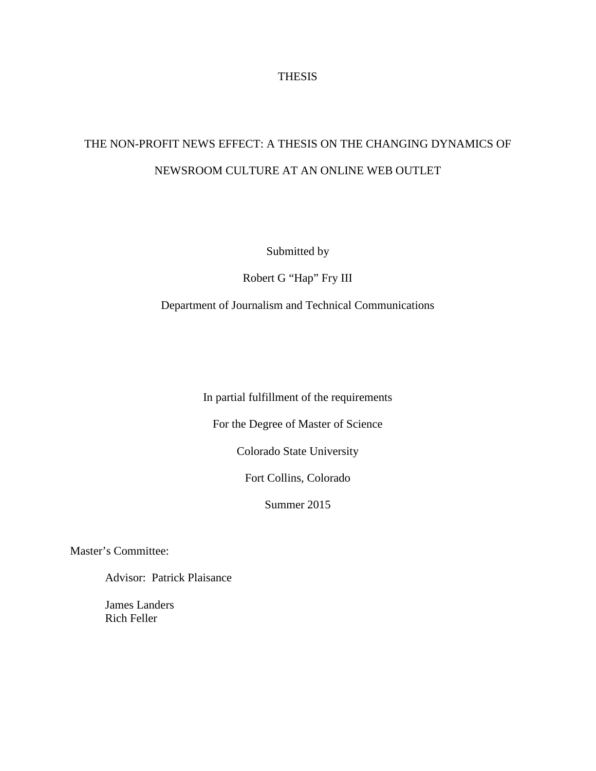## **THESIS**

## THE NON-PROFIT NEWS EFFECT: A THESIS ON THE CHANGING DYNAMICS OF NEWSROOM CULTURE AT AN ONLINE WEB OUTLET

Submitted by

Robert G "Hap" Fry III

Department of Journalism and Technical Communications

In partial fulfillment of the requirements

For the Degree of Master of Science

Colorado State University

Fort Collins, Colorado

Summer 2015

Master's Committee:

Advisor: Patrick Plaisance

James Landers Rich Feller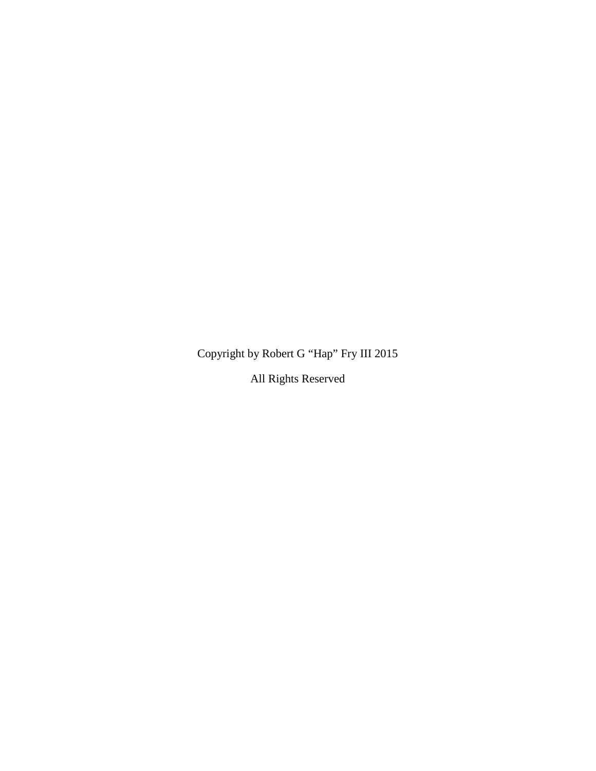Copyright by Robert G "Hap" Fry III 2015

All Rights Reserved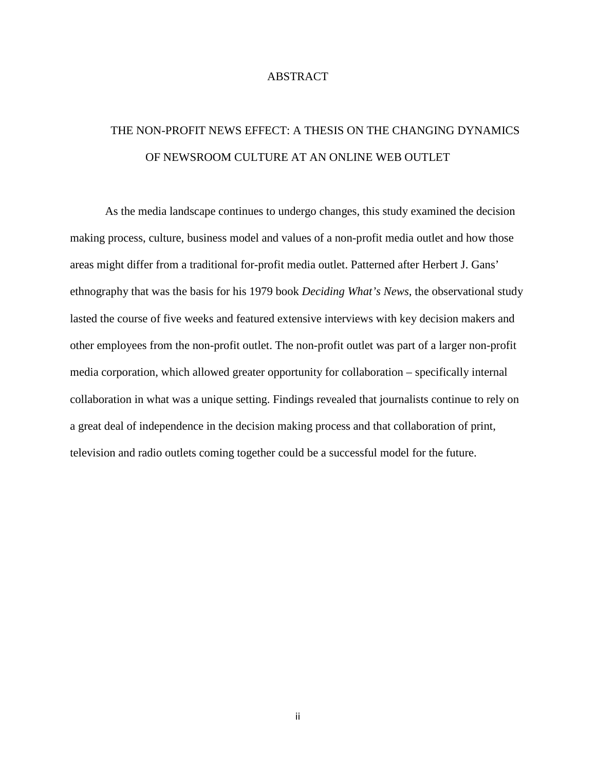## ABSTRACT

# THE NON-PROFIT NEWS EFFECT: A THESIS ON THE CHANGING DYNAMICS OF NEWSROOM CULTURE AT AN ONLINE WEB OUTLET

As the media landscape continues to undergo changes, this study examined the decision making process, culture, business model and values of a non-profit media outlet and how those areas might differ from a traditional for-profit media outlet. Patterned after Herbert J. Gans' ethnography that was the basis for his 1979 book *Deciding What's News*, the observational study lasted the course of five weeks and featured extensive interviews with key decision makers and other employees from the non-profit outlet. The non-profit outlet was part of a larger non-profit media corporation, which allowed greater opportunity for collaboration – specifically internal collaboration in what was a unique setting. Findings revealed that journalists continue to rely on a great deal of independence in the decision making process and that collaboration of print, television and radio outlets coming together could be a successful model for the future.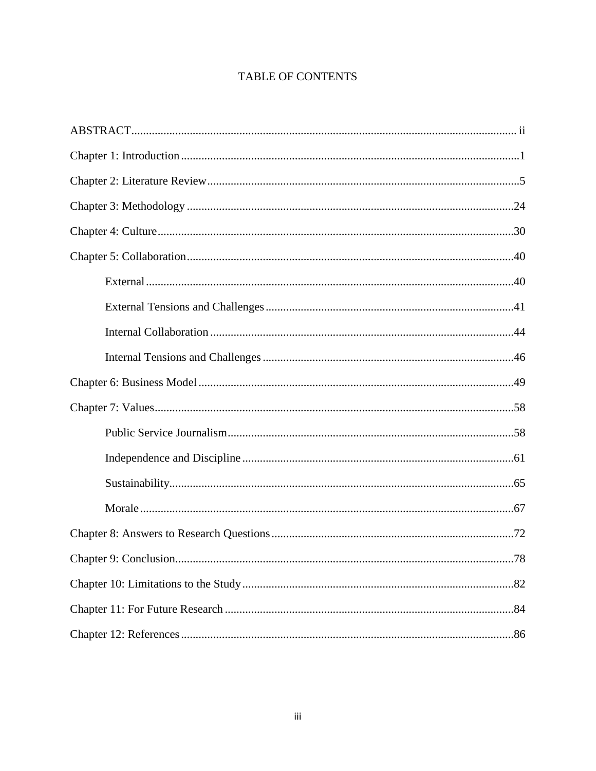## **TABLE OF CONTENTS**

| 78 |
|----|
|    |
|    |
|    |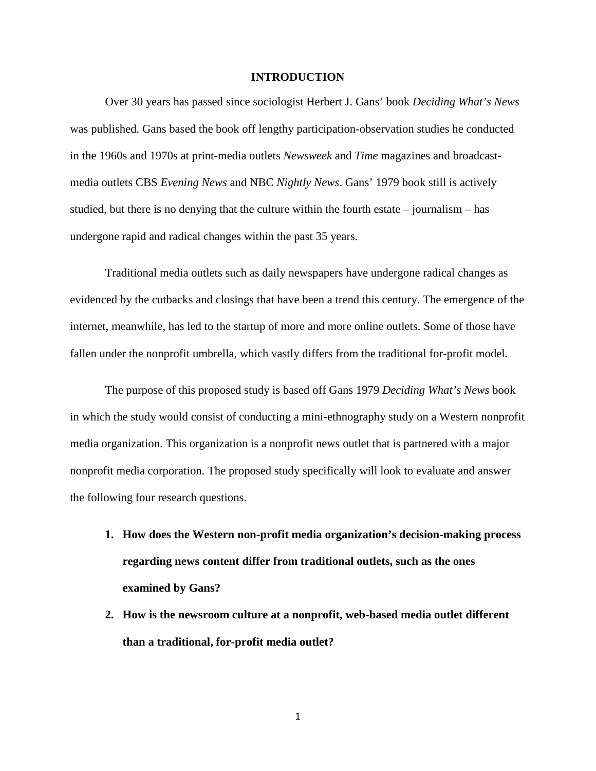### **INTRODUCTION**

Over 30 years has passed since sociologist Herbert J. Gans' book *Deciding What's News* was published. Gans based the book off lengthy participation-observation studies he conducted in the 1960s and 1970s at print-media outlets *Newsweek* and *Time* magazines and broadcastmedia outlets CBS *Evening News* and NBC *Nightly News*. Gans' 1979 book still is actively studied, but there is no denying that the culture within the fourth estate – journalism – has undergone rapid and radical changes within the past 35 years.

Traditional media outlets such as daily newspapers have undergone radical changes as evidenced by the cutbacks and closings that have been a trend this century. The emergence of the internet, meanwhile, has led to the startup of more and more online outlets. Some of those have fallen under the nonprofit umbrella, which vastly differs from the traditional for-profit model.

The purpose of this proposed study is based off Gans 1979 *Deciding What's News* book in which the study would consist of conducting a mini-ethnography study on a Western nonprofit media organization. This organization is a nonprofit news outlet that is partnered with a major nonprofit media corporation. The proposed study specifically will look to evaluate and answer the following four research questions.

- **1. How does the Western non-profit media organization's decision-making process regarding news content differ from traditional outlets, such as the ones examined by Gans?**
- **2. How is the newsroom culture at a nonprofit, web-based media outlet different than a traditional, for-profit media outlet?**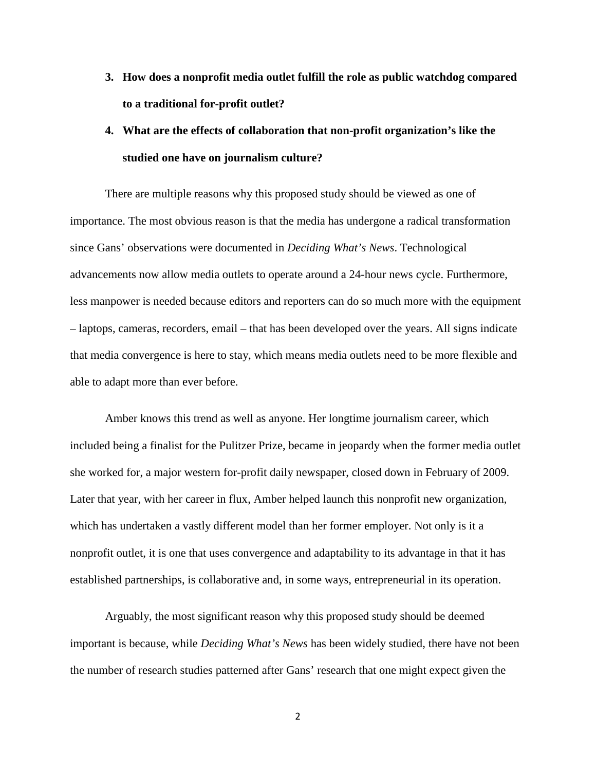- **3. How does a nonprofit media outlet fulfill the role as public watchdog compared to a traditional for-profit outlet?**
- **4. What are the effects of collaboration that non-profit organization's like the studied one have on journalism culture?**

There are multiple reasons why this proposed study should be viewed as one of importance. The most obvious reason is that the media has undergone a radical transformation since Gans' observations were documented in *Deciding What's News*. Technological advancements now allow media outlets to operate around a 24-hour news cycle. Furthermore, less manpower is needed because editors and reporters can do so much more with the equipment – laptops, cameras, recorders, email – that has been developed over the years. All signs indicate that media convergence is here to stay, which means media outlets need to be more flexible and able to adapt more than ever before.

Amber knows this trend as well as anyone. Her longtime journalism career, which included being a finalist for the Pulitzer Prize, became in jeopardy when the former media outlet she worked for, a major western for-profit daily newspaper, closed down in February of 2009. Later that year, with her career in flux, Amber helped launch this nonprofit new organization, which has undertaken a vastly different model than her former employer. Not only is it a nonprofit outlet, it is one that uses convergence and adaptability to its advantage in that it has established partnerships, is collaborative and, in some ways, entrepreneurial in its operation.

Arguably, the most significant reason why this proposed study should be deemed important is because, while *Deciding What's News* has been widely studied, there have not been the number of research studies patterned after Gans' research that one might expect given the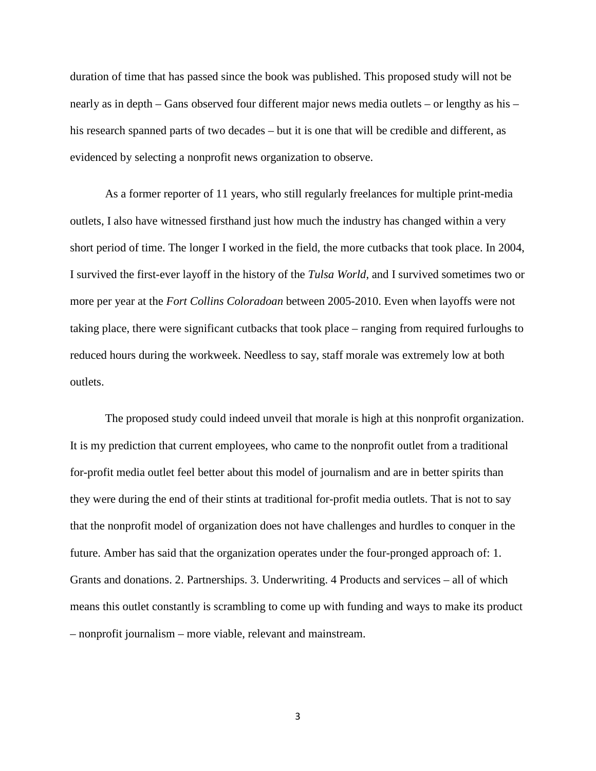duration of time that has passed since the book was published. This proposed study will not be nearly as in depth – Gans observed four different major news media outlets – or lengthy as his – his research spanned parts of two decades – but it is one that will be credible and different, as evidenced by selecting a nonprofit news organization to observe.

As a former reporter of 11 years, who still regularly freelances for multiple print-media outlets, I also have witnessed firsthand just how much the industry has changed within a very short period of time. The longer I worked in the field, the more cutbacks that took place. In 2004, I survived the first-ever layoff in the history of the *Tulsa World*, and I survived sometimes two or more per year at the *Fort Collins Coloradoan* between 2005-2010. Even when layoffs were not taking place, there were significant cutbacks that took place – ranging from required furloughs to reduced hours during the workweek. Needless to say, staff morale was extremely low at both outlets.

The proposed study could indeed unveil that morale is high at this nonprofit organization. It is my prediction that current employees, who came to the nonprofit outlet from a traditional for-profit media outlet feel better about this model of journalism and are in better spirits than they were during the end of their stints at traditional for-profit media outlets. That is not to say that the nonprofit model of organization does not have challenges and hurdles to conquer in the future. Amber has said that the organization operates under the four-pronged approach of: 1. Grants and donations. 2. Partnerships. 3. Underwriting. 4 Products and services – all of which means this outlet constantly is scrambling to come up with funding and ways to make its product – nonprofit journalism – more viable, relevant and mainstream.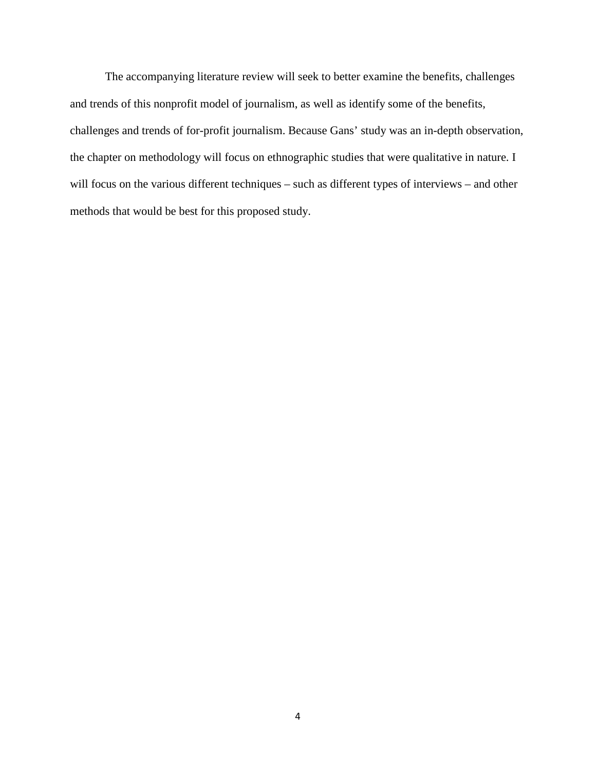The accompanying literature review will seek to better examine the benefits, challenges and trends of this nonprofit model of journalism, as well as identify some of the benefits, challenges and trends of for-profit journalism. Because Gans' study was an in-depth observation, the chapter on methodology will focus on ethnographic studies that were qualitative in nature. I will focus on the various different techniques – such as different types of interviews – and other methods that would be best for this proposed study.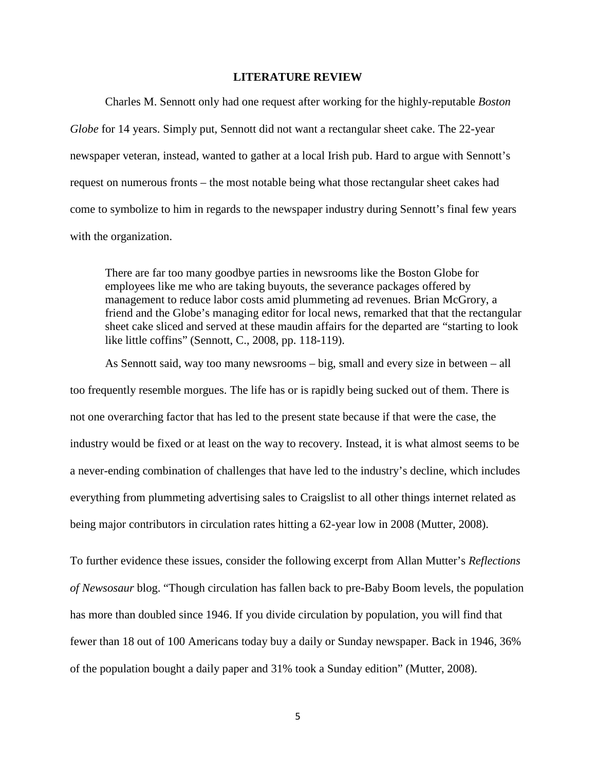### **LITERATURE REVIEW**

Charles M. Sennott only had one request after working for the highly-reputable *Boston Globe* for 14 years. Simply put, Sennott did not want a rectangular sheet cake. The 22-year newspaper veteran, instead, wanted to gather at a local Irish pub. Hard to argue with Sennott's request on numerous fronts – the most notable being what those rectangular sheet cakes had come to symbolize to him in regards to the newspaper industry during Sennott's final few years with the organization.

There are far too many goodbye parties in newsrooms like the Boston Globe for employees like me who are taking buyouts, the severance packages offered by management to reduce labor costs amid plummeting ad revenues. Brian McGrory, a friend and the Globe's managing editor for local news, remarked that that the rectangular sheet cake sliced and served at these maudin affairs for the departed are "starting to look like little coffins" (Sennott, C., 2008, pp. 118-119).

As Sennott said, way too many newsrooms – big, small and every size in between – all too frequently resemble morgues. The life has or is rapidly being sucked out of them. There is not one overarching factor that has led to the present state because if that were the case, the industry would be fixed or at least on the way to recovery. Instead, it is what almost seems to be a never-ending combination of challenges that have led to the industry's decline, which includes everything from plummeting advertising sales to Craigslist to all other things internet related as being major contributors in circulation rates hitting a 62-year low in 2008 (Mutter, 2008).

To further evidence these issues, consider the following excerpt from Allan Mutter's *Reflections of Newsosaur* blog. "Though circulation has fallen back to pre-Baby Boom levels, the population has more than doubled since 1946. If you divide circulation by population, you will find that fewer than 18 out of 100 Americans today buy a daily or Sunday newspaper. Back in 1946, 36% of the population bought a daily paper and 31% took a Sunday edition" (Mutter, 2008).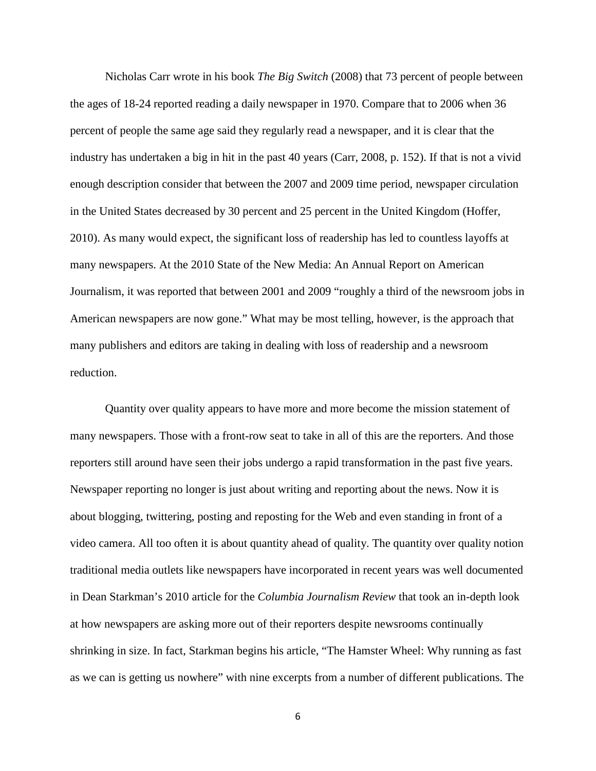Nicholas Carr wrote in his book *The Big Switch* (2008) that 73 percent of people between the ages of 18-24 reported reading a daily newspaper in 1970. Compare that to 2006 when 36 percent of people the same age said they regularly read a newspaper, and it is clear that the industry has undertaken a big in hit in the past 40 years (Carr, 2008, p. 152). If that is not a vivid enough description consider that between the 2007 and 2009 time period, newspaper circulation in the United States decreased by 30 percent and 25 percent in the United Kingdom (Hoffer, 2010). As many would expect, the significant loss of readership has led to countless layoffs at many newspapers. At the 2010 State of the New Media: An Annual Report on American Journalism, it was reported that between 2001 and 2009 "roughly a third of the newsroom jobs in American newspapers are now gone." What may be most telling, however, is the approach that many publishers and editors are taking in dealing with loss of readership and a newsroom reduction.

Quantity over quality appears to have more and more become the mission statement of many newspapers. Those with a front-row seat to take in all of this are the reporters. And those reporters still around have seen their jobs undergo a rapid transformation in the past five years. Newspaper reporting no longer is just about writing and reporting about the news. Now it is about blogging, twittering, posting and reposting for the Web and even standing in front of a video camera. All too often it is about quantity ahead of quality. The quantity over quality notion traditional media outlets like newspapers have incorporated in recent years was well documented in Dean Starkman's 2010 article for the *Columbia Journalism Review* that took an in-depth look at how newspapers are asking more out of their reporters despite newsrooms continually shrinking in size. In fact, Starkman begins his article, "The Hamster Wheel: Why running as fast as we can is getting us nowhere" with nine excerpts from a number of different publications. The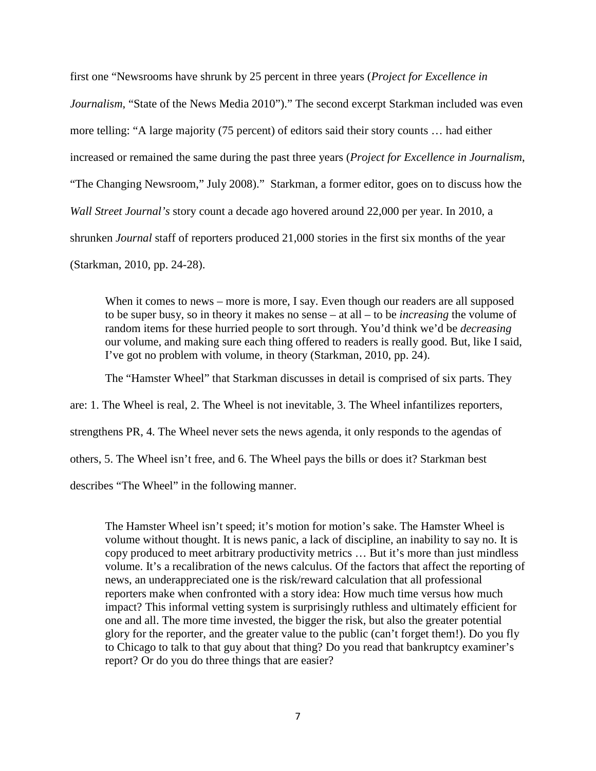first one "Newsrooms have shrunk by 25 percent in three years (*Project for Excellence in Journalism*, "State of the News Media 2010")." The second excerpt Starkman included was even more telling: "A large majority (75 percent) of editors said their story counts … had either increased or remained the same during the past three years (*Project for Excellence in Journalism*, "The Changing Newsroom," July 2008)." Starkman, a former editor, goes on to discuss how the *Wall Street Journal's* story count a decade ago hovered around 22,000 per year. In 2010, a shrunken *Journal* staff of reporters produced 21,000 stories in the first six months of the year (Starkman, 2010, pp. 24-28).

When it comes to news – more is more, I say. Even though our readers are all supposed to be super busy, so in theory it makes no sense – at all – to be *increasing* the volume of random items for these hurried people to sort through. You'd think we'd be *decreasing* our volume, and making sure each thing offered to readers is really good. But, like I said, I've got no problem with volume, in theory (Starkman, 2010, pp. 24).

The "Hamster Wheel" that Starkman discusses in detail is comprised of six parts. They

are: 1. The Wheel is real, 2. The Wheel is not inevitable, 3. The Wheel infantilizes reporters,

strengthens PR, 4. The Wheel never sets the news agenda, it only responds to the agendas of

others, 5. The Wheel isn't free, and 6. The Wheel pays the bills or does it? Starkman best

describes "The Wheel" in the following manner.

The Hamster Wheel isn't speed; it's motion for motion's sake. The Hamster Wheel is volume without thought. It is news panic, a lack of discipline, an inability to say no. It is copy produced to meet arbitrary productivity metrics … But it's more than just mindless volume. It's a recalibration of the news calculus. Of the factors that affect the reporting of news, an underappreciated one is the risk/reward calculation that all professional reporters make when confronted with a story idea: How much time versus how much impact? This informal vetting system is surprisingly ruthless and ultimately efficient for one and all. The more time invested, the bigger the risk, but also the greater potential glory for the reporter, and the greater value to the public (can't forget them!). Do you fly to Chicago to talk to that guy about that thing? Do you read that bankruptcy examiner's report? Or do you do three things that are easier?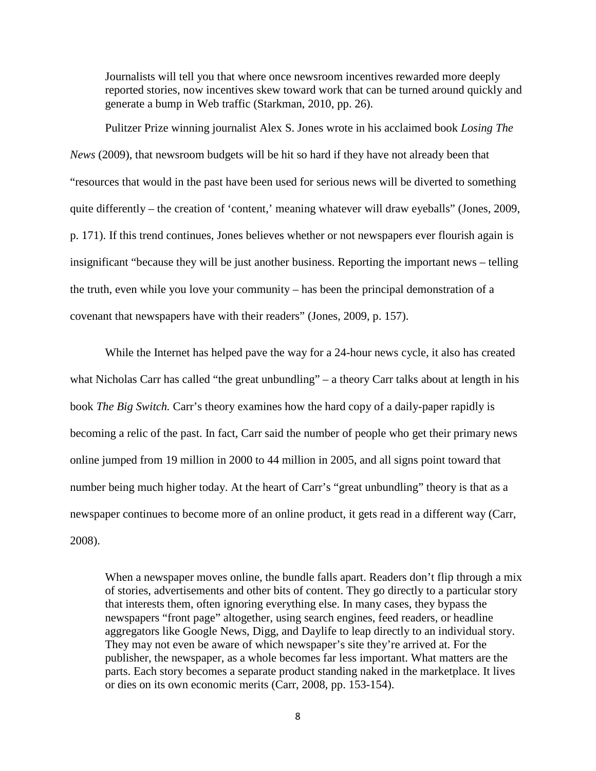Journalists will tell you that where once newsroom incentives rewarded more deeply reported stories, now incentives skew toward work that can be turned around quickly and generate a bump in Web traffic (Starkman, 2010, pp. 26).

Pulitzer Prize winning journalist Alex S. Jones wrote in his acclaimed book *Losing The News* (2009), that newsroom budgets will be hit so hard if they have not already been that "resources that would in the past have been used for serious news will be diverted to something quite differently – the creation of 'content,' meaning whatever will draw eyeballs" (Jones, 2009, p. 171). If this trend continues, Jones believes whether or not newspapers ever flourish again is insignificant "because they will be just another business. Reporting the important news – telling the truth, even while you love your community – has been the principal demonstration of a covenant that newspapers have with their readers" (Jones, 2009, p. 157).

While the Internet has helped pave the way for a 24-hour news cycle, it also has created what Nicholas Carr has called "the great unbundling" – a theory Carr talks about at length in his book *The Big Switch.* Carr's theory examines how the hard copy of a daily-paper rapidly is becoming a relic of the past. In fact, Carr said the number of people who get their primary news online jumped from 19 million in 2000 to 44 million in 2005, and all signs point toward that number being much higher today. At the heart of Carr's "great unbundling" theory is that as a newspaper continues to become more of an online product, it gets read in a different way (Carr, 2008).

When a newspaper moves online, the bundle falls apart. Readers don't flip through a mix of stories, advertisements and other bits of content. They go directly to a particular story that interests them, often ignoring everything else. In many cases, they bypass the newspapers "front page" altogether, using search engines, feed readers, or headline aggregators like Google News, Digg, and Daylife to leap directly to an individual story. They may not even be aware of which newspaper's site they're arrived at. For the publisher, the newspaper, as a whole becomes far less important. What matters are the parts. Each story becomes a separate product standing naked in the marketplace. It lives or dies on its own economic merits (Carr, 2008, pp. 153-154).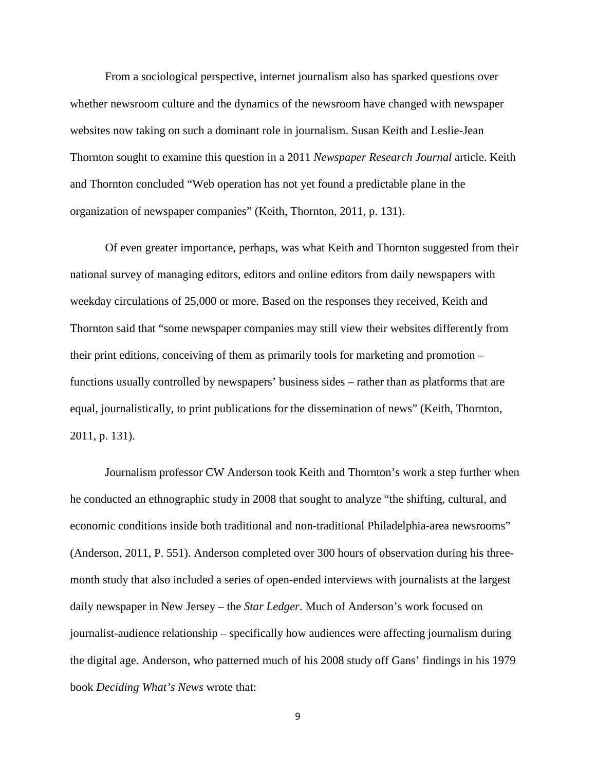From a sociological perspective, internet journalism also has sparked questions over whether newsroom culture and the dynamics of the newsroom have changed with newspaper websites now taking on such a dominant role in journalism. Susan Keith and Leslie-Jean Thornton sought to examine this question in a 2011 *Newspaper Research Journal* article. Keith and Thornton concluded "Web operation has not yet found a predictable plane in the organization of newspaper companies" (Keith, Thornton, 2011, p. 131).

Of even greater importance, perhaps, was what Keith and Thornton suggested from their national survey of managing editors, editors and online editors from daily newspapers with weekday circulations of 25,000 or more. Based on the responses they received, Keith and Thornton said that "some newspaper companies may still view their websites differently from their print editions, conceiving of them as primarily tools for marketing and promotion – functions usually controlled by newspapers' business sides – rather than as platforms that are equal, journalistically, to print publications for the dissemination of news" (Keith, Thornton, 2011, p. 131).

Journalism professor CW Anderson took Keith and Thornton's work a step further when he conducted an ethnographic study in 2008 that sought to analyze "the shifting, cultural, and economic conditions inside both traditional and non-traditional Philadelphia-area newsrooms" (Anderson, 2011, P. 551). Anderson completed over 300 hours of observation during his threemonth study that also included a series of open-ended interviews with journalists at the largest daily newspaper in New Jersey – the *Star Ledger*. Much of Anderson's work focused on journalist-audience relationship – specifically how audiences were affecting journalism during the digital age. Anderson, who patterned much of his 2008 study off Gans' findings in his 1979 book *Deciding What's News* wrote that: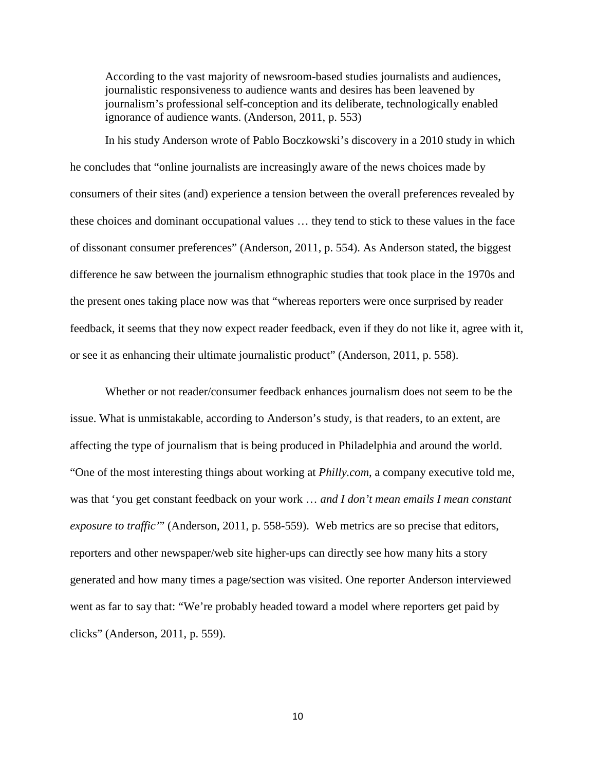According to the vast majority of newsroom-based studies journalists and audiences, journalistic responsiveness to audience wants and desires has been leavened by journalism's professional self-conception and its deliberate, technologically enabled ignorance of audience wants. (Anderson, 2011, p. 553)

In his study Anderson wrote of Pablo Boczkowski's discovery in a 2010 study in which he concludes that "online journalists are increasingly aware of the news choices made by consumers of their sites (and) experience a tension between the overall preferences revealed by these choices and dominant occupational values … they tend to stick to these values in the face of dissonant consumer preferences" (Anderson, 2011, p. 554). As Anderson stated, the biggest difference he saw between the journalism ethnographic studies that took place in the 1970s and the present ones taking place now was that "whereas reporters were once surprised by reader feedback, it seems that they now expect reader feedback, even if they do not like it, agree with it, or see it as enhancing their ultimate journalistic product" (Anderson, 2011, p. 558).

Whether or not reader/consumer feedback enhances journalism does not seem to be the issue. What is unmistakable, according to Anderson's study, is that readers, to an extent, are affecting the type of journalism that is being produced in Philadelphia and around the world. "One of the most interesting things about working at *Philly.com*, a company executive told me, was that 'you get constant feedback on your work … *and I don't mean emails I mean constant exposure to traffic'*" (Anderson, 2011, p. 558-559). Web metrics are so precise that editors, reporters and other newspaper/web site higher-ups can directly see how many hits a story generated and how many times a page/section was visited. One reporter Anderson interviewed went as far to say that: "We're probably headed toward a model where reporters get paid by clicks" (Anderson, 2011, p. 559).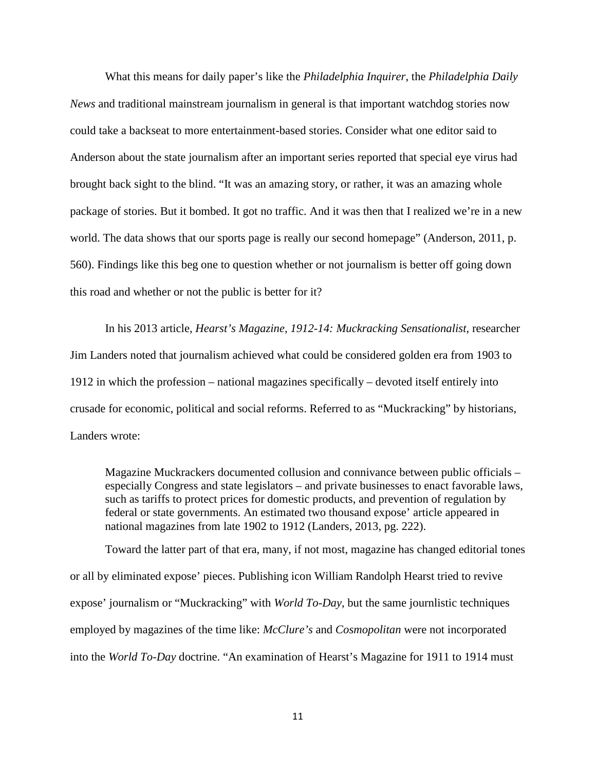What this means for daily paper's like the *Philadelphia Inquirer*, the *Philadelphia Daily News* and traditional mainstream journalism in general is that important watchdog stories now could take a backseat to more entertainment-based stories. Consider what one editor said to Anderson about the state journalism after an important series reported that special eye virus had brought back sight to the blind. "It was an amazing story, or rather, it was an amazing whole package of stories. But it bombed. It got no traffic. And it was then that I realized we're in a new world. The data shows that our sports page is really our second homepage" (Anderson, 2011, p. 560). Findings like this beg one to question whether or not journalism is better off going down this road and whether or not the public is better for it?

In his 2013 article, *Hearst's Magazine, 1912-14: Muckracking Sensationalist*, researcher Jim Landers noted that journalism achieved what could be considered golden era from 1903 to 1912 in which the profession – national magazines specifically – devoted itself entirely into crusade for economic, political and social reforms. Referred to as "Muckracking" by historians, Landers wrote:

Magazine Muckrackers documented collusion and connivance between public officials – especially Congress and state legislators – and private businesses to enact favorable laws, such as tariffs to protect prices for domestic products, and prevention of regulation by federal or state governments. An estimated two thousand expose' article appeared in national magazines from late 1902 to 1912 (Landers, 2013, pg. 222).

Toward the latter part of that era, many, if not most, magazine has changed editorial tones or all by eliminated expose' pieces. Publishing icon William Randolph Hearst tried to revive expose' journalism or "Muckracking" with *World To-Day*, but the same journlistic techniques employed by magazines of the time like: *McClure's* and *Cosmopolitan* were not incorporated into the *World To-Day* doctrine. "An examination of Hearst's Magazine for 1911 to 1914 must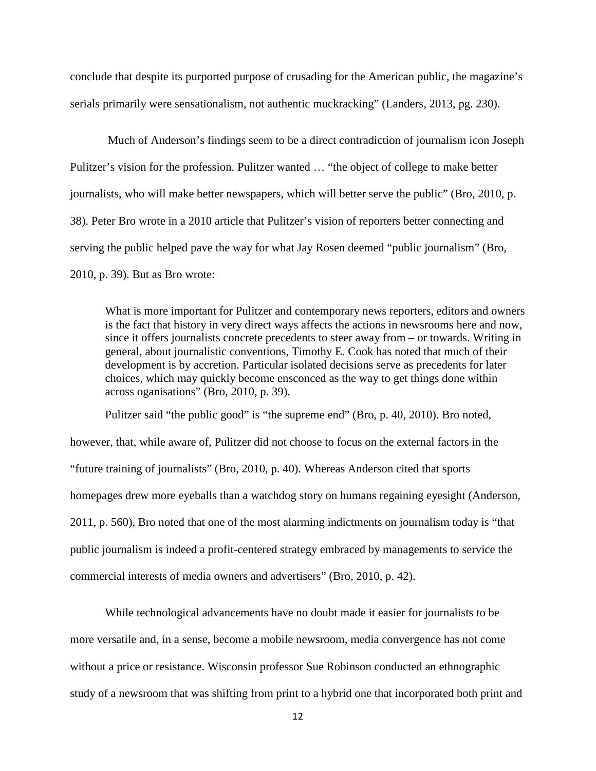conclude that despite its purported purpose of crusading for the American public, the magazine's serials primarily were sensationalism, not authentic muckracking" (Landers, 2013, pg. 230).

Much of Anderson's findings seem to be a direct contradiction of journalism icon Joseph Pulitzer's vision for the profession. Pulitzer wanted … "the object of college to make better journalists, who will make better newspapers, which will better serve the public" (Bro, 2010, p. 38). Peter Bro wrote in a 2010 article that Pulitzer's vision of reporters better connecting and serving the public helped pave the way for what Jay Rosen deemed "public journalism" (Bro, 2010, p. 39). But as Bro wrote:

What is more important for Pulitzer and contemporary news reporters, editors and owners is the fact that history in very direct ways affects the actions in newsrooms here and now, since it offers journalists concrete precedents to steer away from – or towards. Writing in general, about journalistic conventions, Timothy E. Cook has noted that much of their development is by accretion. Particular isolated decisions serve as precedents for later choices, which may quickly become ensconced as the way to get things done within across oganisations" (Bro, 2010, p. 39).

Pulitzer said "the public good" is "the supreme end" (Bro, p. 40, 2010). Bro noted, however, that, while aware of, Pulitzer did not choose to focus on the external factors in the "future training of journalists" (Bro, 2010, p. 40). Whereas Anderson cited that sports homepages drew more eyeballs than a watchdog story on humans regaining eyesight (Anderson, 2011, p. 560), Bro noted that one of the most alarming indictments on journalism today is "that public journalism is indeed a profit-centered strategy embraced by managements to service the commercial interests of media owners and advertisers" (Bro, 2010, p. 42).

While technological advancements have no doubt made it easier for journalists to be more versatile and, in a sense, become a mobile newsroom, media convergence has not come without a price or resistance. Wisconsin professor Sue Robinson conducted an ethnographic study of a newsroom that was shifting from print to a hybrid one that incorporated both print and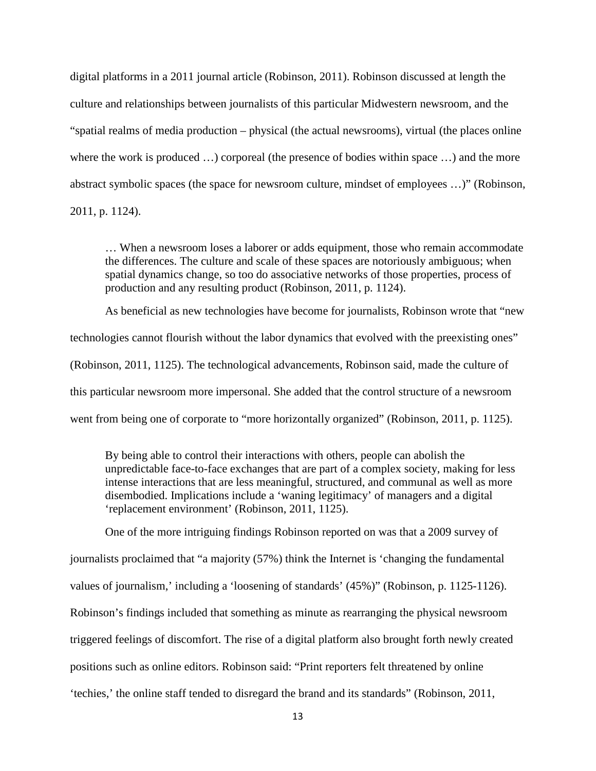digital platforms in a 2011 journal article (Robinson, 2011). Robinson discussed at length the culture and relationships between journalists of this particular Midwestern newsroom, and the "spatial realms of media production – physical (the actual newsrooms), virtual (the places online where the work is produced ...) corporeal (the presence of bodies within space ...) and the more abstract symbolic spaces (the space for newsroom culture, mindset of employees …)" (Robinson, 2011, p. 1124).

… When a newsroom loses a laborer or adds equipment, those who remain accommodate the differences. The culture and scale of these spaces are notoriously ambiguous; when spatial dynamics change, so too do associative networks of those properties, process of production and any resulting product (Robinson, 2011, p. 1124).

As beneficial as new technologies have become for journalists, Robinson wrote that "new technologies cannot flourish without the labor dynamics that evolved with the preexisting ones" (Robinson, 2011, 1125). The technological advancements, Robinson said, made the culture of this particular newsroom more impersonal. She added that the control structure of a newsroom went from being one of corporate to "more horizontally organized" (Robinson, 2011, p. 1125).

By being able to control their interactions with others, people can abolish the unpredictable face-to-face exchanges that are part of a complex society, making for less intense interactions that are less meaningful, structured, and communal as well as more disembodied. Implications include a 'waning legitimacy' of managers and a digital 'replacement environment' (Robinson, 2011, 1125).

One of the more intriguing findings Robinson reported on was that a 2009 survey of journalists proclaimed that "a majority (57%) think the Internet is 'changing the fundamental values of journalism,' including a 'loosening of standards' (45%)" (Robinson, p. 1125-1126). Robinson's findings included that something as minute as rearranging the physical newsroom triggered feelings of discomfort. The rise of a digital platform also brought forth newly created positions such as online editors. Robinson said: "Print reporters felt threatened by online 'techies,' the online staff tended to disregard the brand and its standards" (Robinson, 2011,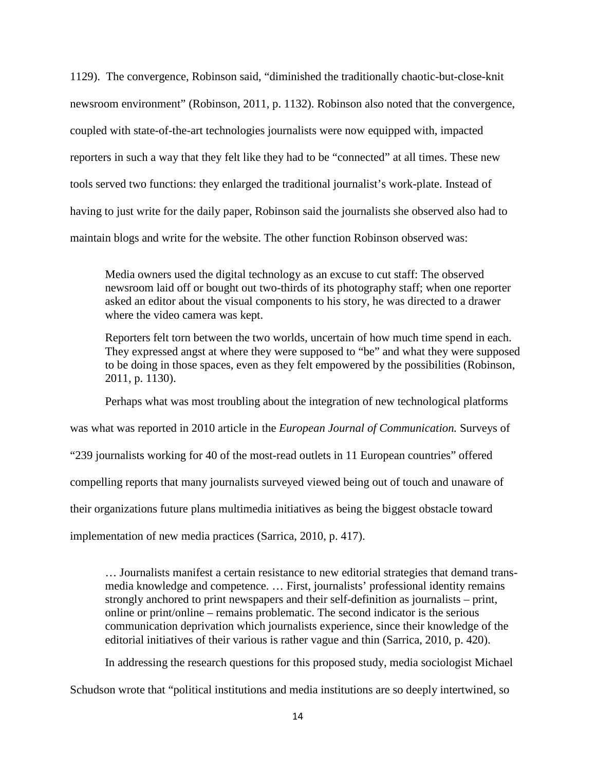1129). The convergence, Robinson said, "diminished the traditionally chaotic-but-close-knit newsroom environment" (Robinson, 2011, p. 1132). Robinson also noted that the convergence, coupled with state-of-the-art technologies journalists were now equipped with, impacted reporters in such a way that they felt like they had to be "connected" at all times. These new tools served two functions: they enlarged the traditional journalist's work-plate. Instead of having to just write for the daily paper, Robinson said the journalists she observed also had to maintain blogs and write for the website. The other function Robinson observed was:

Media owners used the digital technology as an excuse to cut staff: The observed newsroom laid off or bought out two-thirds of its photography staff; when one reporter asked an editor about the visual components to his story, he was directed to a drawer where the video camera was kept.

Reporters felt torn between the two worlds, uncertain of how much time spend in each. They expressed angst at where they were supposed to "be" and what they were supposed to be doing in those spaces, even as they felt empowered by the possibilities (Robinson, 2011, p. 1130).

Perhaps what was most troubling about the integration of new technological platforms

was what was reported in 2010 article in the *European Journal of Communication.* Surveys of

"239 journalists working for 40 of the most-read outlets in 11 European countries" offered

compelling reports that many journalists surveyed viewed being out of touch and unaware of

their organizations future plans multimedia initiatives as being the biggest obstacle toward

implementation of new media practices (Sarrica, 2010, p. 417).

… Journalists manifest a certain resistance to new editorial strategies that demand transmedia knowledge and competence. … First, journalists' professional identity remains strongly anchored to print newspapers and their self-definition as journalists – print, online or print/online – remains problematic. The second indicator is the serious communication deprivation which journalists experience, since their knowledge of the editorial initiatives of their various is rather vague and thin (Sarrica, 2010, p. 420).

In addressing the research questions for this proposed study, media sociologist Michael Schudson wrote that "political institutions and media institutions are so deeply intertwined, so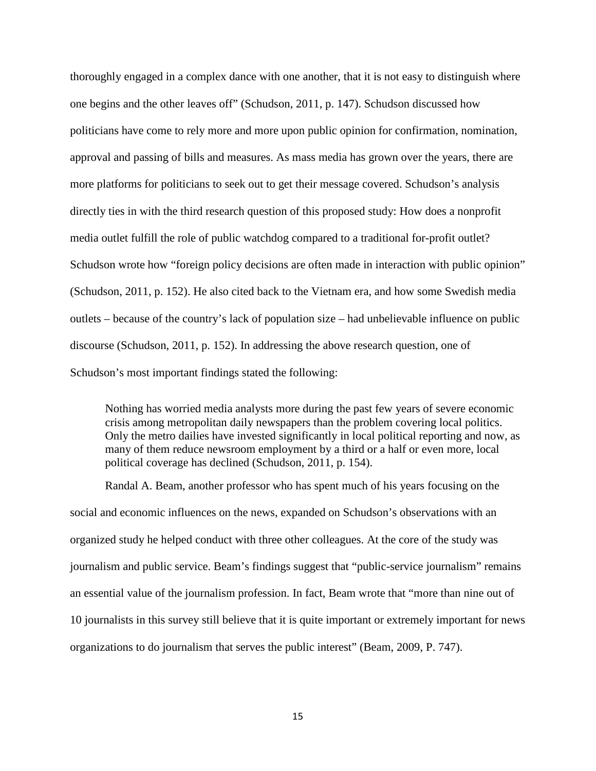thoroughly engaged in a complex dance with one another, that it is not easy to distinguish where one begins and the other leaves off" (Schudson, 2011, p. 147). Schudson discussed how politicians have come to rely more and more upon public opinion for confirmation, nomination, approval and passing of bills and measures. As mass media has grown over the years, there are more platforms for politicians to seek out to get their message covered. Schudson's analysis directly ties in with the third research question of this proposed study: How does a nonprofit media outlet fulfill the role of public watchdog compared to a traditional for-profit outlet? Schudson wrote how "foreign policy decisions are often made in interaction with public opinion" (Schudson, 2011, p. 152). He also cited back to the Vietnam era, and how some Swedish media outlets – because of the country's lack of population size – had unbelievable influence on public discourse (Schudson, 2011, p. 152). In addressing the above research question, one of Schudson's most important findings stated the following:

Nothing has worried media analysts more during the past few years of severe economic crisis among metropolitan daily newspapers than the problem covering local politics. Only the metro dailies have invested significantly in local political reporting and now, as many of them reduce newsroom employment by a third or a half or even more, local political coverage has declined (Schudson, 2011, p. 154).

Randal A. Beam, another professor who has spent much of his years focusing on the social and economic influences on the news, expanded on Schudson's observations with an organized study he helped conduct with three other colleagues. At the core of the study was journalism and public service. Beam's findings suggest that "public-service journalism" remains an essential value of the journalism profession. In fact, Beam wrote that "more than nine out of 10 journalists in this survey still believe that it is quite important or extremely important for news organizations to do journalism that serves the public interest" (Beam, 2009, P. 747).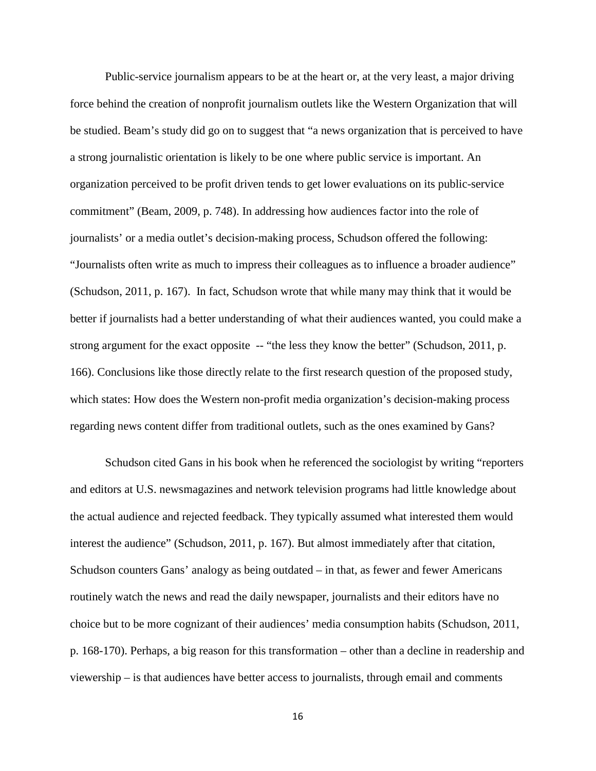Public-service journalism appears to be at the heart or, at the very least, a major driving force behind the creation of nonprofit journalism outlets like the Western Organization that will be studied. Beam's study did go on to suggest that "a news organization that is perceived to have a strong journalistic orientation is likely to be one where public service is important. An organization perceived to be profit driven tends to get lower evaluations on its public-service commitment" (Beam, 2009, p. 748). In addressing how audiences factor into the role of journalists' or a media outlet's decision-making process, Schudson offered the following: "Journalists often write as much to impress their colleagues as to influence a broader audience" (Schudson, 2011, p. 167). In fact, Schudson wrote that while many may think that it would be better if journalists had a better understanding of what their audiences wanted, you could make a strong argument for the exact opposite -- "the less they know the better" (Schudson, 2011, p. 166). Conclusions like those directly relate to the first research question of the proposed study, which states: How does the Western non-profit media organization's decision-making process regarding news content differ from traditional outlets, such as the ones examined by Gans?

Schudson cited Gans in his book when he referenced the sociologist by writing "reporters and editors at U.S. newsmagazines and network television programs had little knowledge about the actual audience and rejected feedback. They typically assumed what interested them would interest the audience" (Schudson, 2011, p. 167). But almost immediately after that citation, Schudson counters Gans' analogy as being outdated – in that, as fewer and fewer Americans routinely watch the news and read the daily newspaper, journalists and their editors have no choice but to be more cognizant of their audiences' media consumption habits (Schudson, 2011, p. 168-170). Perhaps, a big reason for this transformation – other than a decline in readership and viewership – is that audiences have better access to journalists, through email and comments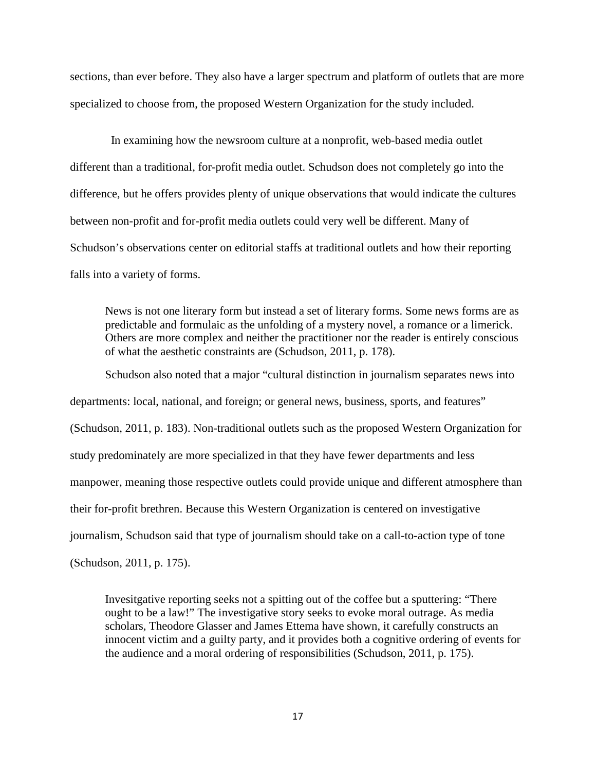sections, than ever before. They also have a larger spectrum and platform of outlets that are more specialized to choose from, the proposed Western Organization for the study included.

 In examining how the newsroom culture at a nonprofit, web-based media outlet different than a traditional, for-profit media outlet. Schudson does not completely go into the difference, but he offers provides plenty of unique observations that would indicate the cultures between non-profit and for-profit media outlets could very well be different. Many of Schudson's observations center on editorial staffs at traditional outlets and how their reporting falls into a variety of forms.

News is not one literary form but instead a set of literary forms. Some news forms are as predictable and formulaic as the unfolding of a mystery novel, a romance or a limerick. Others are more complex and neither the practitioner nor the reader is entirely conscious of what the aesthetic constraints are (Schudson, 2011, p. 178).

Schudson also noted that a major "cultural distinction in journalism separates news into departments: local, national, and foreign; or general news, business, sports, and features" (Schudson, 2011, p. 183). Non-traditional outlets such as the proposed Western Organization for study predominately are more specialized in that they have fewer departments and less manpower, meaning those respective outlets could provide unique and different atmosphere than their for-profit brethren. Because this Western Organization is centered on investigative journalism, Schudson said that type of journalism should take on a call-to-action type of tone (Schudson, 2011, p. 175).

Invesitgative reporting seeks not a spitting out of the coffee but a sputtering: "There ought to be a law!" The investigative story seeks to evoke moral outrage. As media scholars, Theodore Glasser and James Ettema have shown, it carefully constructs an innocent victim and a guilty party, and it provides both a cognitive ordering of events for the audience and a moral ordering of responsibilities (Schudson, 2011, p. 175).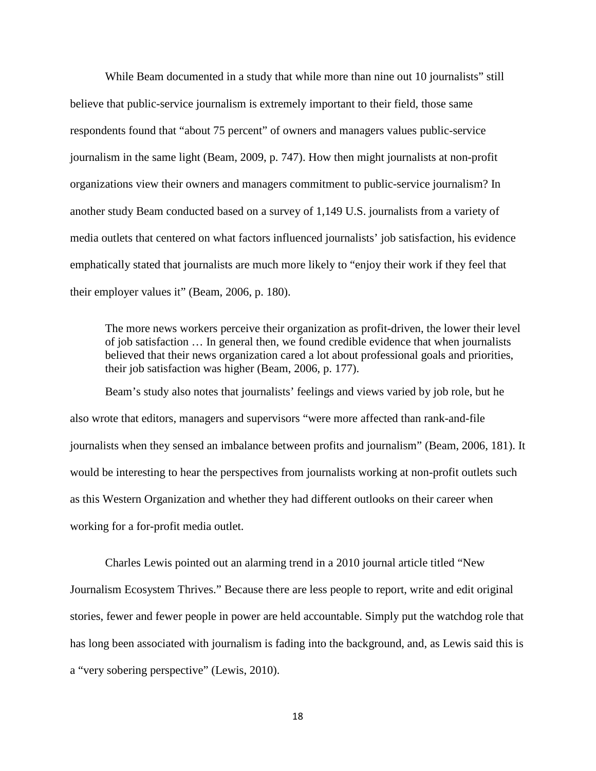While Beam documented in a study that while more than nine out 10 journalists" still believe that public-service journalism is extremely important to their field, those same respondents found that "about 75 percent" of owners and managers values public-service journalism in the same light (Beam, 2009, p. 747). How then might journalists at non-profit organizations view their owners and managers commitment to public-service journalism? In another study Beam conducted based on a survey of 1,149 U.S. journalists from a variety of media outlets that centered on what factors influenced journalists' job satisfaction, his evidence emphatically stated that journalists are much more likely to "enjoy their work if they feel that their employer values it" (Beam, 2006, p. 180).

The more news workers perceive their organization as profit-driven, the lower their level of job satisfaction … In general then, we found credible evidence that when journalists believed that their news organization cared a lot about professional goals and priorities, their job satisfaction was higher (Beam, 2006, p. 177).

Beam's study also notes that journalists' feelings and views varied by job role, but he also wrote that editors, managers and supervisors "were more affected than rank-and-file journalists when they sensed an imbalance between profits and journalism" (Beam, 2006, 181). It would be interesting to hear the perspectives from journalists working at non-profit outlets such as this Western Organization and whether they had different outlooks on their career when working for a for-profit media outlet.

Charles Lewis pointed out an alarming trend in a 2010 journal article titled "New Journalism Ecosystem Thrives." Because there are less people to report, write and edit original stories, fewer and fewer people in power are held accountable. Simply put the watchdog role that has long been associated with journalism is fading into the background, and, as Lewis said this is a "very sobering perspective" (Lewis, 2010).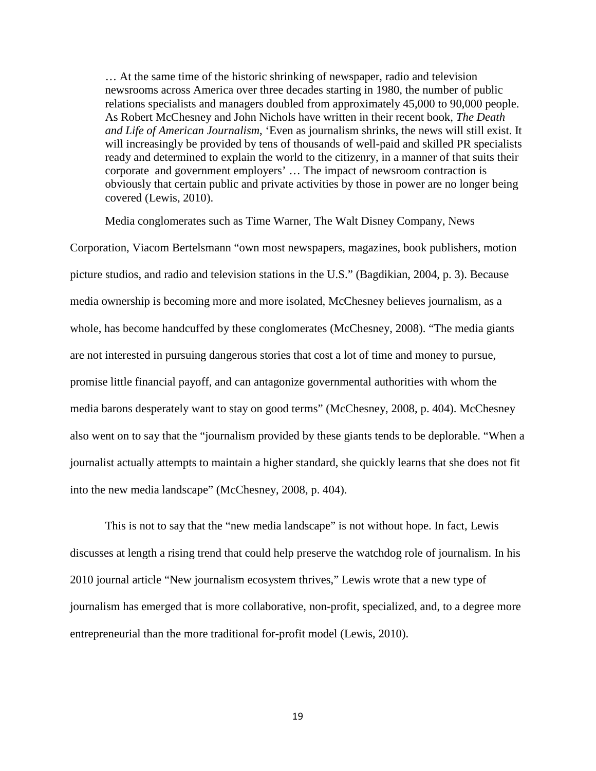… At the same time of the historic shrinking of newspaper, radio and television newsrooms across America over three decades starting in 1980, the number of public relations specialists and managers doubled from approximately 45,000 to 90,000 people. As Robert McChesney and John Nichols have written in their recent book, *The Death and Life of American Journalism*, 'Even as journalism shrinks, the news will still exist. It will increasingly be provided by tens of thousands of well-paid and skilled PR specialists ready and determined to explain the world to the citizenry, in a manner of that suits their corporate and government employers' … The impact of newsroom contraction is obviously that certain public and private activities by those in power are no longer being covered (Lewis, 2010).

Media conglomerates such as Time Warner, The Walt Disney Company, News

Corporation, Viacom Bertelsmann "own most newspapers, magazines, book publishers, motion picture studios, and radio and television stations in the U.S." (Bagdikian, 2004, p. 3). Because media ownership is becoming more and more isolated, McChesney believes journalism, as a whole, has become handcuffed by these conglomerates (McChesney, 2008). "The media giants are not interested in pursuing dangerous stories that cost a lot of time and money to pursue, promise little financial payoff, and can antagonize governmental authorities with whom the media barons desperately want to stay on good terms" (McChesney, 2008, p. 404). McChesney also went on to say that the "journalism provided by these giants tends to be deplorable. "When a journalist actually attempts to maintain a higher standard, she quickly learns that she does not fit into the new media landscape" (McChesney, 2008, p. 404).

This is not to say that the "new media landscape" is not without hope. In fact, Lewis discusses at length a rising trend that could help preserve the watchdog role of journalism. In his 2010 journal article "New journalism ecosystem thrives," Lewis wrote that a new type of journalism has emerged that is more collaborative, non-profit, specialized, and, to a degree more entrepreneurial than the more traditional for-profit model (Lewis, 2010).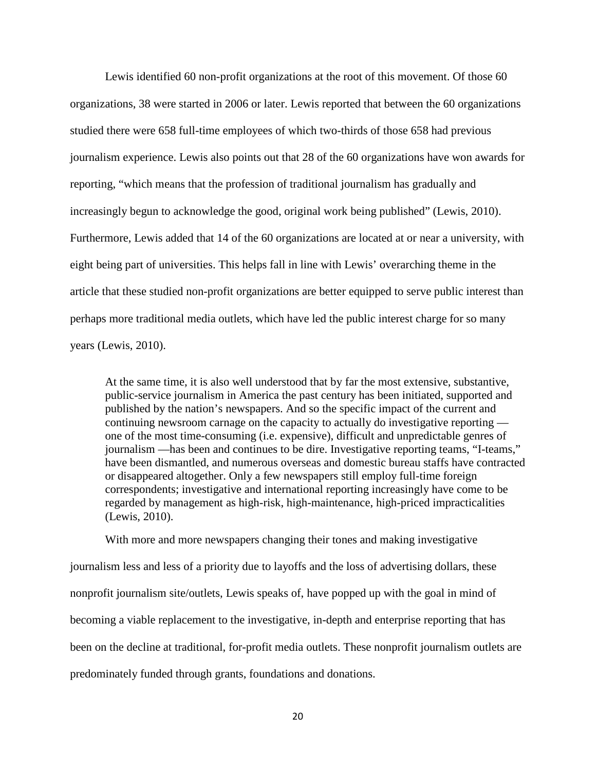Lewis identified 60 non-profit organizations at the root of this movement. Of those 60 organizations, 38 were started in 2006 or later. Lewis reported that between the 60 organizations studied there were 658 full-time employees of which two-thirds of those 658 had previous journalism experience. Lewis also points out that 28 of the 60 organizations have won awards for reporting, "which means that the profession of traditional journalism has gradually and increasingly begun to acknowledge the good, original work being published" (Lewis, 2010). Furthermore, Lewis added that 14 of the 60 organizations are located at or near a university, with eight being part of universities. This helps fall in line with Lewis' overarching theme in the article that these studied non-profit organizations are better equipped to serve public interest than perhaps more traditional media outlets, which have led the public interest charge for so many years (Lewis, 2010).

At the same time, it is also well understood that by far the most extensive, substantive, public-service journalism in America the past century has been initiated, supported and published by the nation's newspapers. And so the specific impact of the current and continuing newsroom carnage on the capacity to actually do investigative reporting one of the most time-consuming (i.e. expensive), difficult and unpredictable genres of journalism —has been and continues to be dire. Investigative reporting teams, "I-teams," have been dismantled, and numerous overseas and domestic bureau staffs have contracted or disappeared altogether. Only a few newspapers still employ full-time foreign correspondents; investigative and international reporting increasingly have come to be regarded by management as high-risk, high-maintenance, high-priced impracticalities (Lewis, 2010).

With more and more newspapers changing their tones and making investigative journalism less and less of a priority due to layoffs and the loss of advertising dollars, these nonprofit journalism site/outlets, Lewis speaks of, have popped up with the goal in mind of becoming a viable replacement to the investigative, in-depth and enterprise reporting that has been on the decline at traditional, for-profit media outlets. These nonprofit journalism outlets are predominately funded through grants, foundations and donations.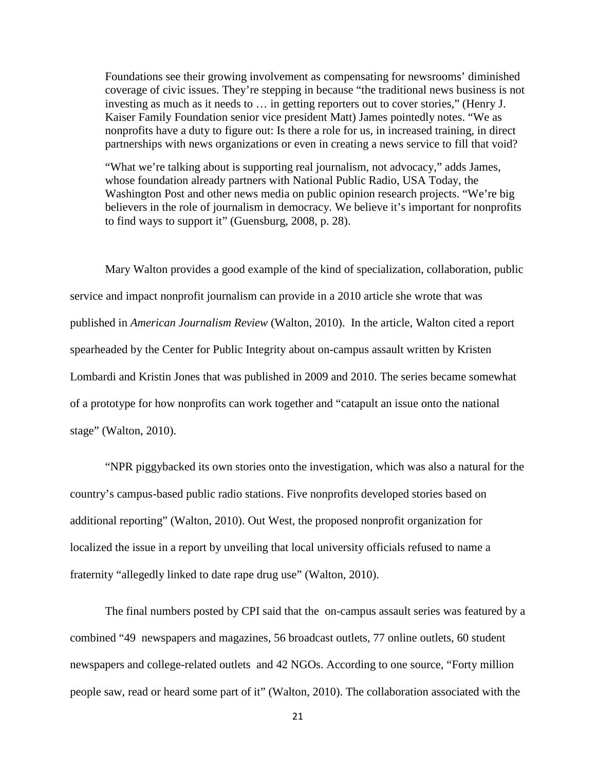Foundations see their growing involvement as compensating for newsrooms' diminished coverage of civic issues. They're stepping in because "the traditional news business is not investing as much as it needs to … in getting reporters out to cover stories," (Henry J. Kaiser Family Foundation senior vice president Matt) James pointedly notes. "We as nonprofits have a duty to figure out: Is there a role for us, in increased training, in direct partnerships with news organizations or even in creating a news service to fill that void?

"What we're talking about is supporting real journalism, not advocacy," adds James, whose foundation already partners with National Public Radio, USA Today, the Washington Post and other news media on public opinion research projects. "We're big believers in the role of journalism in democracy. We believe it's important for nonprofits to find ways to support it" (Guensburg, 2008, p. 28).

Mary Walton provides a good example of the kind of specialization, collaboration, public service and impact nonprofit journalism can provide in a 2010 article she wrote that was published in *American Journalism Review* (Walton, 2010).In the article, Walton cited a report spearheaded by the Center for Public Integrity about on-campus assault written by Kristen Lombardi and Kristin Jones that was published in 2009 and 2010. The series became somewhat of a prototype for how nonprofits can work together and "catapult an issue onto the national stage" (Walton, 2010).

"NPR piggybacked its own stories onto the investigation, which was also a natural for the country's campus-based public radio stations. Five nonprofits developed stories based on additional reporting" (Walton, 2010). Out West, the proposed nonprofit organization for localized the issue in a report by unveiling that local university officials refused to name a fraternity "allegedly linked to date rape drug use" (Walton, 2010).

The final numbers posted by CPI said that the on-campus assault series was featured by a combined "49 newspapers and magazines, 56 broadcast outlets, 77 online outlets, 60 student newspapers and college-related outlets and 42 NGOs. According to one source, "Forty million people saw, read or heard some part of it" (Walton, 2010). The collaboration associated with the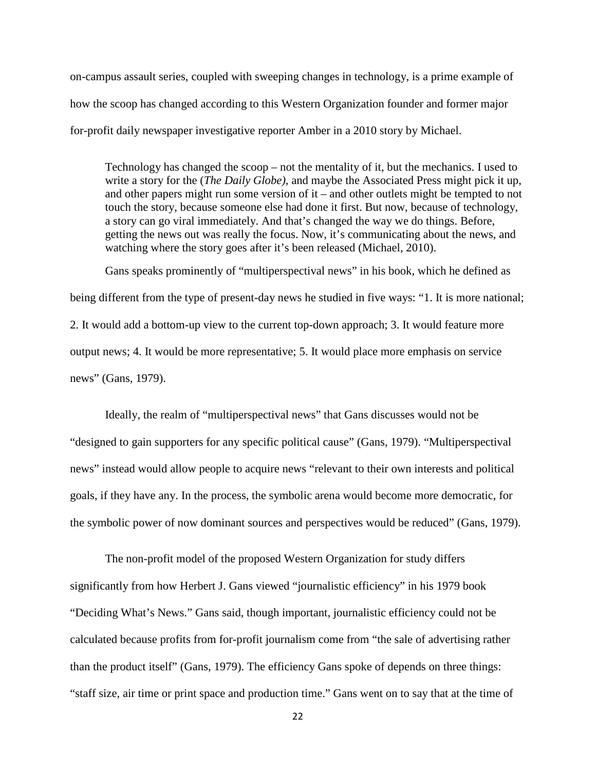on-campus assault series, coupled with sweeping changes in technology, is a prime example of how the scoop has changed according to this Western Organization founder and former major for-profit daily newspaper investigative reporter Amber in a 2010 story by Michael.

Technology has changed the scoop – not the mentality of it, but the mechanics. I used to write a story for the (*The Daily Globe)*, and maybe the Associated Press might pick it up, and other papers might run some version of it – and other outlets might be tempted to not touch the story, because someone else had done it first. But now, because of technology, a story can go viral immediately. And that's changed the way we do things. Before, getting the news out was really the focus. Now, it's communicating about the news, and watching where the story goes after it's been released (Michael, 2010).

Gans speaks prominently of "multiperspectival news" in his book, which he defined as being different from the type of present-day news he studied in five ways: "1. It is more national; 2. It would add a bottom-up view to the current top-down approach; 3. It would feature more output news; 4. It would be more representative; 5. It would place more emphasis on service news" (Gans, 1979).

Ideally, the realm of "multiperspectival news" that Gans discusses would not be "designed to gain supporters for any specific political cause" (Gans, 1979). "Multiperspectival news" instead would allow people to acquire news "relevant to their own interests and political goals, if they have any. In the process, the symbolic arena would become more democratic, for the symbolic power of now dominant sources and perspectives would be reduced" (Gans, 1979).

The non-profit model of the proposed Western Organization for study differs significantly from how Herbert J. Gans viewed "journalistic efficiency" in his 1979 book "Deciding What's News." Gans said, though important, journalistic efficiency could not be calculated because profits from for-profit journalism come from "the sale of advertising rather than the product itself" (Gans, 1979). The efficiency Gans spoke of depends on three things: "staff size, air time or print space and production time." Gans went on to say that at the time of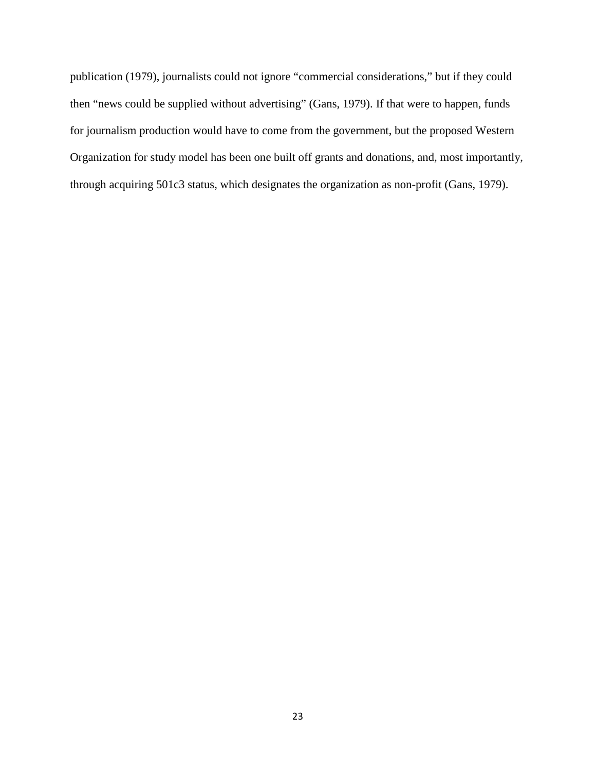publication (1979), journalists could not ignore "commercial considerations," but if they could then "news could be supplied without advertising" (Gans, 1979). If that were to happen, funds for journalism production would have to come from the government, but the proposed Western Organization for study model has been one built off grants and donations, and, most importantly, through acquiring 501c3 status, which designates the organization as non-profit (Gans, 1979).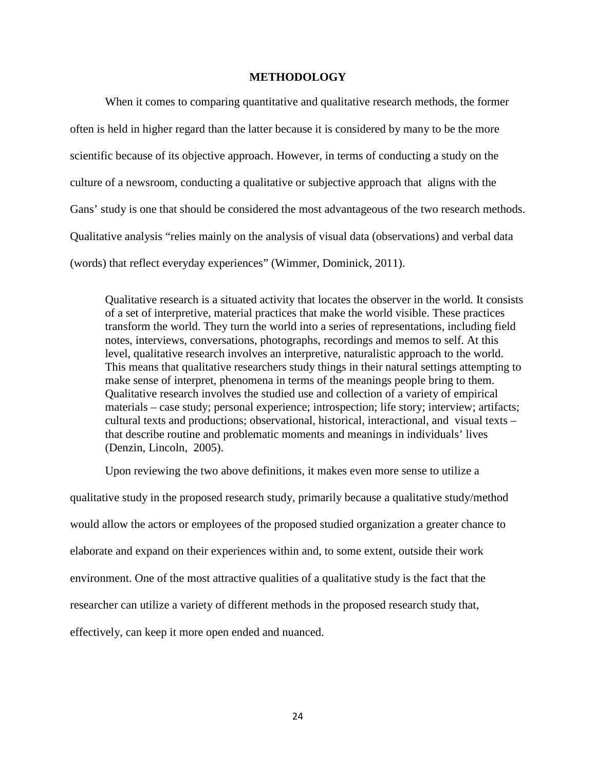## **METHODOLOGY**

When it comes to comparing quantitative and qualitative research methods, the former often is held in higher regard than the latter because it is considered by many to be the more scientific because of its objective approach. However, in terms of conducting a study on the culture of a newsroom, conducting a qualitative or subjective approach that aligns with the Gans' study is one that should be considered the most advantageous of the two research methods. Qualitative analysis "relies mainly on the analysis of visual data (observations) and verbal data (words) that reflect everyday experiences" (Wimmer, Dominick, 2011).

Qualitative research is a situated activity that locates the observer in the world. It consists of a set of interpretive, material practices that make the world visible. These practices transform the world. They turn the world into a series of representations, including field notes, interviews, conversations, photographs, recordings and memos to self. At this level, qualitative research involves an interpretive, naturalistic approach to the world. This means that qualitative researchers study things in their natural settings attempting to make sense of interpret, phenomena in terms of the meanings people bring to them. Qualitative research involves the studied use and collection of a variety of empirical materials – case study; personal experience; introspection; life story; interview; artifacts; cultural texts and productions; observational, historical, interactional, and visual texts – that describe routine and problematic moments and meanings in individuals' lives (Denzin, Lincoln, 2005).

Upon reviewing the two above definitions, it makes even more sense to utilize a

qualitative study in the proposed research study, primarily because a qualitative study/method would allow the actors or employees of the proposed studied organization a greater chance to elaborate and expand on their experiences within and, to some extent, outside their work environment. One of the most attractive qualities of a qualitative study is the fact that the researcher can utilize a variety of different methods in the proposed research study that, effectively, can keep it more open ended and nuanced.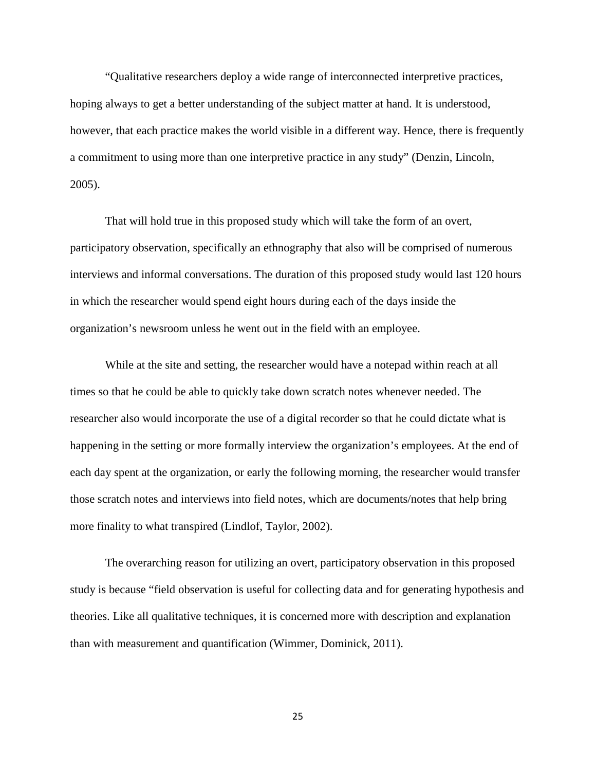"Qualitative researchers deploy a wide range of interconnected interpretive practices, hoping always to get a better understanding of the subject matter at hand. It is understood, however, that each practice makes the world visible in a different way. Hence, there is frequently a commitment to using more than one interpretive practice in any study" (Denzin, Lincoln, 2005).

That will hold true in this proposed study which will take the form of an overt, participatory observation, specifically an ethnography that also will be comprised of numerous interviews and informal conversations. The duration of this proposed study would last 120 hours in which the researcher would spend eight hours during each of the days inside the organization's newsroom unless he went out in the field with an employee.

While at the site and setting, the researcher would have a notepad within reach at all times so that he could be able to quickly take down scratch notes whenever needed. The researcher also would incorporate the use of a digital recorder so that he could dictate what is happening in the setting or more formally interview the organization's employees. At the end of each day spent at the organization, or early the following morning, the researcher would transfer those scratch notes and interviews into field notes, which are documents/notes that help bring more finality to what transpired (Lindlof, Taylor, 2002).

The overarching reason for utilizing an overt, participatory observation in this proposed study is because "field observation is useful for collecting data and for generating hypothesis and theories. Like all qualitative techniques, it is concerned more with description and explanation than with measurement and quantification (Wimmer, Dominick, 2011).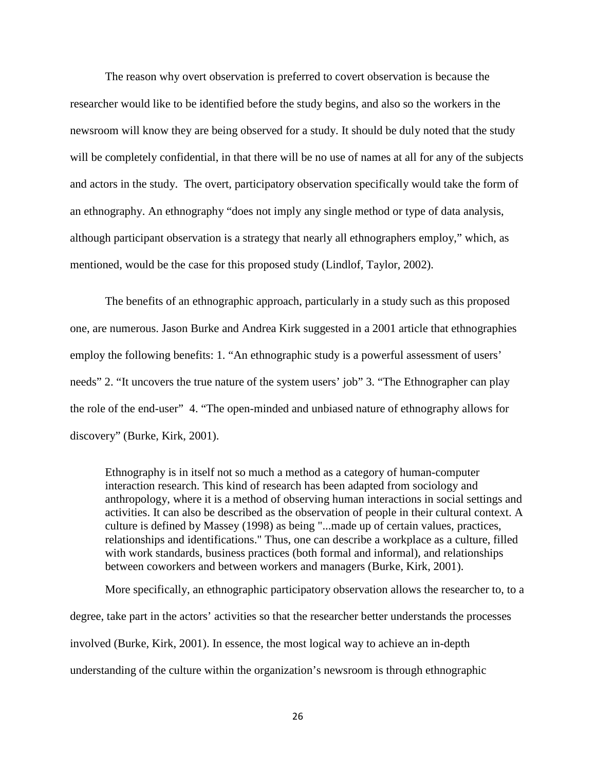The reason why overt observation is preferred to covert observation is because the researcher would like to be identified before the study begins, and also so the workers in the newsroom will know they are being observed for a study. It should be duly noted that the study will be completely confidential, in that there will be no use of names at all for any of the subjects and actors in the study. The overt, participatory observation specifically would take the form of an ethnography. An ethnography "does not imply any single method or type of data analysis, although participant observation is a strategy that nearly all ethnographers employ," which, as mentioned, would be the case for this proposed study (Lindlof, Taylor, 2002).

The benefits of an ethnographic approach, particularly in a study such as this proposed one, are numerous. Jason Burke and Andrea Kirk suggested in a 2001 article that ethnographies employ the following benefits: 1. "An ethnographic study is a powerful assessment of users' needs" 2. "It uncovers the true nature of the system users' job" 3. "The Ethnographer can play the role of the end-user" 4. "The open-minded and unbiased nature of ethnography allows for discovery" (Burke, Kirk, 2001).

Ethnography is in itself not so much a method as a category of human-computer interaction research. This kind of research has been adapted from sociology and anthropology, where it is a method of observing human interactions in social settings and activities. It can also be described as the observation of people in their cultural context. A culture is defined by Massey (1998) as being "...made up of certain values, practices, relationships and identifications." Thus, one can describe a workplace as a culture, filled with work standards, business practices (both formal and informal), and relationships between coworkers and between workers and managers (Burke, Kirk, 2001).

More specifically, an ethnographic participatory observation allows the researcher to, to a degree, take part in the actors' activities so that the researcher better understands the processes involved (Burke, Kirk, 2001). In essence, the most logical way to achieve an in-depth understanding of the culture within the organization's newsroom is through ethnographic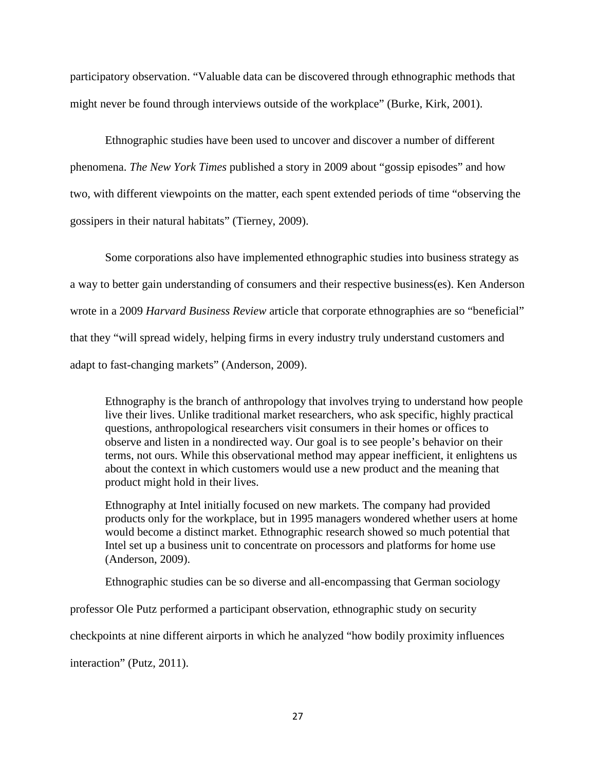participatory observation. "Valuable data can be discovered through ethnographic methods that might never be found through interviews outside of the workplace" (Burke, Kirk, 2001).

Ethnographic studies have been used to uncover and discover a number of different phenomena. *The New York Times* published a story in 2009 about "gossip episodes" and how two, with different viewpoints on the matter, each spent extended periods of time "observing the gossipers in their natural habitats" (Tierney, 2009).

Some corporations also have implemented ethnographic studies into business strategy as a way to better gain understanding of consumers and their respective business(es). Ken Anderson wrote in a 2009 *Harvard Business Review* article that corporate ethnographies are so "beneficial" that they "will spread widely, helping firms in every industry truly understand customers and adapt to fast-changing markets" (Anderson, 2009).

Ethnography is the branch of anthropology that involves trying to understand how people live their lives. Unlike traditional market researchers, who ask specific, highly practical questions, anthropological researchers visit consumers in their homes or offices to observe and listen in a nondirected way. Our goal is to see people's behavior on their terms, not ours. While this observational method may appear inefficient, it enlightens us about the context in which customers would use a new product and the meaning that product might hold in their lives.

Ethnography at Intel initially focused on new markets. The company had provided products only for the workplace, but in 1995 managers wondered whether users at home would become a distinct market. Ethnographic research showed so much potential that Intel set up a business unit to concentrate on processors and platforms for home use (Anderson, 2009).

Ethnographic studies can be so diverse and all-encompassing that German sociology

professor Ole Putz performed a participant observation, ethnographic study on security

checkpoints at nine different airports in which he analyzed "how bodily proximity influences

interaction" (Putz, 2011).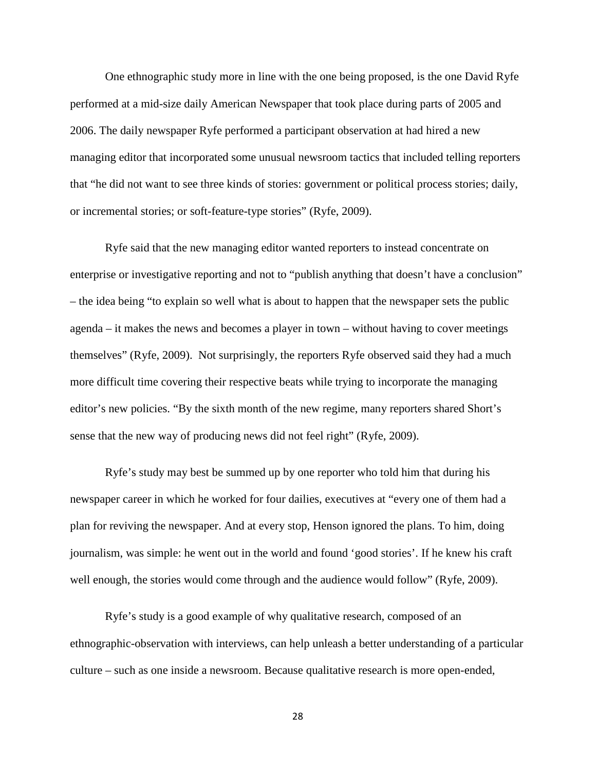One ethnographic study more in line with the one being proposed, is the one David Ryfe performed at a mid-size daily American Newspaper that took place during parts of 2005 and 2006. The daily newspaper Ryfe performed a participant observation at had hired a new managing editor that incorporated some unusual newsroom tactics that included telling reporters that "he did not want to see three kinds of stories: government or political process stories; daily, or incremental stories; or soft-feature-type stories" (Ryfe, 2009).

Ryfe said that the new managing editor wanted reporters to instead concentrate on enterprise or investigative reporting and not to "publish anything that doesn't have a conclusion" – the idea being "to explain so well what is about to happen that the newspaper sets the public agenda – it makes the news and becomes a player in town – without having to cover meetings themselves" (Ryfe, 2009). Not surprisingly, the reporters Ryfe observed said they had a much more difficult time covering their respective beats while trying to incorporate the managing editor's new policies. "By the sixth month of the new regime, many reporters shared Short's sense that the new way of producing news did not feel right" (Ryfe, 2009).

Ryfe's study may best be summed up by one reporter who told him that during his newspaper career in which he worked for four dailies, executives at "every one of them had a plan for reviving the newspaper. And at every stop, Henson ignored the plans. To him, doing journalism, was simple: he went out in the world and found 'good stories'. If he knew his craft well enough, the stories would come through and the audience would follow" (Ryfe, 2009).

Ryfe's study is a good example of why qualitative research, composed of an ethnographic-observation with interviews, can help unleash a better understanding of a particular culture – such as one inside a newsroom. Because qualitative research is more open-ended,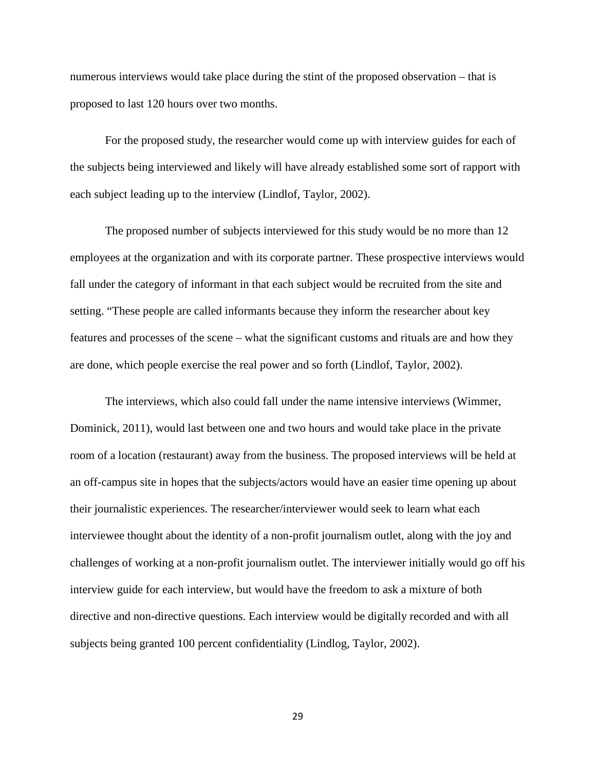numerous interviews would take place during the stint of the proposed observation – that is proposed to last 120 hours over two months.

For the proposed study, the researcher would come up with interview guides for each of the subjects being interviewed and likely will have already established some sort of rapport with each subject leading up to the interview (Lindlof, Taylor, 2002).

The proposed number of subjects interviewed for this study would be no more than 12 employees at the organization and with its corporate partner. These prospective interviews would fall under the category of informant in that each subject would be recruited from the site and setting. "These people are called informants because they inform the researcher about key features and processes of the scene – what the significant customs and rituals are and how they are done, which people exercise the real power and so forth (Lindlof, Taylor, 2002).

The interviews, which also could fall under the name intensive interviews (Wimmer, Dominick, 2011), would last between one and two hours and would take place in the private room of a location (restaurant) away from the business. The proposed interviews will be held at an off-campus site in hopes that the subjects/actors would have an easier time opening up about their journalistic experiences. The researcher/interviewer would seek to learn what each interviewee thought about the identity of a non-profit journalism outlet, along with the joy and challenges of working at a non-profit journalism outlet. The interviewer initially would go off his interview guide for each interview, but would have the freedom to ask a mixture of both directive and non-directive questions. Each interview would be digitally recorded and with all subjects being granted 100 percent confidentiality (Lindlog, Taylor, 2002).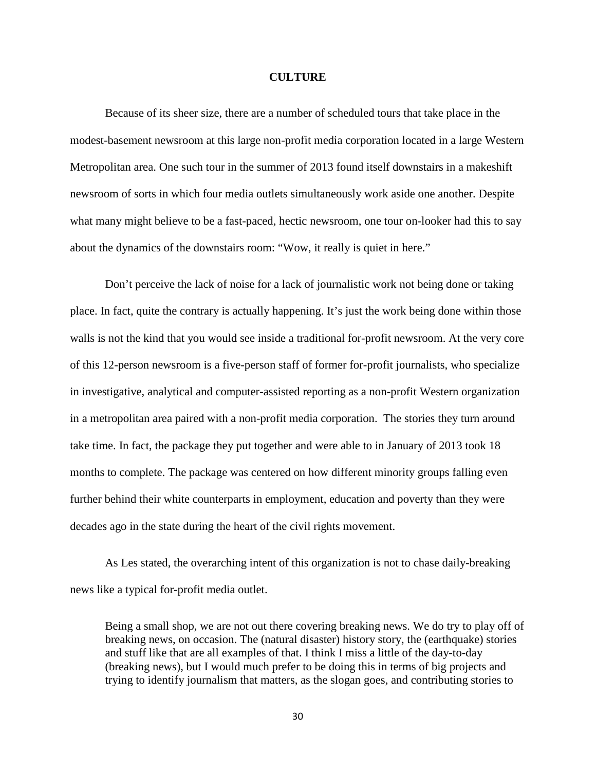### **CULTURE**

Because of its sheer size, there are a number of scheduled tours that take place in the modest-basement newsroom at this large non-profit media corporation located in a large Western Metropolitan area. One such tour in the summer of 2013 found itself downstairs in a makeshift newsroom of sorts in which four media outlets simultaneously work aside one another. Despite what many might believe to be a fast-paced, hectic newsroom, one tour on-looker had this to say about the dynamics of the downstairs room: "Wow, it really is quiet in here."

Don't perceive the lack of noise for a lack of journalistic work not being done or taking place. In fact, quite the contrary is actually happening. It's just the work being done within those walls is not the kind that you would see inside a traditional for-profit newsroom. At the very core of this 12-person newsroom is a five-person staff of former for-profit journalists, who specialize in investigative, analytical and computer-assisted reporting as a non-profit Western organization in a metropolitan area paired with a non-profit media corporation. The stories they turn around take time. In fact, the package they put together and were able to in January of 2013 took 18 months to complete. The package was centered on how different minority groups falling even further behind their white counterparts in employment, education and poverty than they were decades ago in the state during the heart of the civil rights movement.

As Les stated, the overarching intent of this organization is not to chase daily-breaking news like a typical for-profit media outlet.

Being a small shop, we are not out there covering breaking news. We do try to play off of breaking news, on occasion. The (natural disaster) history story, the (earthquake) stories and stuff like that are all examples of that. I think I miss a little of the day-to-day (breaking news), but I would much prefer to be doing this in terms of big projects and trying to identify journalism that matters, as the slogan goes, and contributing stories to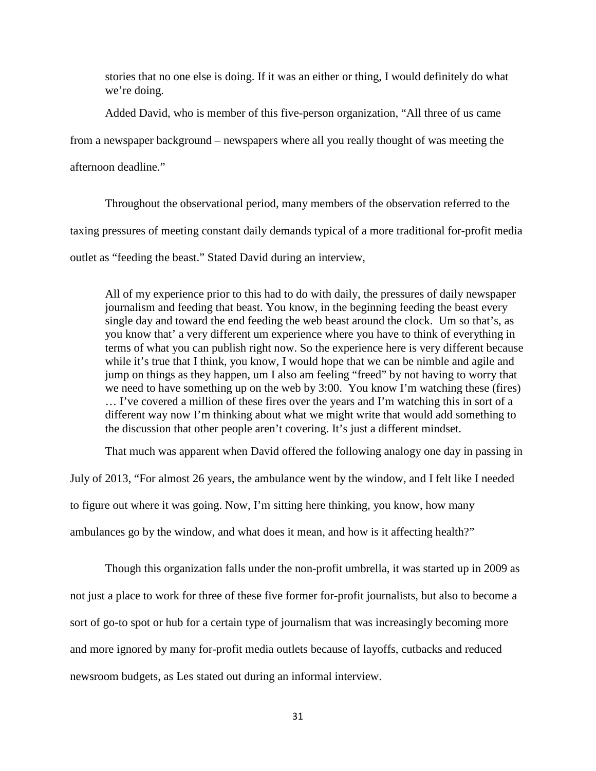stories that no one else is doing. If it was an either or thing, I would definitely do what we're doing.

Added David, who is member of this five-person organization, "All three of us came

from a newspaper background – newspapers where all you really thought of was meeting the

afternoon deadline."

Throughout the observational period, many members of the observation referred to the taxing pressures of meeting constant daily demands typical of a more traditional for-profit media outlet as "feeding the beast." Stated David during an interview,

All of my experience prior to this had to do with daily, the pressures of daily newspaper journalism and feeding that beast. You know, in the beginning feeding the beast every single day and toward the end feeding the web beast around the clock. Um so that's, as you know that' a very different um experience where you have to think of everything in terms of what you can publish right now. So the experience here is very different because while it's true that I think, you know, I would hope that we can be nimble and agile and jump on things as they happen, um I also am feeling "freed" by not having to worry that we need to have something up on the web by 3:00. You know I'm watching these (fires) … I've covered a million of these fires over the years and I'm watching this in sort of a different way now I'm thinking about what we might write that would add something to the discussion that other people aren't covering. It's just a different mindset.

That much was apparent when David offered the following analogy one day in passing in

July of 2013, "For almost 26 years, the ambulance went by the window, and I felt like I needed

to figure out where it was going. Now, I'm sitting here thinking, you know, how many

ambulances go by the window, and what does it mean, and how is it affecting health?"

Though this organization falls under the non-profit umbrella, it was started up in 2009 as not just a place to work for three of these five former for-profit journalists, but also to become a sort of go-to spot or hub for a certain type of journalism that was increasingly becoming more and more ignored by many for-profit media outlets because of layoffs, cutbacks and reduced newsroom budgets, as Les stated out during an informal interview.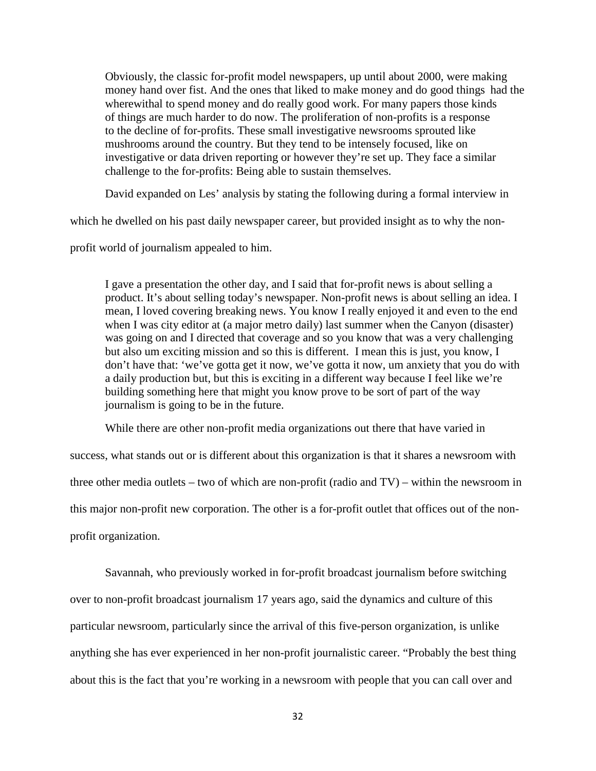Obviously, the classic for-profit model newspapers, up until about 2000, were making money hand over fist. And the ones that liked to make money and do good things had the wherewithal to spend money and do really good work. For many papers those kinds of things are much harder to do now. The proliferation of non-profits is a response to the decline of for-profits. These small investigative newsrooms sprouted like mushrooms around the country. But they tend to be intensely focused, like on investigative or data driven reporting or however they're set up. They face a similar challenge to the for-profits: Being able to sustain themselves.

David expanded on Les' analysis by stating the following during a formal interview in

which he dwelled on his past daily newspaper career, but provided insight as to why the non-

profit world of journalism appealed to him.

I gave a presentation the other day, and I said that for-profit news is about selling a product. It's about selling today's newspaper. Non-profit news is about selling an idea. I mean, I loved covering breaking news. You know I really enjoyed it and even to the end when I was city editor at (a major metro daily) last summer when the Canyon (disaster) was going on and I directed that coverage and so you know that was a very challenging but also um exciting mission and so this is different. I mean this is just, you know, I don't have that: 'we've gotta get it now, we've gotta it now, um anxiety that you do with a daily production but, but this is exciting in a different way because I feel like we're building something here that might you know prove to be sort of part of the way journalism is going to be in the future.

While there are other non-profit media organizations out there that have varied in

success, what stands out or is different about this organization is that it shares a newsroom with three other media outlets – two of which are non-profit (radio and TV) – within the newsroom in this major non-profit new corporation. The other is a for-profit outlet that offices out of the nonprofit organization.

Savannah, who previously worked in for-profit broadcast journalism before switching over to non-profit broadcast journalism 17 years ago, said the dynamics and culture of this particular newsroom, particularly since the arrival of this five-person organization, is unlike anything she has ever experienced in her non-profit journalistic career. "Probably the best thing about this is the fact that you're working in a newsroom with people that you can call over and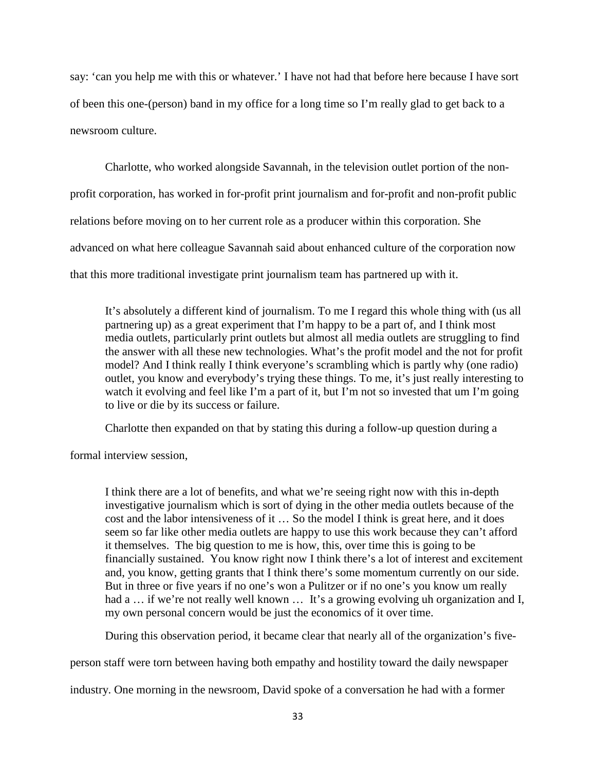say: 'can you help me with this or whatever.' I have not had that before here because I have sort of been this one-(person) band in my office for a long time so I'm really glad to get back to a newsroom culture.

Charlotte, who worked alongside Savannah, in the television outlet portion of the nonprofit corporation, has worked in for-profit print journalism and for-profit and non-profit public relations before moving on to her current role as a producer within this corporation. She advanced on what here colleague Savannah said about enhanced culture of the corporation now that this more traditional investigate print journalism team has partnered up with it.

It's absolutely a different kind of journalism. To me I regard this whole thing with (us all partnering up) as a great experiment that I'm happy to be a part of, and I think most media outlets, particularly print outlets but almost all media outlets are struggling to find the answer with all these new technologies. What's the profit model and the not for profit model? And I think really I think everyone's scrambling which is partly why (one radio) outlet, you know and everybody's trying these things. To me, it's just really interesting to watch it evolving and feel like I'm a part of it, but I'm not so invested that um I'm going to live or die by its success or failure.

Charlotte then expanded on that by stating this during a follow-up question during a

formal interview session,

I think there are a lot of benefits, and what we're seeing right now with this in-depth investigative journalism which is sort of dying in the other media outlets because of the cost and the labor intensiveness of it … So the model I think is great here, and it does seem so far like other media outlets are happy to use this work because they can't afford it themselves. The big question to me is how, this, over time this is going to be financially sustained. You know right now I think there's a lot of interest and excitement and, you know, getting grants that I think there's some momentum currently on our side. But in three or five years if no one's won a Pulitzer or if no one's you know um really had a ... if we're not really well known ... It's a growing evolving uh organization and I, my own personal concern would be just the economics of it over time.

During this observation period, it became clear that nearly all of the organization's five-

person staff were torn between having both empathy and hostility toward the daily newspaper

industry. One morning in the newsroom, David spoke of a conversation he had with a former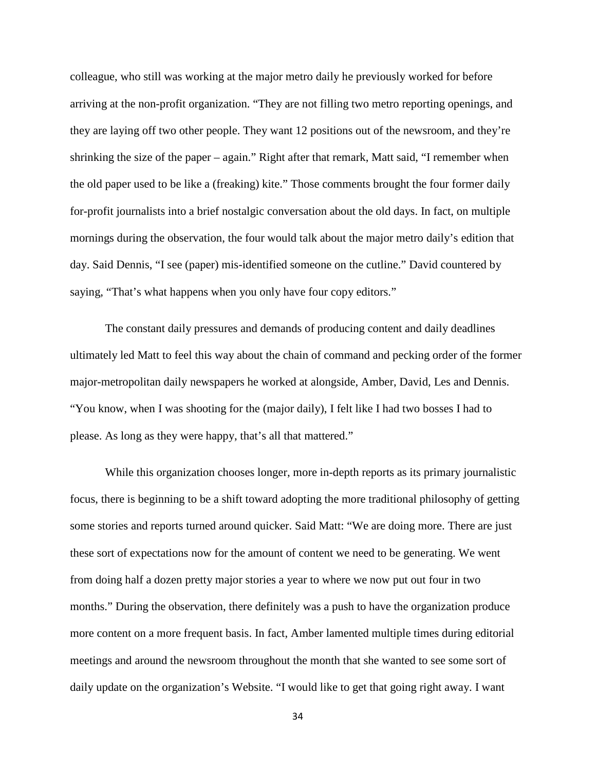colleague, who still was working at the major metro daily he previously worked for before arriving at the non-profit organization. "They are not filling two metro reporting openings, and they are laying off two other people. They want 12 positions out of the newsroom, and they're shrinking the size of the paper – again." Right after that remark, Matt said, "I remember when the old paper used to be like a (freaking) kite." Those comments brought the four former daily for-profit journalists into a brief nostalgic conversation about the old days. In fact, on multiple mornings during the observation, the four would talk about the major metro daily's edition that day. Said Dennis, "I see (paper) mis-identified someone on the cutline." David countered by saying, "That's what happens when you only have four copy editors."

The constant daily pressures and demands of producing content and daily deadlines ultimately led Matt to feel this way about the chain of command and pecking order of the former major-metropolitan daily newspapers he worked at alongside, Amber, David, Les and Dennis. "You know, when I was shooting for the (major daily), I felt like I had two bosses I had to please. As long as they were happy, that's all that mattered."

While this organization chooses longer, more in-depth reports as its primary journalistic focus, there is beginning to be a shift toward adopting the more traditional philosophy of getting some stories and reports turned around quicker. Said Matt: "We are doing more. There are just these sort of expectations now for the amount of content we need to be generating. We went from doing half a dozen pretty major stories a year to where we now put out four in two months." During the observation, there definitely was a push to have the organization produce more content on a more frequent basis. In fact, Amber lamented multiple times during editorial meetings and around the newsroom throughout the month that she wanted to see some sort of daily update on the organization's Website. "I would like to get that going right away. I want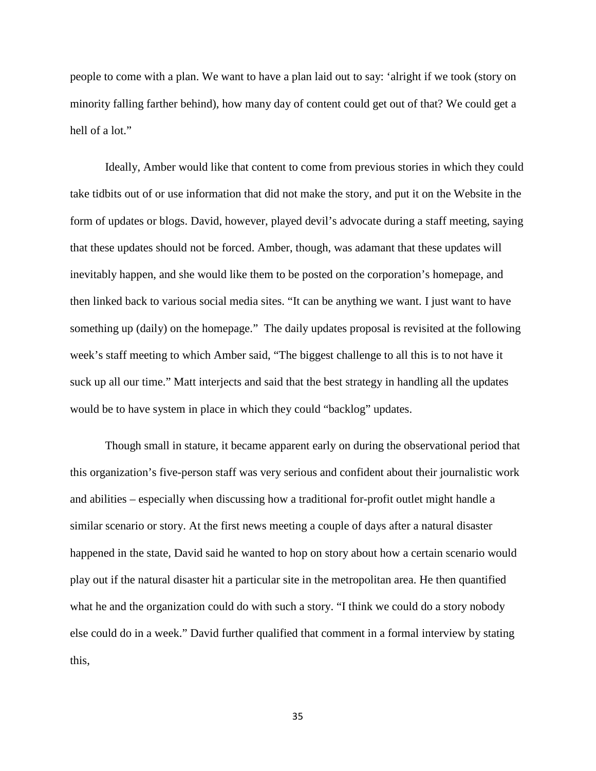people to come with a plan. We want to have a plan laid out to say: 'alright if we took (story on minority falling farther behind), how many day of content could get out of that? We could get a hell of a lot."

Ideally, Amber would like that content to come from previous stories in which they could take tidbits out of or use information that did not make the story, and put it on the Website in the form of updates or blogs. David, however, played devil's advocate during a staff meeting, saying that these updates should not be forced. Amber, though, was adamant that these updates will inevitably happen, and she would like them to be posted on the corporation's homepage, and then linked back to various social media sites. "It can be anything we want. I just want to have something up (daily) on the homepage." The daily updates proposal is revisited at the following week's staff meeting to which Amber said, "The biggest challenge to all this is to not have it suck up all our time." Matt interjects and said that the best strategy in handling all the updates would be to have system in place in which they could "backlog" updates.

Though small in stature, it became apparent early on during the observational period that this organization's five-person staff was very serious and confident about their journalistic work and abilities – especially when discussing how a traditional for-profit outlet might handle a similar scenario or story. At the first news meeting a couple of days after a natural disaster happened in the state, David said he wanted to hop on story about how a certain scenario would play out if the natural disaster hit a particular site in the metropolitan area. He then quantified what he and the organization could do with such a story. "I think we could do a story nobody else could do in a week." David further qualified that comment in a formal interview by stating this,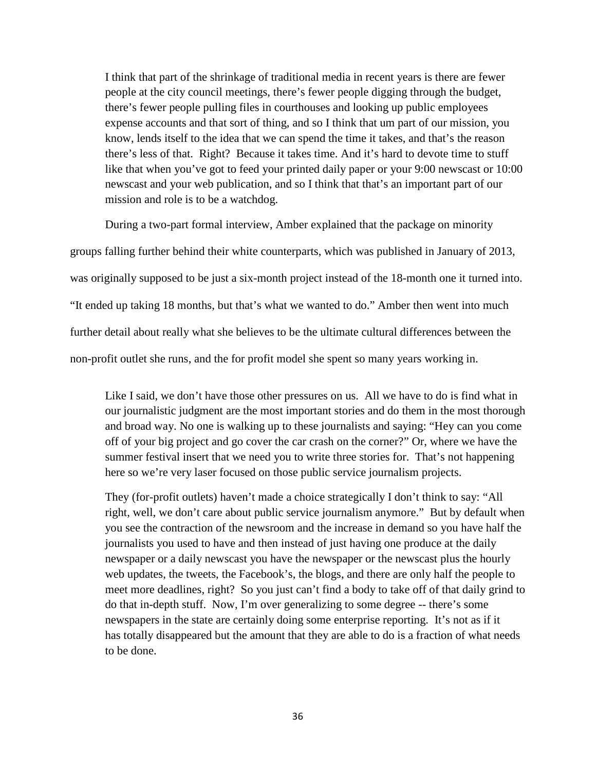I think that part of the shrinkage of traditional media in recent years is there are fewer people at the city council meetings, there's fewer people digging through the budget, there's fewer people pulling files in courthouses and looking up public employees expense accounts and that sort of thing, and so I think that um part of our mission, you know, lends itself to the idea that we can spend the time it takes, and that's the reason there's less of that. Right? Because it takes time. And it's hard to devote time to stuff like that when you've got to feed your printed daily paper or your 9:00 newscast or 10:00 newscast and your web publication, and so I think that that's an important part of our mission and role is to be a watchdog.

During a two-part formal interview, Amber explained that the package on minority groups falling further behind their white counterparts, which was published in January of 2013, was originally supposed to be just a six-month project instead of the 18-month one it turned into. "It ended up taking 18 months, but that's what we wanted to do." Amber then went into much further detail about really what she believes to be the ultimate cultural differences between the non-profit outlet she runs, and the for profit model she spent so many years working in.

Like I said, we don't have those other pressures on us. All we have to do is find what in our journalistic judgment are the most important stories and do them in the most thorough and broad way. No one is walking up to these journalists and saying: "Hey can you come off of your big project and go cover the car crash on the corner?" Or, where we have the summer festival insert that we need you to write three stories for. That's not happening here so we're very laser focused on those public service journalism projects.

They (for-profit outlets) haven't made a choice strategically I don't think to say: "All right, well, we don't care about public service journalism anymore." But by default when you see the contraction of the newsroom and the increase in demand so you have half the journalists you used to have and then instead of just having one produce at the daily newspaper or a daily newscast you have the newspaper or the newscast plus the hourly web updates, the tweets, the Facebook's, the blogs, and there are only half the people to meet more deadlines, right? So you just can't find a body to take off of that daily grind to do that in-depth stuff. Now, I'm over generalizing to some degree -- there's some newspapers in the state are certainly doing some enterprise reporting. It's not as if it has totally disappeared but the amount that they are able to do is a fraction of what needs to be done.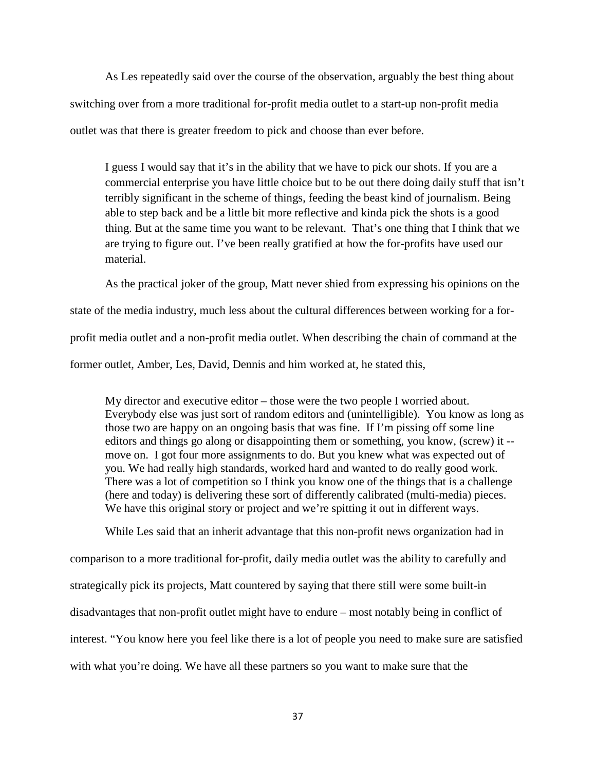As Les repeatedly said over the course of the observation, arguably the best thing about switching over from a more traditional for-profit media outlet to a start-up non-profit media outlet was that there is greater freedom to pick and choose than ever before.

I guess I would say that it's in the ability that we have to pick our shots. If you are a commercial enterprise you have little choice but to be out there doing daily stuff that isn't terribly significant in the scheme of things, feeding the beast kind of journalism. Being able to step back and be a little bit more reflective and kinda pick the shots is a good thing. But at the same time you want to be relevant. That's one thing that I think that we are trying to figure out. I've been really gratified at how the for-profits have used our material.

As the practical joker of the group, Matt never shied from expressing his opinions on the state of the media industry, much less about the cultural differences between working for a forprofit media outlet and a non-profit media outlet. When describing the chain of command at the former outlet, Amber, Les, David, Dennis and him worked at, he stated this,

My director and executive editor – those were the two people I worried about. Everybody else was just sort of random editors and (unintelligible). You know as long as those two are happy on an ongoing basis that was fine. If I'm pissing off some line editors and things go along or disappointing them or something, you know, (screw) it - move on. I got four more assignments to do. But you knew what was expected out of you. We had really high standards, worked hard and wanted to do really good work. There was a lot of competition so I think you know one of the things that is a challenge (here and today) is delivering these sort of differently calibrated (multi-media) pieces. We have this original story or project and we're spitting it out in different ways.

While Les said that an inherit advantage that this non-profit news organization had in comparison to a more traditional for-profit, daily media outlet was the ability to carefully and strategically pick its projects, Matt countered by saying that there still were some built-in disadvantages that non-profit outlet might have to endure – most notably being in conflict of interest. "You know here you feel like there is a lot of people you need to make sure are satisfied with what you're doing. We have all these partners so you want to make sure that the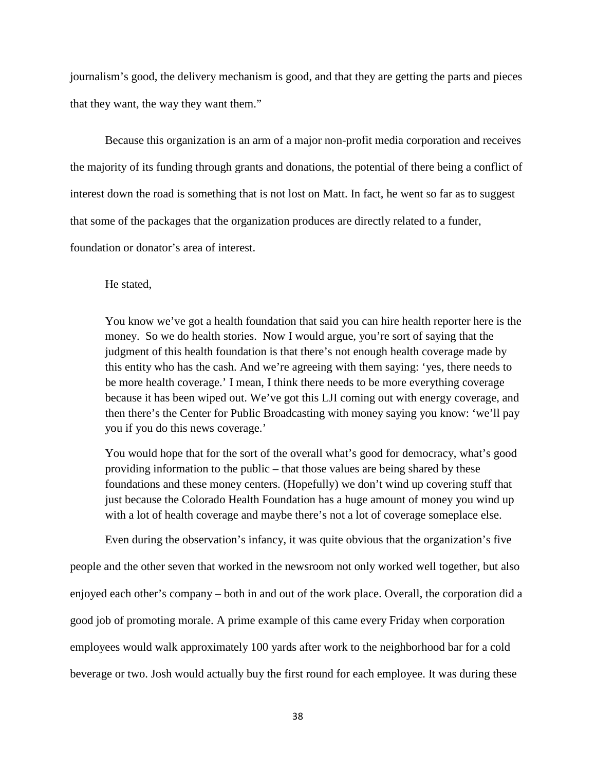journalism's good, the delivery mechanism is good, and that they are getting the parts and pieces that they want, the way they want them."

Because this organization is an arm of a major non-profit media corporation and receives the majority of its funding through grants and donations, the potential of there being a conflict of interest down the road is something that is not lost on Matt. In fact, he went so far as to suggest that some of the packages that the organization produces are directly related to a funder, foundation or donator's area of interest.

He stated,

You know we've got a health foundation that said you can hire health reporter here is the money. So we do health stories. Now I would argue, you're sort of saying that the judgment of this health foundation is that there's not enough health coverage made by this entity who has the cash. And we're agreeing with them saying: 'yes, there needs to be more health coverage.' I mean, I think there needs to be more everything coverage because it has been wiped out. We've got this LJI coming out with energy coverage, and then there's the Center for Public Broadcasting with money saying you know: 'we'll pay you if you do this news coverage.'

You would hope that for the sort of the overall what's good for democracy, what's good providing information to the public – that those values are being shared by these foundations and these money centers. (Hopefully) we don't wind up covering stuff that just because the Colorado Health Foundation has a huge amount of money you wind up with a lot of health coverage and maybe there's not a lot of coverage someplace else.

Even during the observation's infancy, it was quite obvious that the organization's five people and the other seven that worked in the newsroom not only worked well together, but also enjoyed each other's company – both in and out of the work place. Overall, the corporation did a good job of promoting morale. A prime example of this came every Friday when corporation employees would walk approximately 100 yards after work to the neighborhood bar for a cold beverage or two. Josh would actually buy the first round for each employee. It was during these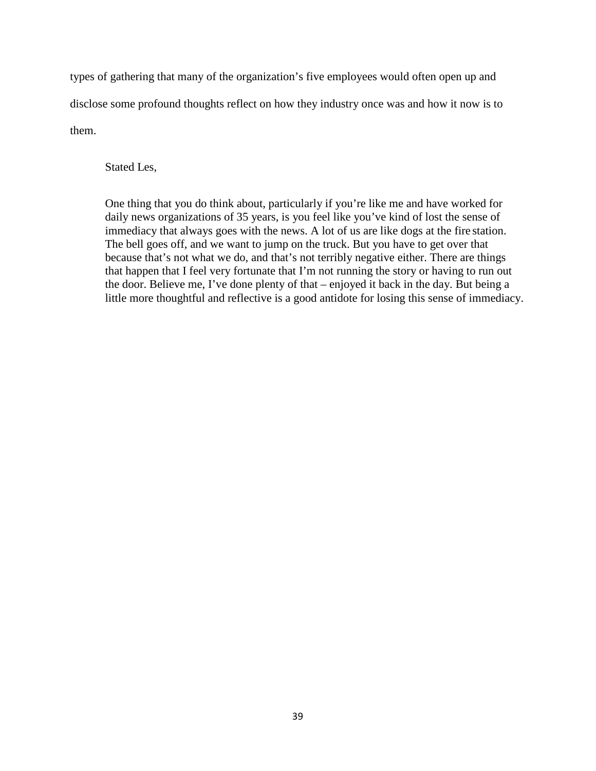types of gathering that many of the organization's five employees would often open up and disclose some profound thoughts reflect on how they industry once was and how it now is to them.

Stated Les,

One thing that you do think about, particularly if you're like me and have worked for daily news organizations of 35 years, is you feel like you've kind of lost the sense of immediacy that always goes with the news. A lot of us are like dogs at the fire station. The bell goes off, and we want to jump on the truck. But you have to get over that because that's not what we do, and that's not terribly negative either. There are things that happen that I feel very fortunate that I'm not running the story or having to run out the door. Believe me, I've done plenty of that – enjoyed it back in the day. But being a little more thoughtful and reflective is a good antidote for losing this sense of immediacy.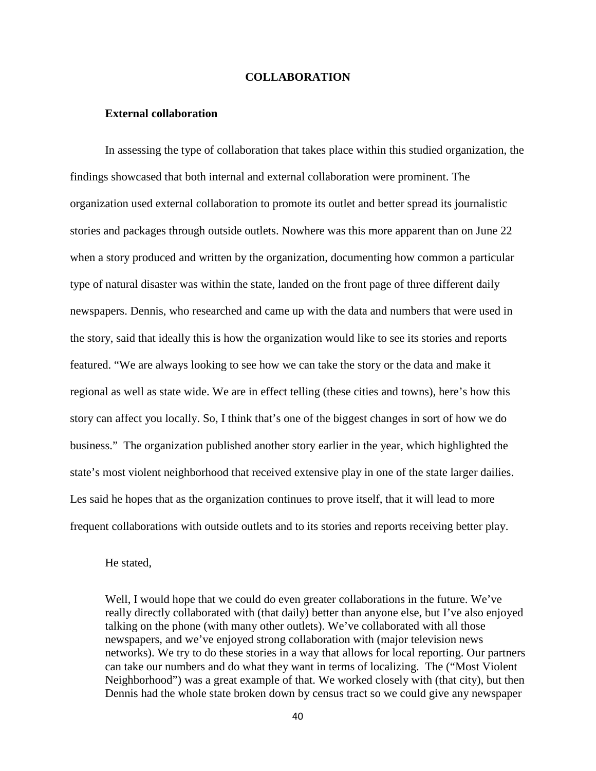# **COLLABORATION**

# **External collaboration**

In assessing the type of collaboration that takes place within this studied organization, the findings showcased that both internal and external collaboration were prominent. The organization used external collaboration to promote its outlet and better spread its journalistic stories and packages through outside outlets. Nowhere was this more apparent than on June 22 when a story produced and written by the organization, documenting how common a particular type of natural disaster was within the state, landed on the front page of three different daily newspapers. Dennis, who researched and came up with the data and numbers that were used in the story, said that ideally this is how the organization would like to see its stories and reports featured. "We are always looking to see how we can take the story or the data and make it regional as well as state wide. We are in effect telling (these cities and towns), here's how this story can affect you locally. So, I think that's one of the biggest changes in sort of how we do business." The organization published another story earlier in the year, which highlighted the state's most violent neighborhood that received extensive play in one of the state larger dailies. Les said he hopes that as the organization continues to prove itself, that it will lead to more frequent collaborations with outside outlets and to its stories and reports receiving better play.

He stated,

Well, I would hope that we could do even greater collaborations in the future. We've really directly collaborated with (that daily) better than anyone else, but I've also enjoyed talking on the phone (with many other outlets). We've collaborated with all those newspapers, and we've enjoyed strong collaboration with (major television news networks). We try to do these stories in a way that allows for local reporting. Our partners can take our numbers and do what they want in terms of localizing. The ("Most Violent Neighborhood") was a great example of that. We worked closely with (that city), but then Dennis had the whole state broken down by census tract so we could give any newspaper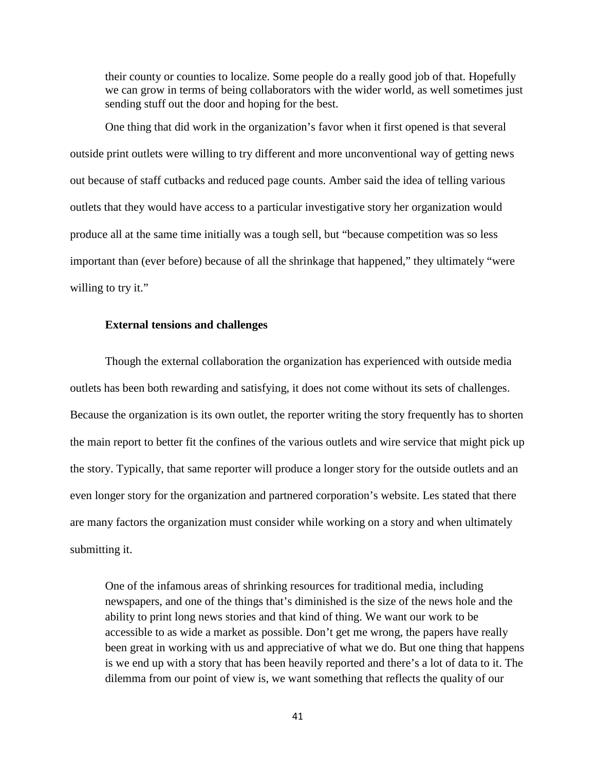their county or counties to localize. Some people do a really good job of that. Hopefully we can grow in terms of being collaborators with the wider world, as well sometimes just sending stuff out the door and hoping for the best.

One thing that did work in the organization's favor when it first opened is that several outside print outlets were willing to try different and more unconventional way of getting news out because of staff cutbacks and reduced page counts. Amber said the idea of telling various outlets that they would have access to a particular investigative story her organization would produce all at the same time initially was a tough sell, but "because competition was so less important than (ever before) because of all the shrinkage that happened," they ultimately "were willing to try it."

# **External tensions and challenges**

Though the external collaboration the organization has experienced with outside media outlets has been both rewarding and satisfying, it does not come without its sets of challenges. Because the organization is its own outlet, the reporter writing the story frequently has to shorten the main report to better fit the confines of the various outlets and wire service that might pick up the story. Typically, that same reporter will produce a longer story for the outside outlets and an even longer story for the organization and partnered corporation's website. Les stated that there are many factors the organization must consider while working on a story and when ultimately submitting it.

One of the infamous areas of shrinking resources for traditional media, including newspapers, and one of the things that's diminished is the size of the news hole and the ability to print long news stories and that kind of thing. We want our work to be accessible to as wide a market as possible. Don't get me wrong, the papers have really been great in working with us and appreciative of what we do. But one thing that happens is we end up with a story that has been heavily reported and there's a lot of data to it. The dilemma from our point of view is, we want something that reflects the quality of our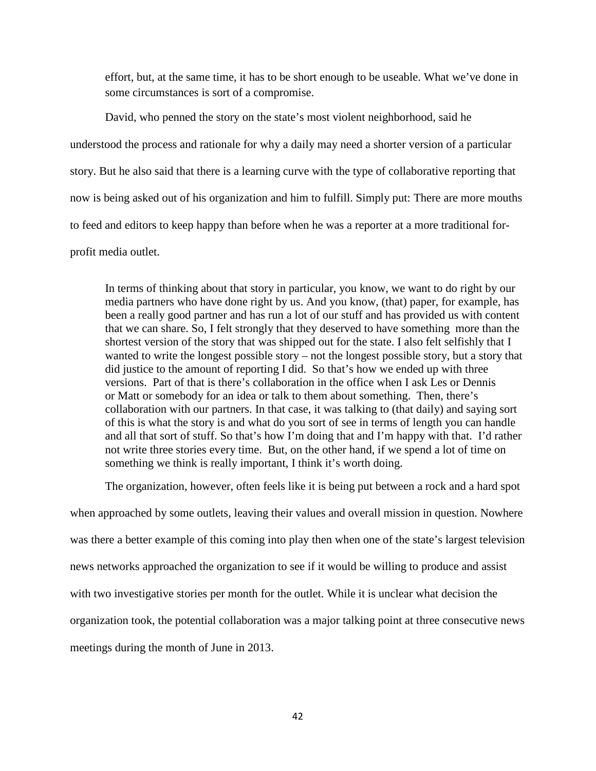effort, but, at the same time, it has to be short enough to be useable. What we've done in some circumstances is sort of a compromise.

David, who penned the story on the state's most violent neighborhood, said he understood the process and rationale for why a daily may need a shorter version of a particular story. But he also said that there is a learning curve with the type of collaborative reporting that now is being asked out of his organization and him to fulfill. Simply put: There are more mouths to feed and editors to keep happy than before when he was a reporter at a more traditional forprofit media outlet.

In terms of thinking about that story in particular, you know, we want to do right by our media partners who have done right by us. And you know, (that) paper, for example, has been a really good partner and has run a lot of our stuff and has provided us with content that we can share. So, I felt strongly that they deserved to have something more than the shortest version of the story that was shipped out for the state. I also felt selfishly that I wanted to write the longest possible story – not the longest possible story, but a story that did justice to the amount of reporting I did. So that's how we ended up with three versions. Part of that is there's collaboration in the office when I ask Les or Dennis or Matt or somebody for an idea or talk to them about something. Then, there's collaboration with our partners. In that case, it was talking to (that daily) and saying sort of this is what the story is and what do you sort of see in terms of length you can handle and all that sort of stuff. So that's how I'm doing that and I'm happy with that. I'd rather not write three stories every time. But, on the other hand, if we spend a lot of time on something we think is really important, I think it's worth doing.

The organization, however, often feels like it is being put between a rock and a hard spot

when approached by some outlets, leaving their values and overall mission in question. Nowhere was there a better example of this coming into play then when one of the state's largest television news networks approached the organization to see if it would be willing to produce and assist with two investigative stories per month for the outlet. While it is unclear what decision the organization took, the potential collaboration was a major talking point at three consecutive news meetings during the month of June in 2013.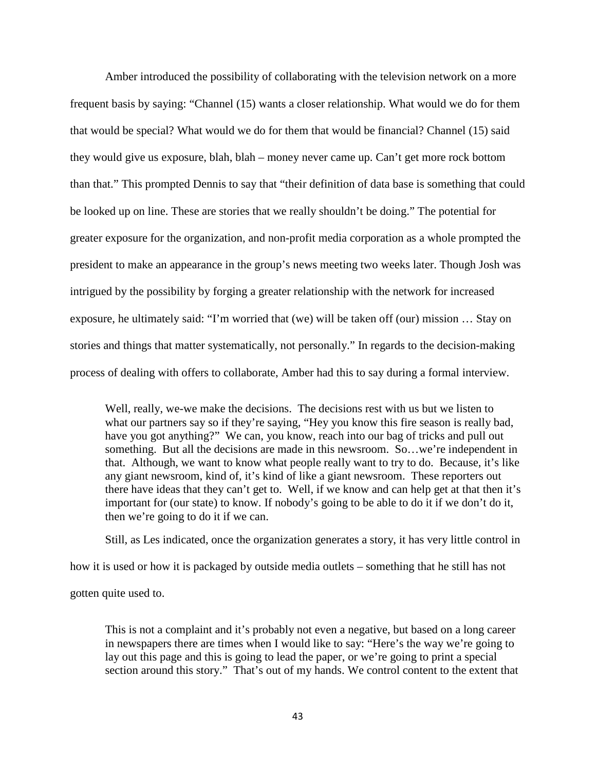Amber introduced the possibility of collaborating with the television network on a more frequent basis by saying: "Channel (15) wants a closer relationship. What would we do for them that would be special? What would we do for them that would be financial? Channel (15) said they would give us exposure, blah, blah – money never came up. Can't get more rock bottom than that." This prompted Dennis to say that "their definition of data base is something that could be looked up on line. These are stories that we really shouldn't be doing." The potential for greater exposure for the organization, and non-profit media corporation as a whole prompted the president to make an appearance in the group's news meeting two weeks later. Though Josh was intrigued by the possibility by forging a greater relationship with the network for increased exposure, he ultimately said: "I'm worried that (we) will be taken off (our) mission … Stay on stories and things that matter systematically, not personally." In regards to the decision-making process of dealing with offers to collaborate, Amber had this to say during a formal interview.

Well, really, we-we make the decisions. The decisions rest with us but we listen to what our partners say so if they're saying, "Hey you know this fire season is really bad, have you got anything?" We can, you know, reach into our bag of tricks and pull out something. But all the decisions are made in this newsroom. So...we're independent in that. Although, we want to know what people really want to try to do. Because, it's like any giant newsroom, kind of, it's kind of like a giant newsroom. These reporters out there have ideas that they can't get to. Well, if we know and can help get at that then it's important for (our state) to know. If nobody's going to be able to do it if we don't do it, then we're going to do it if we can.

Still, as Les indicated, once the organization generates a story, it has very little control in

how it is used or how it is packaged by outside media outlets – something that he still has not

gotten quite used to.

This is not a complaint and it's probably not even a negative, but based on a long career in newspapers there are times when I would like to say: "Here's the way we're going to lay out this page and this is going to lead the paper, or we're going to print a special section around this story." That's out of my hands. We control content to the extent that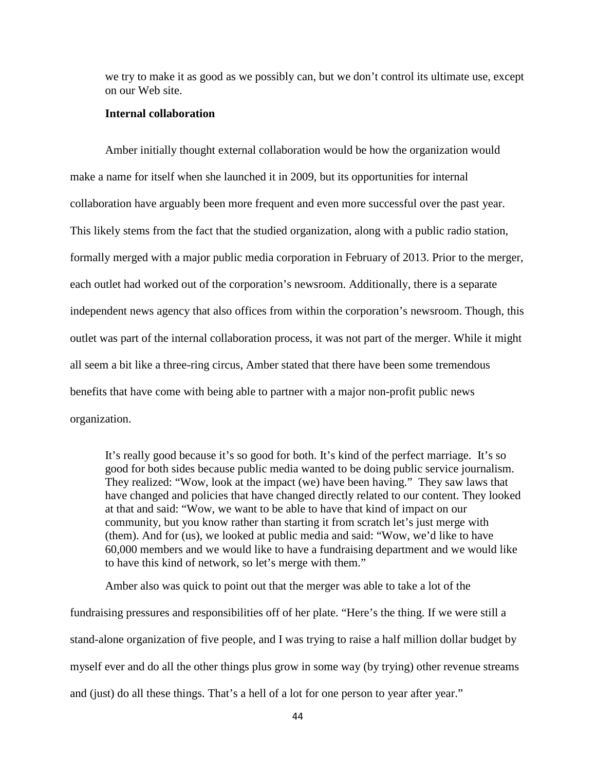we try to make it as good as we possibly can, but we don't control its ultimate use, except on our Web site.

# **Internal collaboration**

Amber initially thought external collaboration would be how the organization would make a name for itself when she launched it in 2009, but its opportunities for internal collaboration have arguably been more frequent and even more successful over the past year. This likely stems from the fact that the studied organization, along with a public radio station, formally merged with a major public media corporation in February of 2013. Prior to the merger, each outlet had worked out of the corporation's newsroom. Additionally, there is a separate independent news agency that also offices from within the corporation's newsroom. Though, this outlet was part of the internal collaboration process, it was not part of the merger. While it might all seem a bit like a three-ring circus, Amber stated that there have been some tremendous benefits that have come with being able to partner with a major non-profit public news organization.

It's really good because it's so good for both. It's kind of the perfect marriage. It's so good for both sides because public media wanted to be doing public service journalism. They realized: "Wow, look at the impact (we) have been having." They saw laws that have changed and policies that have changed directly related to our content. They looked at that and said: "Wow, we want to be able to have that kind of impact on our community, but you know rather than starting it from scratch let's just merge with (them). And for (us), we looked at public media and said: "Wow, we'd like to have 60,000 members and we would like to have a fundraising department and we would like to have this kind of network, so let's merge with them."

Amber also was quick to point out that the merger was able to take a lot of the fundraising pressures and responsibilities off of her plate. "Here's the thing. If we were still a stand-alone organization of five people, and I was trying to raise a half million dollar budget by myself ever and do all the other things plus grow in some way (by trying) other revenue streams and (just) do all these things. That's a hell of a lot for one person to year after year."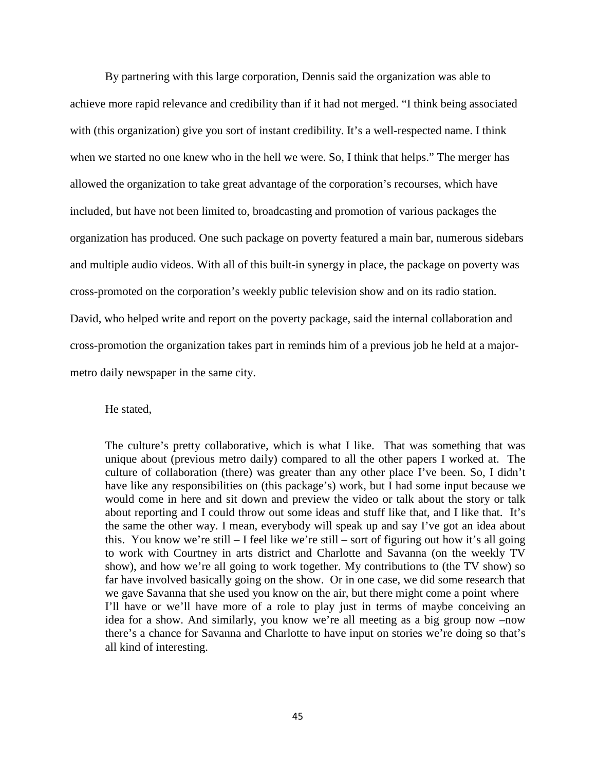By partnering with this large corporation, Dennis said the organization was able to achieve more rapid relevance and credibility than if it had not merged. "I think being associated with (this organization) give you sort of instant credibility. It's a well-respected name. I think when we started no one knew who in the hell we were. So, I think that helps." The merger has allowed the organization to take great advantage of the corporation's recourses, which have included, but have not been limited to, broadcasting and promotion of various packages the organization has produced. One such package on poverty featured a main bar, numerous sidebars and multiple audio videos. With all of this built-in synergy in place, the package on poverty was cross-promoted on the corporation's weekly public television show and on its radio station. David, who helped write and report on the poverty package, said the internal collaboration and cross-promotion the organization takes part in reminds him of a previous job he held at a majormetro daily newspaper in the same city.

# He stated,

The culture's pretty collaborative, which is what I like. That was something that was unique about (previous metro daily) compared to all the other papers I worked at. The culture of collaboration (there) was greater than any other place I've been. So, I didn't have like any responsibilities on (this package's) work, but I had some input because we would come in here and sit down and preview the video or talk about the story or talk about reporting and I could throw out some ideas and stuff like that, and I like that. It's the same the other way. I mean, everybody will speak up and say I've got an idea about this. You know we're still – I feel like we're still – sort of figuring out how it's all going to work with Courtney in arts district and Charlotte and Savanna (on the weekly TV show), and how we're all going to work together. My contributions to (the TV show) so far have involved basically going on the show. Or in one case, we did some research that we gave Savanna that she used you know on the air, but there might come a point where I'll have or we'll have more of a role to play just in terms of maybe conceiving an idea for a show. And similarly, you know we're all meeting as a big group now –now there's a chance for Savanna and Charlotte to have input on stories we're doing so that's all kind of interesting.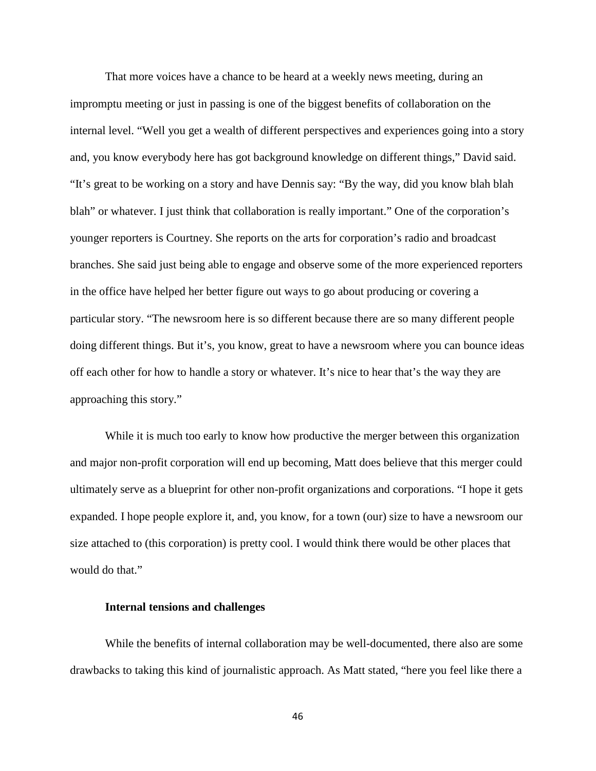That more voices have a chance to be heard at a weekly news meeting, during an impromptu meeting or just in passing is one of the biggest benefits of collaboration on the internal level. "Well you get a wealth of different perspectives and experiences going into a story and, you know everybody here has got background knowledge on different things," David said. "It's great to be working on a story and have Dennis say: "By the way, did you know blah blah blah" or whatever. I just think that collaboration is really important." One of the corporation's younger reporters is Courtney. She reports on the arts for corporation's radio and broadcast branches. She said just being able to engage and observe some of the more experienced reporters in the office have helped her better figure out ways to go about producing or covering a particular story. "The newsroom here is so different because there are so many different people doing different things. But it's, you know, great to have a newsroom where you can bounce ideas off each other for how to handle a story or whatever. It's nice to hear that's the way they are approaching this story."

While it is much too early to know how productive the merger between this organization and major non-profit corporation will end up becoming, Matt does believe that this merger could ultimately serve as a blueprint for other non-profit organizations and corporations. "I hope it gets expanded. I hope people explore it, and, you know, for a town (our) size to have a newsroom our size attached to (this corporation) is pretty cool. I would think there would be other places that would do that."

# **Internal tensions and challenges**

While the benefits of internal collaboration may be well-documented, there also are some drawbacks to taking this kind of journalistic approach. As Matt stated, "here you feel like there a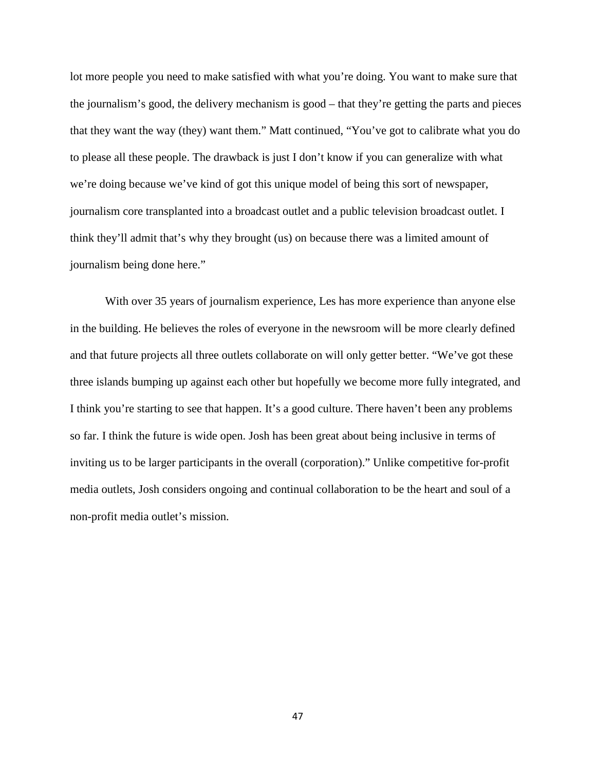lot more people you need to make satisfied with what you're doing. You want to make sure that the journalism's good, the delivery mechanism is good – that they're getting the parts and pieces that they want the way (they) want them." Matt continued, "You've got to calibrate what you do to please all these people. The drawback is just I don't know if you can generalize with what we're doing because we've kind of got this unique model of being this sort of newspaper, journalism core transplanted into a broadcast outlet and a public television broadcast outlet. I think they'll admit that's why they brought (us) on because there was a limited amount of journalism being done here."

With over 35 years of journalism experience, Les has more experience than anyone else in the building. He believes the roles of everyone in the newsroom will be more clearly defined and that future projects all three outlets collaborate on will only getter better. "We've got these three islands bumping up against each other but hopefully we become more fully integrated, and I think you're starting to see that happen. It's a good culture. There haven't been any problems so far. I think the future is wide open. Josh has been great about being inclusive in terms of inviting us to be larger participants in the overall (corporation)." Unlike competitive for-profit media outlets, Josh considers ongoing and continual collaboration to be the heart and soul of a non-profit media outlet's mission.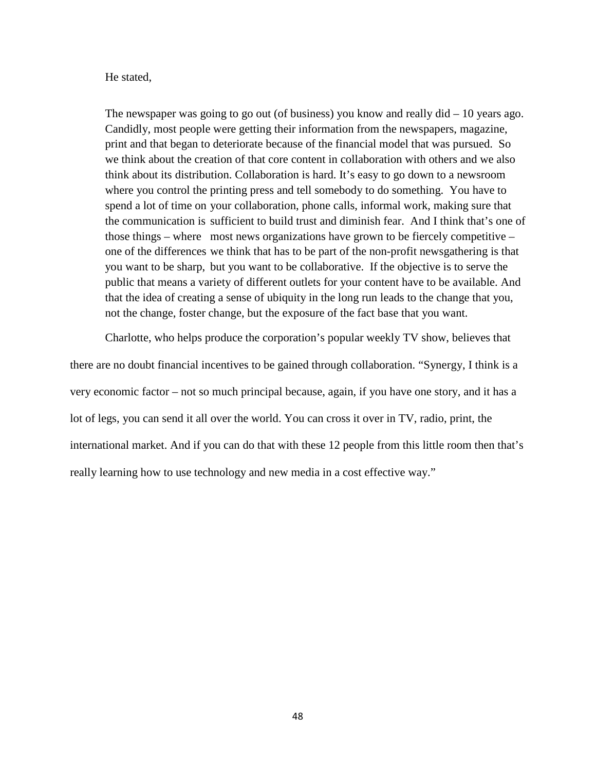# He stated,

The newspaper was going to go out (of business) you know and really  $\text{did} - 10$  years ago. Candidly, most people were getting their information from the newspapers, magazine, print and that began to deteriorate because of the financial model that was pursued. So we think about the creation of that core content in collaboration with others and we also think about its distribution. Collaboration is hard. It's easy to go down to a newsroom where you control the printing press and tell somebody to do something. You have to spend a lot of time on your collaboration, phone calls, informal work, making sure that the communication is sufficient to build trust and diminish fear. And I think that's one of those things – where most news organizations have grown to be fiercely competitive – one of the differences we think that has to be part of the non-profit newsgathering is that you want to be sharp, but you want to be collaborative. If the objective is to serve the public that means a variety of different outlets for your content have to be available. And that the idea of creating a sense of ubiquity in the long run leads to the change that you, not the change, foster change, but the exposure of the fact base that you want.

Charlotte, who helps produce the corporation's popular weekly TV show, believes that there are no doubt financial incentives to be gained through collaboration. "Synergy, I think is a very economic factor – not so much principal because, again, if you have one story, and it has a lot of legs, you can send it all over the world. You can cross it over in TV, radio, print, the international market. And if you can do that with these 12 people from this little room then that's really learning how to use technology and new media in a cost effective way."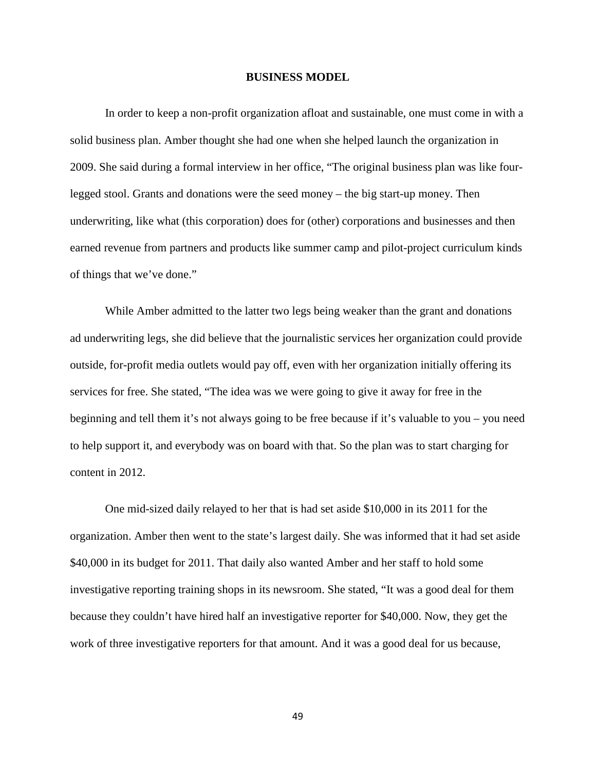#### **BUSINESS MODEL**

In order to keep a non-profit organization afloat and sustainable, one must come in with a solid business plan. Amber thought she had one when she helped launch the organization in 2009. She said during a formal interview in her office, "The original business plan was like fourlegged stool. Grants and donations were the seed money – the big start-up money. Then underwriting, like what (this corporation) does for (other) corporations and businesses and then earned revenue from partners and products like summer camp and pilot-project curriculum kinds of things that we've done."

While Amber admitted to the latter two legs being weaker than the grant and donations ad underwriting legs, she did believe that the journalistic services her organization could provide outside, for-profit media outlets would pay off, even with her organization initially offering its services for free. She stated, "The idea was we were going to give it away for free in the beginning and tell them it's not always going to be free because if it's valuable to you – you need to help support it, and everybody was on board with that. So the plan was to start charging for content in 2012.

One mid-sized daily relayed to her that is had set aside \$10,000 in its 2011 for the organization. Amber then went to the state's largest daily. She was informed that it had set aside \$40,000 in its budget for 2011. That daily also wanted Amber and her staff to hold some investigative reporting training shops in its newsroom. She stated, "It was a good deal for them because they couldn't have hired half an investigative reporter for \$40,000. Now, they get the work of three investigative reporters for that amount. And it was a good deal for us because,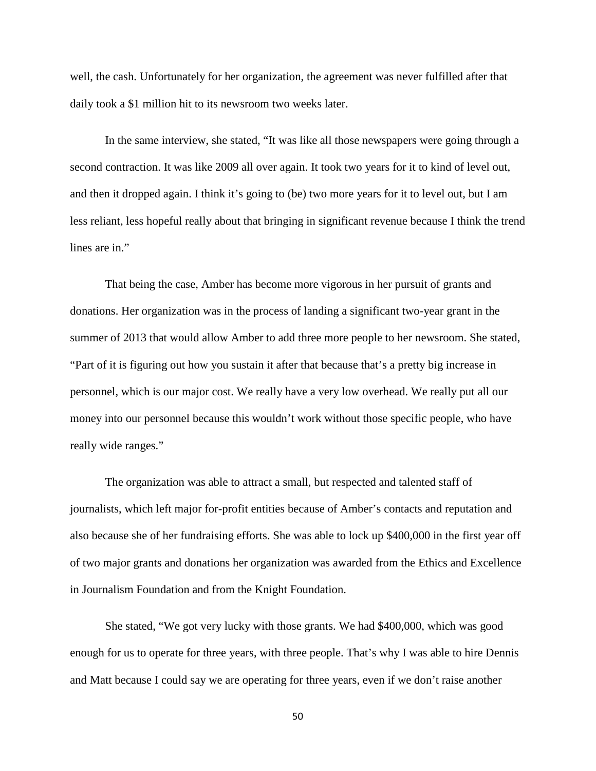well, the cash. Unfortunately for her organization, the agreement was never fulfilled after that daily took a \$1 million hit to its newsroom two weeks later.

In the same interview, she stated, "It was like all those newspapers were going through a second contraction. It was like 2009 all over again. It took two years for it to kind of level out, and then it dropped again. I think it's going to (be) two more years for it to level out, but I am less reliant, less hopeful really about that bringing in significant revenue because I think the trend lines are in."

That being the case, Amber has become more vigorous in her pursuit of grants and donations. Her organization was in the process of landing a significant two-year grant in the summer of 2013 that would allow Amber to add three more people to her newsroom. She stated, "Part of it is figuring out how you sustain it after that because that's a pretty big increase in personnel, which is our major cost. We really have a very low overhead. We really put all our money into our personnel because this wouldn't work without those specific people, who have really wide ranges."

The organization was able to attract a small, but respected and talented staff of journalists, which left major for-profit entities because of Amber's contacts and reputation and also because she of her fundraising efforts. She was able to lock up \$400,000 in the first year off of two major grants and donations her organization was awarded from the Ethics and Excellence in Journalism Foundation and from the Knight Foundation.

She stated, "We got very lucky with those grants. We had \$400,000, which was good enough for us to operate for three years, with three people. That's why I was able to hire Dennis and Matt because I could say we are operating for three years, even if we don't raise another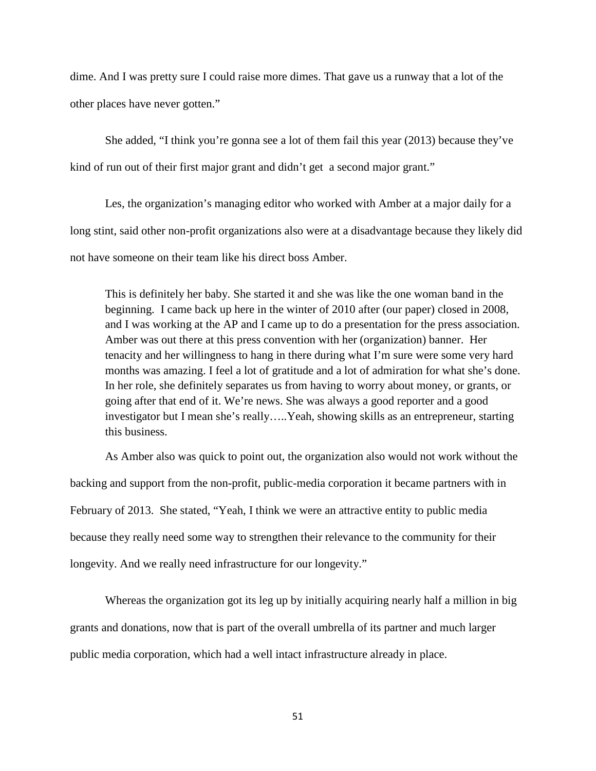dime. And I was pretty sure I could raise more dimes. That gave us a runway that a lot of the other places have never gotten."

She added, "I think you're gonna see a lot of them fail this year (2013) because they've kind of run out of their first major grant and didn't get a second major grant."

Les, the organization's managing editor who worked with Amber at a major daily for a long stint, said other non-profit organizations also were at a disadvantage because they likely did not have someone on their team like his direct boss Amber.

This is definitely her baby. She started it and she was like the one woman band in the beginning. I came back up here in the winter of 2010 after (our paper) closed in 2008, and I was working at the AP and I came up to do a presentation for the press association. Amber was out there at this press convention with her (organization) banner. Her tenacity and her willingness to hang in there during what I'm sure were some very hard months was amazing. I feel a lot of gratitude and a lot of admiration for what she's done. In her role, she definitely separates us from having to worry about money, or grants, or going after that end of it. We're news. She was always a good reporter and a good investigator but I mean she's really…..Yeah, showing skills as an entrepreneur, starting this business.

As Amber also was quick to point out, the organization also would not work without the backing and support from the non-profit, public-media corporation it became partners with in February of 2013. She stated, "Yeah, I think we were an attractive entity to public media because they really need some way to strengthen their relevance to the community for their longevity. And we really need infrastructure for our longevity."

Whereas the organization got its leg up by initially acquiring nearly half a million in big grants and donations, now that is part of the overall umbrella of its partner and much larger public media corporation, which had a well intact infrastructure already in place.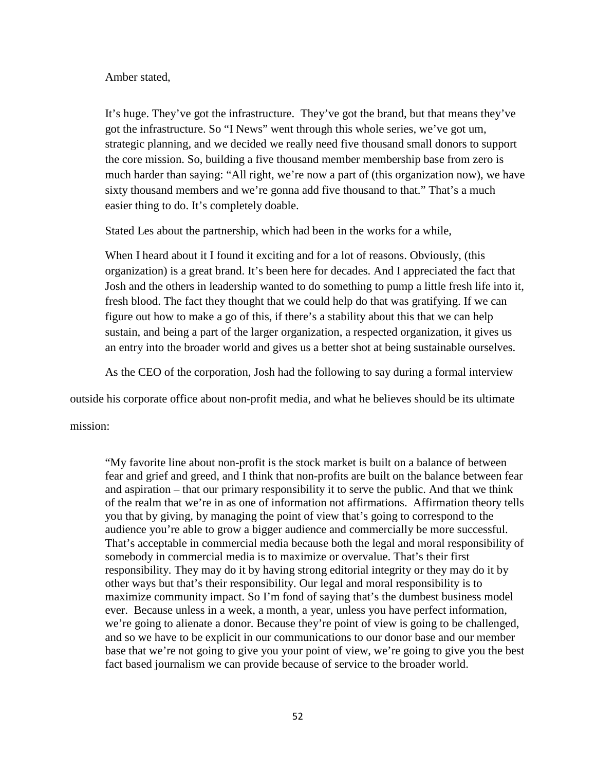# Amber stated,

It's huge. They've got the infrastructure. They've got the brand, but that means they've got the infrastructure. So "I News" went through this whole series, we've got um, strategic planning, and we decided we really need five thousand small donors to support the core mission. So, building a five thousand member membership base from zero is much harder than saying: "All right, we're now a part of (this organization now), we have sixty thousand members and we're gonna add five thousand to that." That's a much easier thing to do. It's completely doable.

Stated Les about the partnership, which had been in the works for a while,

When I heard about it I found it exciting and for a lot of reasons. Obviously, (this organization) is a great brand. It's been here for decades. And I appreciated the fact that Josh and the others in leadership wanted to do something to pump a little fresh life into it, fresh blood. The fact they thought that we could help do that was gratifying. If we can figure out how to make a go of this, if there's a stability about this that we can help sustain, and being a part of the larger organization, a respected organization, it gives us an entry into the broader world and gives us a better shot at being sustainable ourselves.

As the CEO of the corporation, Josh had the following to say during a formal interview

outside his corporate office about non-profit media, and what he believes should be its ultimate

mission:

"My favorite line about non-profit is the stock market is built on a balance of between fear and grief and greed, and I think that non-profits are built on the balance between fear and aspiration – that our primary responsibility it to serve the public. And that we think of the realm that we're in as one of information not affirmations. Affirmation theory tells you that by giving, by managing the point of view that's going to correspond to the audience you're able to grow a bigger audience and commercially be more successful. That's acceptable in commercial media because both the legal and moral responsibility of somebody in commercial media is to maximize or overvalue. That's their first responsibility. They may do it by having strong editorial integrity or they may do it by other ways but that's their responsibility. Our legal and moral responsibility is to maximize community impact. So I'm fond of saying that's the dumbest business model ever. Because unless in a week, a month, a year, unless you have perfect information, we're going to alienate a donor. Because they're point of view is going to be challenged, and so we have to be explicit in our communications to our donor base and our member base that we're not going to give you your point of view, we're going to give you the best fact based journalism we can provide because of service to the broader world.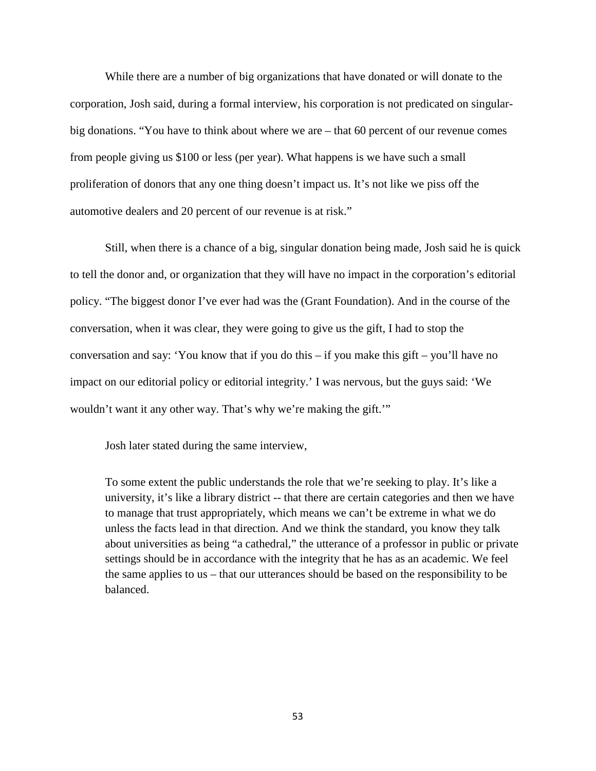While there are a number of big organizations that have donated or will donate to the corporation, Josh said, during a formal interview, his corporation is not predicated on singularbig donations. "You have to think about where we are – that 60 percent of our revenue comes from people giving us \$100 or less (per year). What happens is we have such a small proliferation of donors that any one thing doesn't impact us. It's not like we piss off the automotive dealers and 20 percent of our revenue is at risk."

Still, when there is a chance of a big, singular donation being made, Josh said he is quick to tell the donor and, or organization that they will have no impact in the corporation's editorial policy. "The biggest donor I've ever had was the (Grant Foundation). And in the course of the conversation, when it was clear, they were going to give us the gift, I had to stop the conversation and say: 'You know that if you do this – if you make this gift – you'll have no impact on our editorial policy or editorial integrity.' I was nervous, but the guys said: 'We wouldn't want it any other way. That's why we're making the gift."

Josh later stated during the same interview,

To some extent the public understands the role that we're seeking to play. It's like a university, it's like a library district -- that there are certain categories and then we have to manage that trust appropriately, which means we can't be extreme in what we do unless the facts lead in that direction. And we think the standard, you know they talk about universities as being "a cathedral," the utterance of a professor in public or private settings should be in accordance with the integrity that he has as an academic. We feel the same applies to us – that our utterances should be based on the responsibility to be balanced.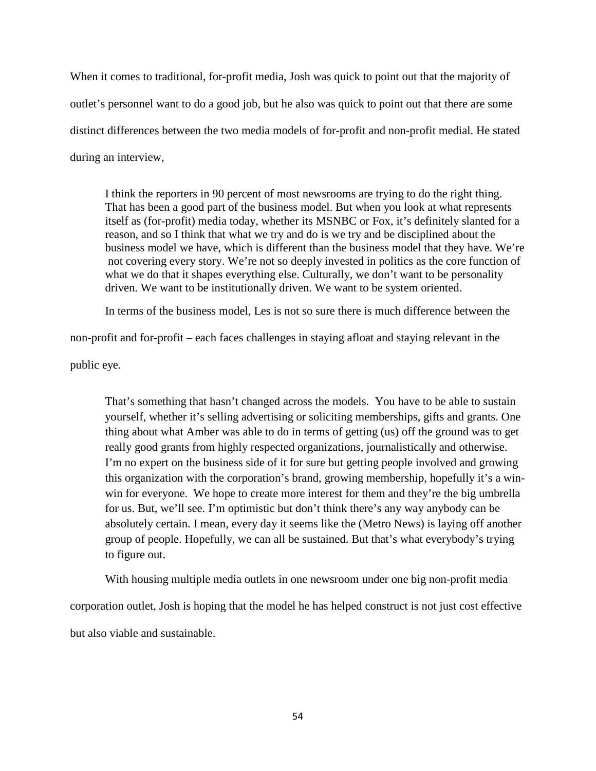When it comes to traditional, for-profit media, Josh was quick to point out that the majority of outlet's personnel want to do a good job, but he also was quick to point out that there are some distinct differences between the two media models of for-profit and non-profit medial. He stated during an interview,

I think the reporters in 90 percent of most newsrooms are trying to do the right thing. That has been a good part of the business model. But when you look at what represents itself as (for-profit) media today, whether its MSNBC or Fox, it's definitely slanted for a reason, and so I think that what we try and do is we try and be disciplined about the business model we have, which is different than the business model that they have. We're not covering every story. We're not so deeply invested in politics as the core function of what we do that it shapes everything else. Culturally, we don't want to be personality driven. We want to be institutionally driven. We want to be system oriented.

In terms of the business model, Les is not so sure there is much difference between the

non-profit and for-profit – each faces challenges in staying afloat and staying relevant in the

public eye.

That's something that hasn't changed across the models. You have to be able to sustain yourself, whether it's selling advertising or soliciting memberships, gifts and grants. One thing about what Amber was able to do in terms of getting (us) off the ground was to get really good grants from highly respected organizations, journalistically and otherwise. I'm no expert on the business side of it for sure but getting people involved and growing this organization with the corporation's brand, growing membership, hopefully it's a winwin for everyone. We hope to create more interest for them and they're the big umbrella for us. But, we'll see. I'm optimistic but don't think there's any way anybody can be absolutely certain. I mean, every day it seems like the (Metro News) is laying off another group of people. Hopefully, we can all be sustained. But that's what everybody's trying to figure out.

With housing multiple media outlets in one newsroom under one big non-profit media corporation outlet, Josh is hoping that the model he has helped construct is not just cost effective but also viable and sustainable.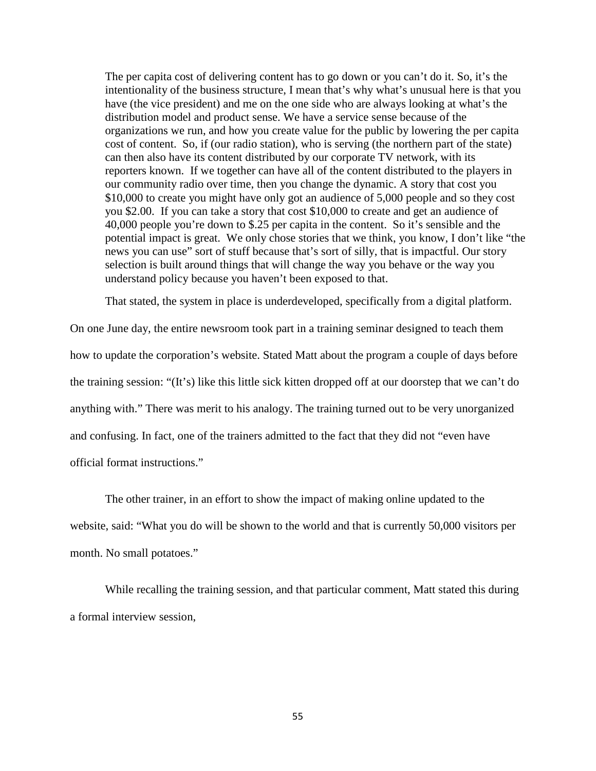The per capita cost of delivering content has to go down or you can't do it. So, it's the intentionality of the business structure, I mean that's why what's unusual here is that you have (the vice president) and me on the one side who are always looking at what's the distribution model and product sense. We have a service sense because of the organizations we run, and how you create value for the public by lowering the per capita cost of content. So, if (our radio station), who is serving (the northern part of the state) can then also have its content distributed by our corporate TV network, with its reporters known. If we together can have all of the content distributed to the players in our community radio over time, then you change the dynamic. A story that cost you \$10,000 to create you might have only got an audience of 5,000 people and so they cost you \$2.00. If you can take a story that cost \$10,000 to create and get an audience of 40,000 people you're down to \$.25 per capita in the content. So it's sensible and the potential impact is great. We only chose stories that we think, you know, I don't like "the news you can use" sort of stuff because that's sort of silly, that is impactful. Our story selection is built around things that will change the way you behave or the way you understand policy because you haven't been exposed to that.

That stated, the system in place is underdeveloped, specifically from a digital platform.

On one June day, the entire newsroom took part in a training seminar designed to teach them how to update the corporation's website. Stated Matt about the program a couple of days before the training session: "(It's) like this little sick kitten dropped off at our doorstep that we can't do anything with." There was merit to his analogy. The training turned out to be very unorganized and confusing. In fact, one of the trainers admitted to the fact that they did not "even have official format instructions."

The other trainer, in an effort to show the impact of making online updated to the website, said: "What you do will be shown to the world and that is currently 50,000 visitors per month. No small potatoes."

While recalling the training session, and that particular comment, Matt stated this during a formal interview session,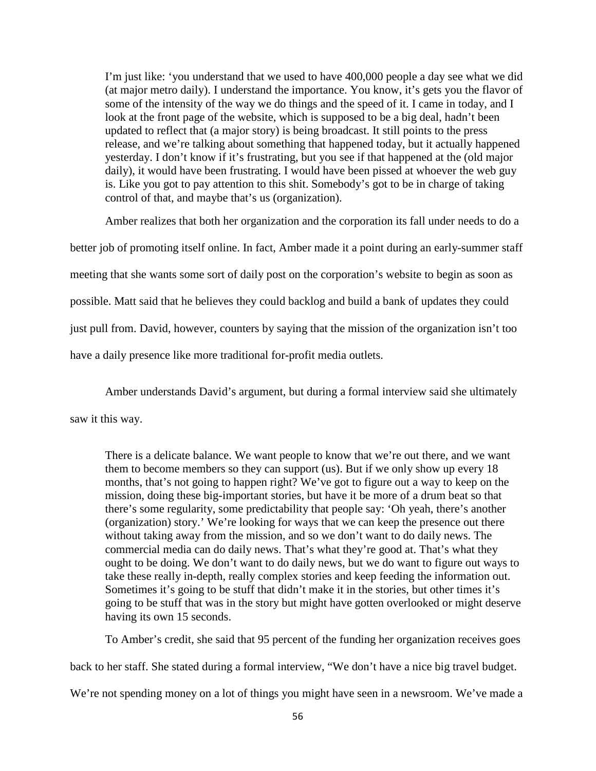I'm just like: 'you understand that we used to have 400,000 people a day see what we did (at major metro daily). I understand the importance. You know, it's gets you the flavor of some of the intensity of the way we do things and the speed of it. I came in today, and I look at the front page of the website, which is supposed to be a big deal, hadn't been updated to reflect that (a major story) is being broadcast. It still points to the press release, and we're talking about something that happened today, but it actually happened yesterday. I don't know if it's frustrating, but you see if that happened at the (old major daily), it would have been frustrating. I would have been pissed at whoever the web guy is. Like you got to pay attention to this shit. Somebody's got to be in charge of taking control of that, and maybe that's us (organization).

Amber realizes that both her organization and the corporation its fall under needs to do a better job of promoting itself online. In fact, Amber made it a point during an early-summer staff meeting that she wants some sort of daily post on the corporation's website to begin as soon as possible. Matt said that he believes they could backlog and build a bank of updates they could just pull from. David, however, counters by saying that the mission of the organization isn't too have a daily presence like more traditional for-profit media outlets.

Amber understands David's argument, but during a formal interview said she ultimately

saw it this way.

There is a delicate balance. We want people to know that we're out there, and we want them to become members so they can support (us). But if we only show up every 18 months, that's not going to happen right? We've got to figure out a way to keep on the mission, doing these big-important stories, but have it be more of a drum beat so that there's some regularity, some predictability that people say: 'Oh yeah, there's another (organization) story.' We're looking for ways that we can keep the presence out there without taking away from the mission, and so we don't want to do daily news. The commercial media can do daily news. That's what they're good at. That's what they ought to be doing. We don't want to do daily news, but we do want to figure out ways to take these really in-depth, really complex stories and keep feeding the information out. Sometimes it's going to be stuff that didn't make it in the stories, but other times it's going to be stuff that was in the story but might have gotten overlooked or might deserve having its own 15 seconds.

To Amber's credit, she said that 95 percent of the funding her organization receives goes back to her staff. She stated during a formal interview, "We don't have a nice big travel budget.

We're not spending money on a lot of things you might have seen in a newsroom. We've made a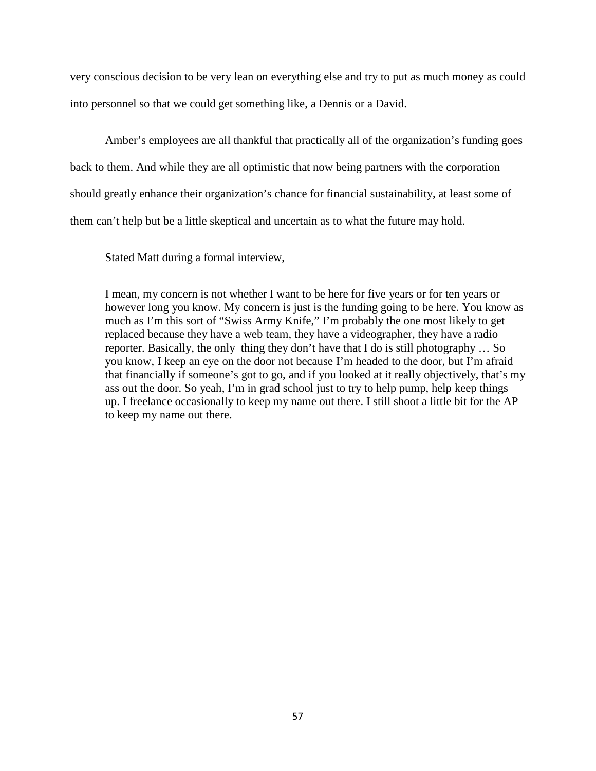very conscious decision to be very lean on everything else and try to put as much money as could into personnel so that we could get something like, a Dennis or a David.

Amber's employees are all thankful that practically all of the organization's funding goes back to them. And while they are all optimistic that now being partners with the corporation should greatly enhance their organization's chance for financial sustainability, at least some of them can't help but be a little skeptical and uncertain as to what the future may hold.

Stated Matt during a formal interview,

I mean, my concern is not whether I want to be here for five years or for ten years or however long you know. My concern is just is the funding going to be here. You know as much as I'm this sort of "Swiss Army Knife," I'm probably the one most likely to get replaced because they have a web team, they have a videographer, they have a radio reporter. Basically, the only thing they don't have that I do is still photography … So you know, I keep an eye on the door not because I'm headed to the door, but I'm afraid that financially if someone's got to go, and if you looked at it really objectively, that's my ass out the door. So yeah, I'm in grad school just to try to help pump, help keep things up. I freelance occasionally to keep my name out there. I still shoot a little bit for the AP to keep my name out there.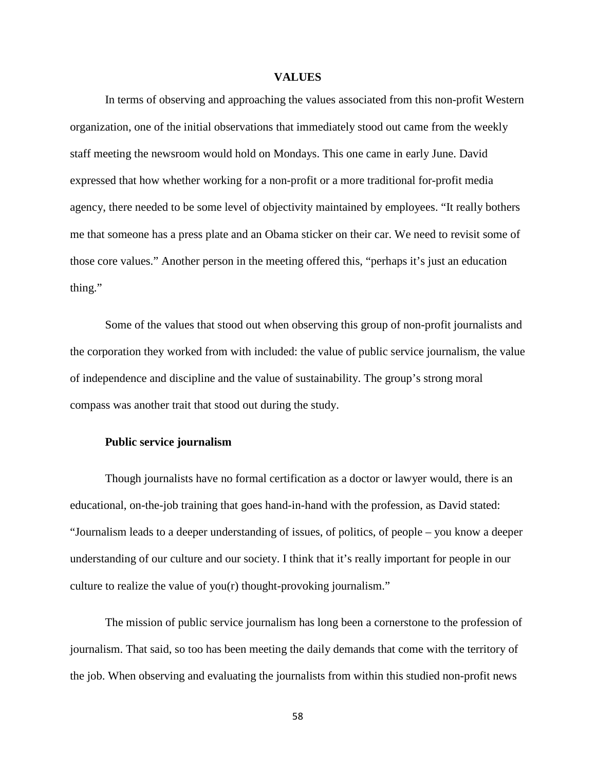#### **VALUES**

In terms of observing and approaching the values associated from this non-profit Western organization, one of the initial observations that immediately stood out came from the weekly staff meeting the newsroom would hold on Mondays. This one came in early June. David expressed that how whether working for a non-profit or a more traditional for-profit media agency, there needed to be some level of objectivity maintained by employees. "It really bothers me that someone has a press plate and an Obama sticker on their car. We need to revisit some of those core values." Another person in the meeting offered this, "perhaps it's just an education thing."

Some of the values that stood out when observing this group of non-profit journalists and the corporation they worked from with included: the value of public service journalism, the value of independence and discipline and the value of sustainability. The group's strong moral compass was another trait that stood out during the study.

# **Public service journalism**

Though journalists have no formal certification as a doctor or lawyer would, there is an educational, on-the-job training that goes hand-in-hand with the profession, as David stated: "Journalism leads to a deeper understanding of issues, of politics, of people – you know a deeper understanding of our culture and our society. I think that it's really important for people in our culture to realize the value of you(r) thought-provoking journalism."

The mission of public service journalism has long been a cornerstone to the profession of journalism. That said, so too has been meeting the daily demands that come with the territory of the job. When observing and evaluating the journalists from within this studied non-profit news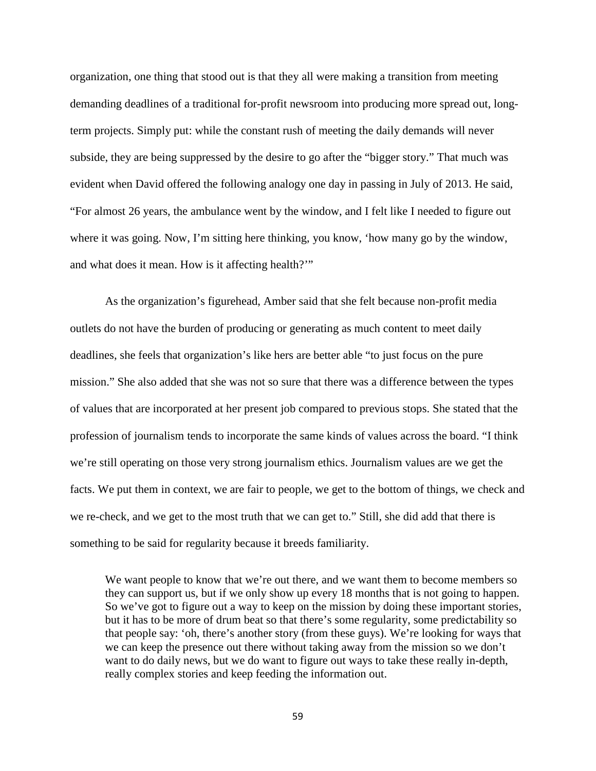organization, one thing that stood out is that they all were making a transition from meeting demanding deadlines of a traditional for-profit newsroom into producing more spread out, longterm projects. Simply put: while the constant rush of meeting the daily demands will never subside, they are being suppressed by the desire to go after the "bigger story." That much was evident when David offered the following analogy one day in passing in July of 2013. He said, "For almost 26 years, the ambulance went by the window, and I felt like I needed to figure out where it was going. Now, I'm sitting here thinking, you know, 'how many go by the window, and what does it mean. How is it affecting health?'"

As the organization's figurehead, Amber said that she felt because non-profit media outlets do not have the burden of producing or generating as much content to meet daily deadlines, she feels that organization's like hers are better able "to just focus on the pure mission." She also added that she was not so sure that there was a difference between the types of values that are incorporated at her present job compared to previous stops. She stated that the profession of journalism tends to incorporate the same kinds of values across the board. "I think we're still operating on those very strong journalism ethics. Journalism values are we get the facts. We put them in context, we are fair to people, we get to the bottom of things, we check and we re-check, and we get to the most truth that we can get to." Still, she did add that there is something to be said for regularity because it breeds familiarity.

We want people to know that we're out there, and we want them to become members so they can support us, but if we only show up every 18 months that is not going to happen. So we've got to figure out a way to keep on the mission by doing these important stories, but it has to be more of drum beat so that there's some regularity, some predictability so that people say: 'oh, there's another story (from these guys). We're looking for ways that we can keep the presence out there without taking away from the mission so we don't want to do daily news, but we do want to figure out ways to take these really in-depth, really complex stories and keep feeding the information out.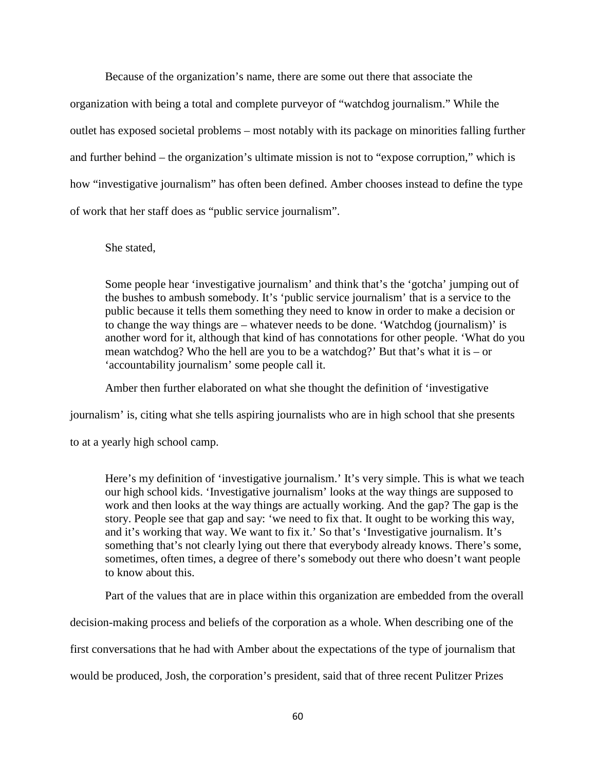Because of the organization's name, there are some out there that associate the organization with being a total and complete purveyor of "watchdog journalism." While the outlet has exposed societal problems – most notably with its package on minorities falling further and further behind – the organization's ultimate mission is not to "expose corruption," which is how "investigative journalism" has often been defined. Amber chooses instead to define the type of work that her staff does as "public service journalism".

### She stated,

Some people hear 'investigative journalism' and think that's the 'gotcha' jumping out of the bushes to ambush somebody. It's 'public service journalism' that is a service to the public because it tells them something they need to know in order to make a decision or to change the way things are – whatever needs to be done. 'Watchdog (journalism)' is another word for it, although that kind of has connotations for other people. 'What do you mean watchdog? Who the hell are you to be a watchdog?' But that's what it is – or 'accountability journalism' some people call it.

Amber then further elaborated on what she thought the definition of 'investigative

journalism' is, citing what she tells aspiring journalists who are in high school that she presents

to at a yearly high school camp.

Here's my definition of 'investigative journalism.' It's very simple. This is what we teach our high school kids. 'Investigative journalism' looks at the way things are supposed to work and then looks at the way things are actually working. And the gap? The gap is the story. People see that gap and say: 'we need to fix that. It ought to be working this way, and it's working that way. We want to fix it.' So that's 'Investigative journalism. It's something that's not clearly lying out there that everybody already knows. There's some, sometimes, often times, a degree of there's somebody out there who doesn't want people to know about this.

Part of the values that are in place within this organization are embedded from the overall

decision-making process and beliefs of the corporation as a whole. When describing one of the

first conversations that he had with Amber about the expectations of the type of journalism that

would be produced, Josh, the corporation's president, said that of three recent Pulitzer Prizes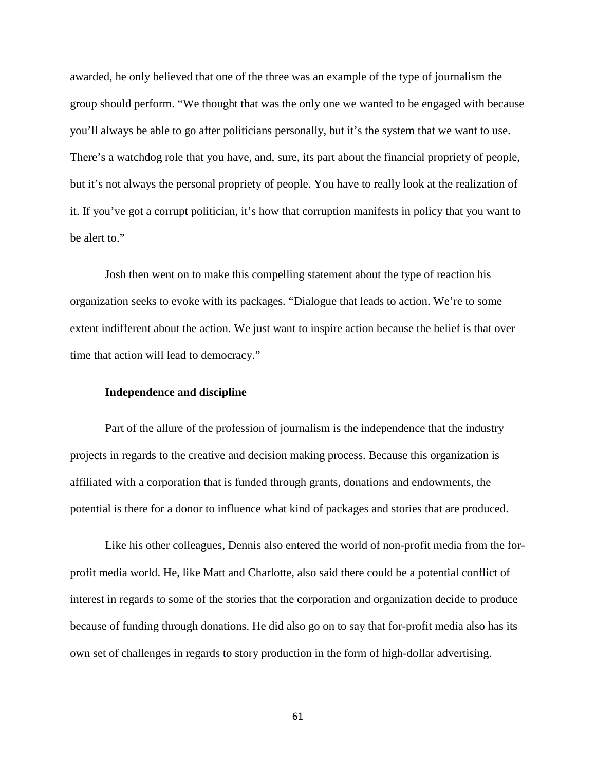awarded, he only believed that one of the three was an example of the type of journalism the group should perform. "We thought that was the only one we wanted to be engaged with because you'll always be able to go after politicians personally, but it's the system that we want to use. There's a watchdog role that you have, and, sure, its part about the financial propriety of people, but it's not always the personal propriety of people. You have to really look at the realization of it. If you've got a corrupt politician, it's how that corruption manifests in policy that you want to be alert to."

Josh then went on to make this compelling statement about the type of reaction his organization seeks to evoke with its packages. "Dialogue that leads to action. We're to some extent indifferent about the action. We just want to inspire action because the belief is that over time that action will lead to democracy."

### **Independence and discipline**

Part of the allure of the profession of journalism is the independence that the industry projects in regards to the creative and decision making process. Because this organization is affiliated with a corporation that is funded through grants, donations and endowments, the potential is there for a donor to influence what kind of packages and stories that are produced.

Like his other colleagues, Dennis also entered the world of non-profit media from the forprofit media world. He, like Matt and Charlotte, also said there could be a potential conflict of interest in regards to some of the stories that the corporation and organization decide to produce because of funding through donations. He did also go on to say that for-profit media also has its own set of challenges in regards to story production in the form of high-dollar advertising.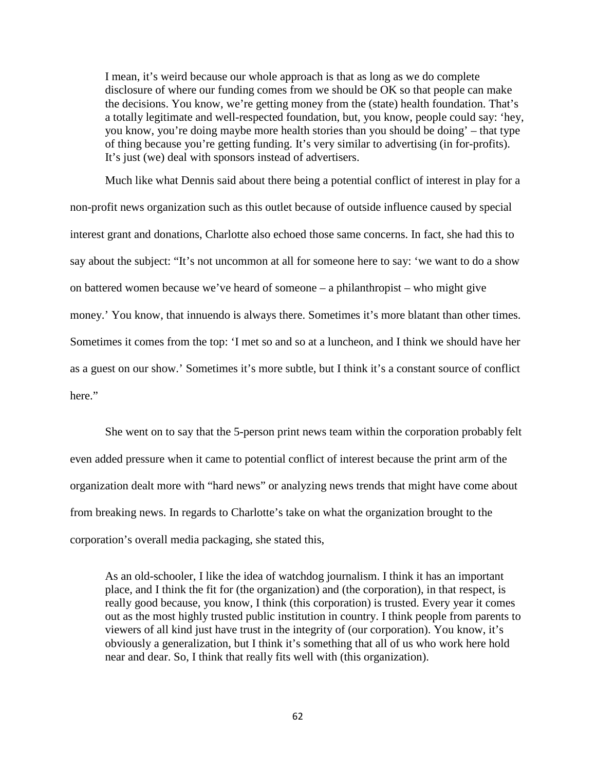I mean, it's weird because our whole approach is that as long as we do complete disclosure of where our funding comes from we should be OK so that people can make the decisions. You know, we're getting money from the (state) health foundation. That's a totally legitimate and well-respected foundation, but, you know, people could say: 'hey, you know, you're doing maybe more health stories than you should be doing' – that type of thing because you're getting funding. It's very similar to advertising (in for-profits). It's just (we) deal with sponsors instead of advertisers.

Much like what Dennis said about there being a potential conflict of interest in play for a non-profit news organization such as this outlet because of outside influence caused by special interest grant and donations, Charlotte also echoed those same concerns. In fact, she had this to say about the subject: "It's not uncommon at all for someone here to say: 'we want to do a show on battered women because we've heard of someone – a philanthropist – who might give money.' You know, that innuendo is always there. Sometimes it's more blatant than other times. Sometimes it comes from the top: 'I met so and so at a luncheon, and I think we should have her as a guest on our show.' Sometimes it's more subtle, but I think it's a constant source of conflict here."

She went on to say that the 5-person print news team within the corporation probably felt even added pressure when it came to potential conflict of interest because the print arm of the organization dealt more with "hard news" or analyzing news trends that might have come about from breaking news. In regards to Charlotte's take on what the organization brought to the corporation's overall media packaging, she stated this,

As an old-schooler, I like the idea of watchdog journalism. I think it has an important place, and I think the fit for (the organization) and (the corporation), in that respect, is really good because, you know, I think (this corporation) is trusted. Every year it comes out as the most highly trusted public institution in country. I think people from parents to viewers of all kind just have trust in the integrity of (our corporation). You know, it's obviously a generalization, but I think it's something that all of us who work here hold near and dear. So, I think that really fits well with (this organization).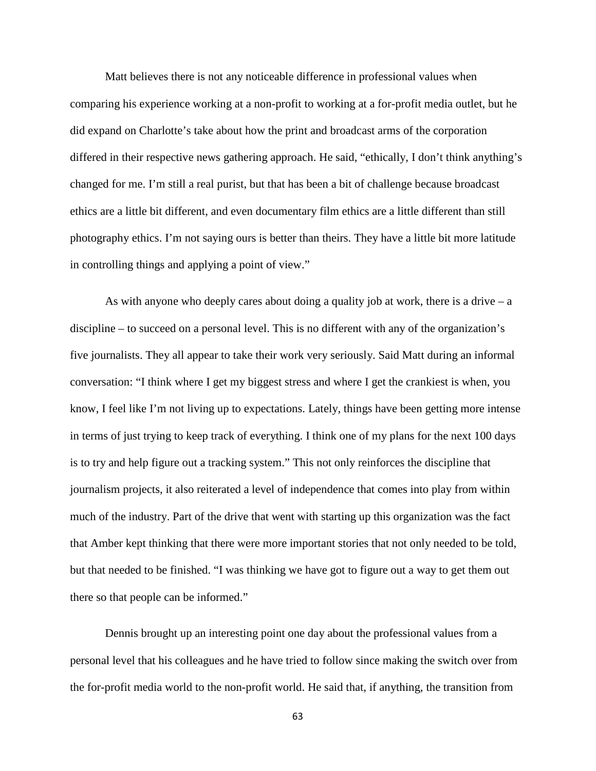Matt believes there is not any noticeable difference in professional values when comparing his experience working at a non-profit to working at a for-profit media outlet, but he did expand on Charlotte's take about how the print and broadcast arms of the corporation differed in their respective news gathering approach. He said, "ethically, I don't think anything's changed for me. I'm still a real purist, but that has been a bit of challenge because broadcast ethics are a little bit different, and even documentary film ethics are a little different than still photography ethics. I'm not saying ours is better than theirs. They have a little bit more latitude in controlling things and applying a point of view."

As with anyone who deeply cares about doing a quality job at work, there is a drive  $-$  a discipline – to succeed on a personal level. This is no different with any of the organization's five journalists. They all appear to take their work very seriously. Said Matt during an informal conversation: "I think where I get my biggest stress and where I get the crankiest is when, you know, I feel like I'm not living up to expectations. Lately, things have been getting more intense in terms of just trying to keep track of everything. I think one of my plans for the next 100 days is to try and help figure out a tracking system." This not only reinforces the discipline that journalism projects, it also reiterated a level of independence that comes into play from within much of the industry. Part of the drive that went with starting up this organization was the fact that Amber kept thinking that there were more important stories that not only needed to be told, but that needed to be finished. "I was thinking we have got to figure out a way to get them out there so that people can be informed."

Dennis brought up an interesting point one day about the professional values from a personal level that his colleagues and he have tried to follow since making the switch over from the for-profit media world to the non-profit world. He said that, if anything, the transition from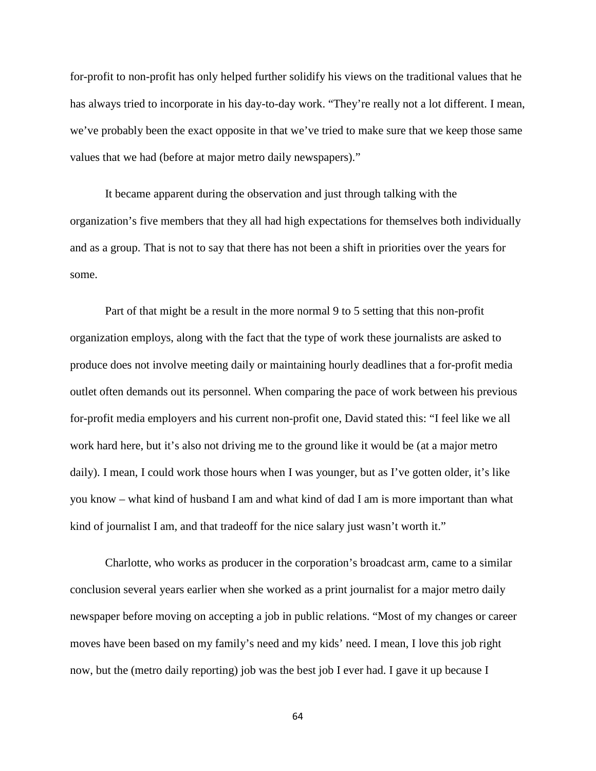for-profit to non-profit has only helped further solidify his views on the traditional values that he has always tried to incorporate in his day-to-day work. "They're really not a lot different. I mean, we've probably been the exact opposite in that we've tried to make sure that we keep those same values that we had (before at major metro daily newspapers)."

It became apparent during the observation and just through talking with the organization's five members that they all had high expectations for themselves both individually and as a group. That is not to say that there has not been a shift in priorities over the years for some.

Part of that might be a result in the more normal 9 to 5 setting that this non-profit organization employs, along with the fact that the type of work these journalists are asked to produce does not involve meeting daily or maintaining hourly deadlines that a for-profit media outlet often demands out its personnel. When comparing the pace of work between his previous for-profit media employers and his current non-profit one, David stated this: "I feel like we all work hard here, but it's also not driving me to the ground like it would be (at a major metro daily). I mean, I could work those hours when I was younger, but as I've gotten older, it's like you know – what kind of husband I am and what kind of dad I am is more important than what kind of journalist I am, and that tradeoff for the nice salary just wasn't worth it."

Charlotte, who works as producer in the corporation's broadcast arm, came to a similar conclusion several years earlier when she worked as a print journalist for a major metro daily newspaper before moving on accepting a job in public relations. "Most of my changes or career moves have been based on my family's need and my kids' need. I mean, I love this job right now, but the (metro daily reporting) job was the best job I ever had. I gave it up because I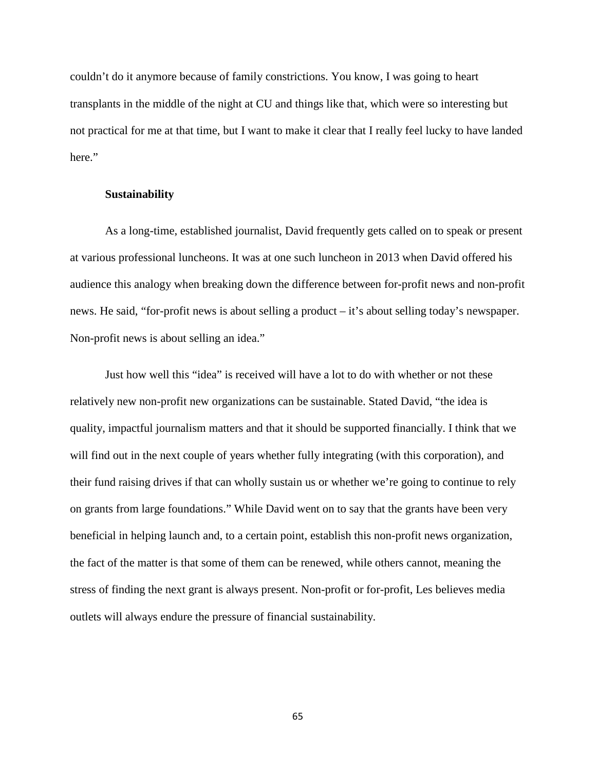couldn't do it anymore because of family constrictions. You know, I was going to heart transplants in the middle of the night at CU and things like that, which were so interesting but not practical for me at that time, but I want to make it clear that I really feel lucky to have landed here."

# **Sustainability**

As a long-time, established journalist, David frequently gets called on to speak or present at various professional luncheons. It was at one such luncheon in 2013 when David offered his audience this analogy when breaking down the difference between for-profit news and non-profit news. He said, "for-profit news is about selling a product – it's about selling today's newspaper. Non-profit news is about selling an idea."

Just how well this "idea" is received will have a lot to do with whether or not these relatively new non-profit new organizations can be sustainable. Stated David, "the idea is quality, impactful journalism matters and that it should be supported financially. I think that we will find out in the next couple of years whether fully integrating (with this corporation), and their fund raising drives if that can wholly sustain us or whether we're going to continue to rely on grants from large foundations." While David went on to say that the grants have been very beneficial in helping launch and, to a certain point, establish this non-profit news organization, the fact of the matter is that some of them can be renewed, while others cannot, meaning the stress of finding the next grant is always present. Non-profit or for-profit, Les believes media outlets will always endure the pressure of financial sustainability.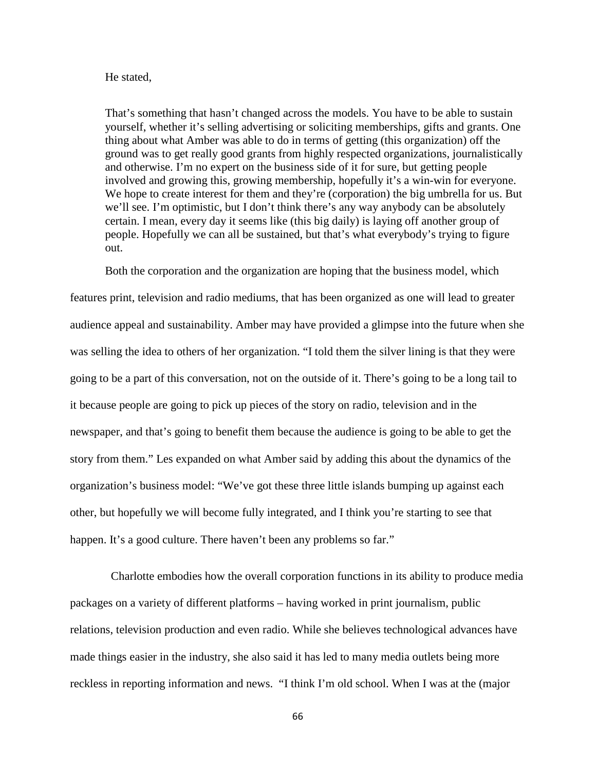#### He stated,

That's something that hasn't changed across the models. You have to be able to sustain yourself, whether it's selling advertising or soliciting memberships, gifts and grants. One thing about what Amber was able to do in terms of getting (this organization) off the ground was to get really good grants from highly respected organizations, journalistically and otherwise. I'm no expert on the business side of it for sure, but getting people involved and growing this, growing membership, hopefully it's a win-win for everyone. We hope to create interest for them and they're (corporation) the big umbrella for us. But we'll see. I'm optimistic, but I don't think there's any way anybody can be absolutely certain. I mean, every day it seems like (this big daily) is laying off another group of people. Hopefully we can all be sustained, but that's what everybody's trying to figure out.

Both the corporation and the organization are hoping that the business model, which

features print, television and radio mediums, that has been organized as one will lead to greater audience appeal and sustainability. Amber may have provided a glimpse into the future when she was selling the idea to others of her organization. "I told them the silver lining is that they were going to be a part of this conversation, not on the outside of it. There's going to be a long tail to it because people are going to pick up pieces of the story on radio, television and in the newspaper, and that's going to benefit them because the audience is going to be able to get the story from them." Les expanded on what Amber said by adding this about the dynamics of the organization's business model: "We've got these three little islands bumping up against each other, but hopefully we will become fully integrated, and I think you're starting to see that happen. It's a good culture. There haven't been any problems so far."

 Charlotte embodies how the overall corporation functions in its ability to produce media packages on a variety of different platforms – having worked in print journalism, public relations, television production and even radio. While she believes technological advances have made things easier in the industry, she also said it has led to many media outlets being more reckless in reporting information and news. "I think I'm old school. When I was at the (major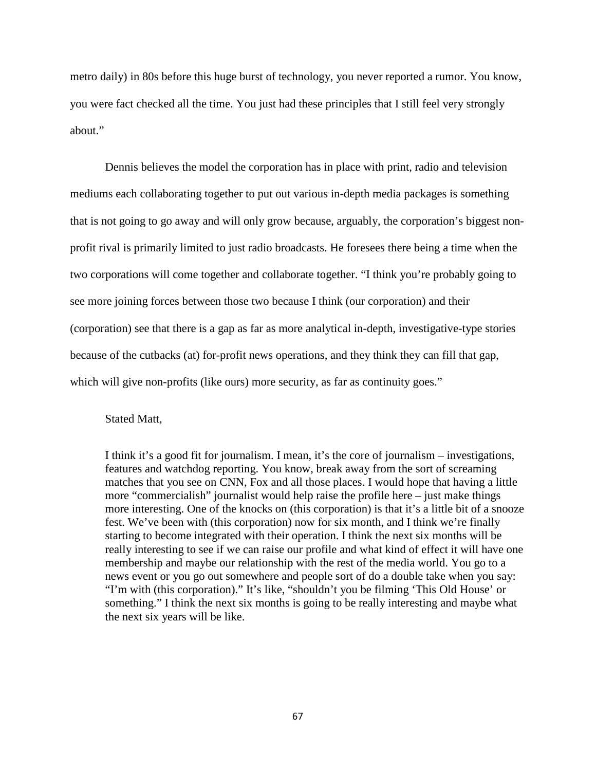metro daily) in 80s before this huge burst of technology, you never reported a rumor. You know, you were fact checked all the time. You just had these principles that I still feel very strongly about."

Dennis believes the model the corporation has in place with print, radio and television mediums each collaborating together to put out various in-depth media packages is something that is not going to go away and will only grow because, arguably, the corporation's biggest nonprofit rival is primarily limited to just radio broadcasts. He foresees there being a time when the two corporations will come together and collaborate together. "I think you're probably going to see more joining forces between those two because I think (our corporation) and their (corporation) see that there is a gap as far as more analytical in-depth, investigative-type stories because of the cutbacks (at) for-profit news operations, and they think they can fill that gap, which will give non-profits (like ours) more security, as far as continuity goes."

Stated Matt,

I think it's a good fit for journalism. I mean, it's the core of journalism – investigations, features and watchdog reporting. You know, break away from the sort of screaming matches that you see on CNN, Fox and all those places. I would hope that having a little more "commercialish" journalist would help raise the profile here – just make things more interesting. One of the knocks on (this corporation) is that it's a little bit of a snooze fest. We've been with (this corporation) now for six month, and I think we're finally starting to become integrated with their operation. I think the next six months will be really interesting to see if we can raise our profile and what kind of effect it will have one membership and maybe our relationship with the rest of the media world. You go to a news event or you go out somewhere and people sort of do a double take when you say: "I'm with (this corporation)." It's like, "shouldn't you be filming 'This Old House' or something." I think the next six months is going to be really interesting and maybe what the next six years will be like.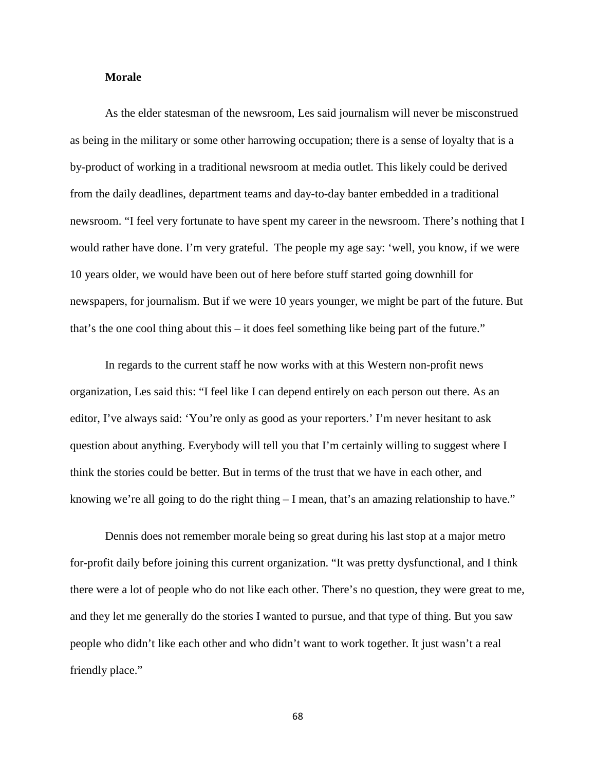# **Morale**

As the elder statesman of the newsroom, Les said journalism will never be misconstrued as being in the military or some other harrowing occupation; there is a sense of loyalty that is a by-product of working in a traditional newsroom at media outlet. This likely could be derived from the daily deadlines, department teams and day-to-day banter embedded in a traditional newsroom. "I feel very fortunate to have spent my career in the newsroom. There's nothing that I would rather have done. I'm very grateful. The people my age say: 'well, you know, if we were 10 years older, we would have been out of here before stuff started going downhill for newspapers, for journalism. But if we were 10 years younger, we might be part of the future. But that's the one cool thing about this – it does feel something like being part of the future."

In regards to the current staff he now works with at this Western non-profit news organization, Les said this: "I feel like I can depend entirely on each person out there. As an editor, I've always said: 'You're only as good as your reporters.' I'm never hesitant to ask question about anything. Everybody will tell you that I'm certainly willing to suggest where I think the stories could be better. But in terms of the trust that we have in each other, and knowing we're all going to do the right thing  $- I$  mean, that's an amazing relationship to have."

Dennis does not remember morale being so great during his last stop at a major metro for-profit daily before joining this current organization. "It was pretty dysfunctional, and I think there were a lot of people who do not like each other. There's no question, they were great to me, and they let me generally do the stories I wanted to pursue, and that type of thing. But you saw people who didn't like each other and who didn't want to work together. It just wasn't a real friendly place."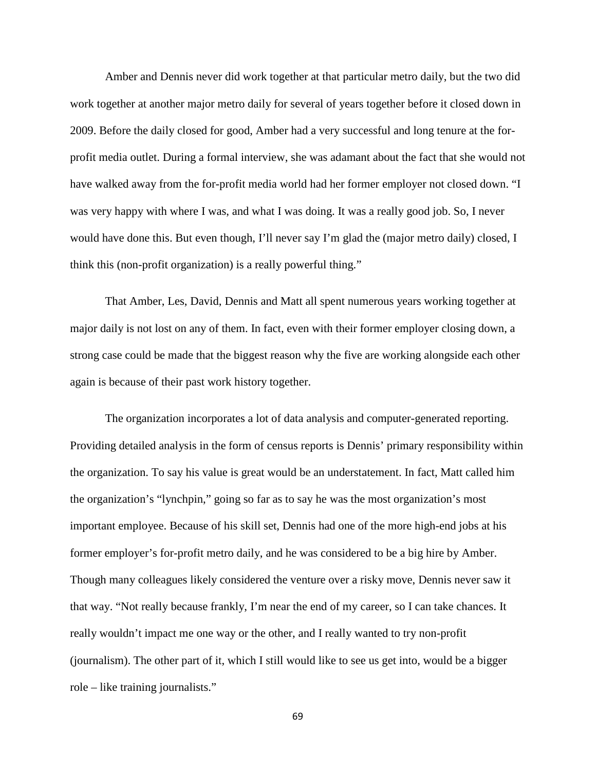Amber and Dennis never did work together at that particular metro daily, but the two did work together at another major metro daily for several of years together before it closed down in 2009. Before the daily closed for good, Amber had a very successful and long tenure at the forprofit media outlet. During a formal interview, she was adamant about the fact that she would not have walked away from the for-profit media world had her former employer not closed down. "I was very happy with where I was, and what I was doing. It was a really good job. So, I never would have done this. But even though, I'll never say I'm glad the (major metro daily) closed, I think this (non-profit organization) is a really powerful thing."

That Amber, Les, David, Dennis and Matt all spent numerous years working together at major daily is not lost on any of them. In fact, even with their former employer closing down, a strong case could be made that the biggest reason why the five are working alongside each other again is because of their past work history together.

The organization incorporates a lot of data analysis and computer-generated reporting. Providing detailed analysis in the form of census reports is Dennis' primary responsibility within the organization. To say his value is great would be an understatement. In fact, Matt called him the organization's "lynchpin," going so far as to say he was the most organization's most important employee. Because of his skill set, Dennis had one of the more high-end jobs at his former employer's for-profit metro daily, and he was considered to be a big hire by Amber. Though many colleagues likely considered the venture over a risky move, Dennis never saw it that way. "Not really because frankly, I'm near the end of my career, so I can take chances. It really wouldn't impact me one way or the other, and I really wanted to try non-profit (journalism). The other part of it, which I still would like to see us get into, would be a bigger role – like training journalists."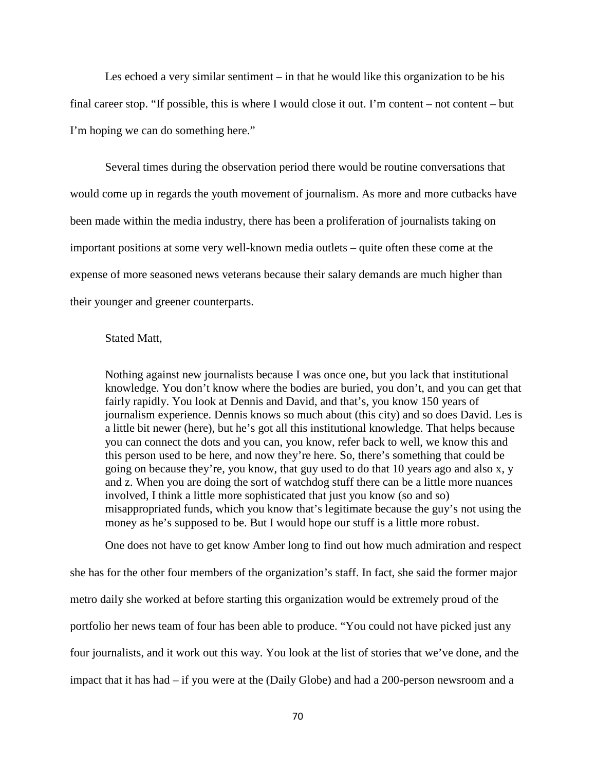Les echoed a very similar sentiment – in that he would like this organization to be his final career stop. "If possible, this is where I would close it out. I'm content – not content – but I'm hoping we can do something here."

Several times during the observation period there would be routine conversations that would come up in regards the youth movement of journalism. As more and more cutbacks have been made within the media industry, there has been a proliferation of journalists taking on important positions at some very well-known media outlets – quite often these come at the expense of more seasoned news veterans because their salary demands are much higher than their younger and greener counterparts.

### Stated Matt,

Nothing against new journalists because I was once one, but you lack that institutional knowledge. You don't know where the bodies are buried, you don't, and you can get that fairly rapidly. You look at Dennis and David, and that's, you know 150 years of journalism experience. Dennis knows so much about (this city) and so does David. Les is a little bit newer (here), but he's got all this institutional knowledge. That helps because you can connect the dots and you can, you know, refer back to well, we know this and this person used to be here, and now they're here. So, there's something that could be going on because they're, you know, that guy used to do that 10 years ago and also x, y and z. When you are doing the sort of watchdog stuff there can be a little more nuances involved, I think a little more sophisticated that just you know (so and so) misappropriated funds, which you know that's legitimate because the guy's not using the money as he's supposed to be. But I would hope our stuff is a little more robust.

One does not have to get know Amber long to find out how much admiration and respect

she has for the other four members of the organization's staff. In fact, she said the former major metro daily she worked at before starting this organization would be extremely proud of the portfolio her news team of four has been able to produce. "You could not have picked just any four journalists, and it work out this way. You look at the list of stories that we've done, and the impact that it has had – if you were at the (Daily Globe) and had a 200-person newsroom and a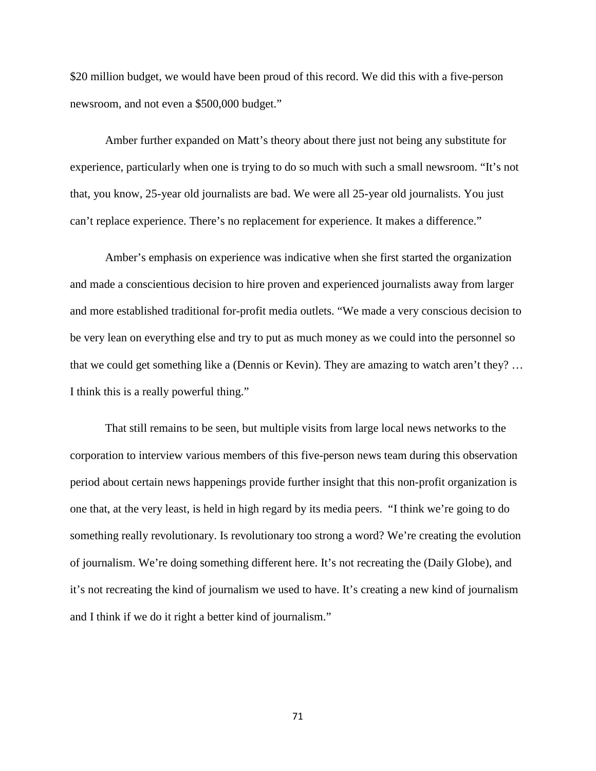\$20 million budget, we would have been proud of this record. We did this with a five-person newsroom, and not even a \$500,000 budget."

Amber further expanded on Matt's theory about there just not being any substitute for experience, particularly when one is trying to do so much with such a small newsroom. "It's not that, you know, 25-year old journalists are bad. We were all 25-year old journalists. You just can't replace experience. There's no replacement for experience. It makes a difference."

Amber's emphasis on experience was indicative when she first started the organization and made a conscientious decision to hire proven and experienced journalists away from larger and more established traditional for-profit media outlets. "We made a very conscious decision to be very lean on everything else and try to put as much money as we could into the personnel so that we could get something like a (Dennis or Kevin). They are amazing to watch aren't they? … I think this is a really powerful thing."

That still remains to be seen, but multiple visits from large local news networks to the corporation to interview various members of this five-person news team during this observation period about certain news happenings provide further insight that this non-profit organization is one that, at the very least, is held in high regard by its media peers. "I think we're going to do something really revolutionary. Is revolutionary too strong a word? We're creating the evolution of journalism. We're doing something different here. It's not recreating the (Daily Globe), and it's not recreating the kind of journalism we used to have. It's creating a new kind of journalism and I think if we do it right a better kind of journalism."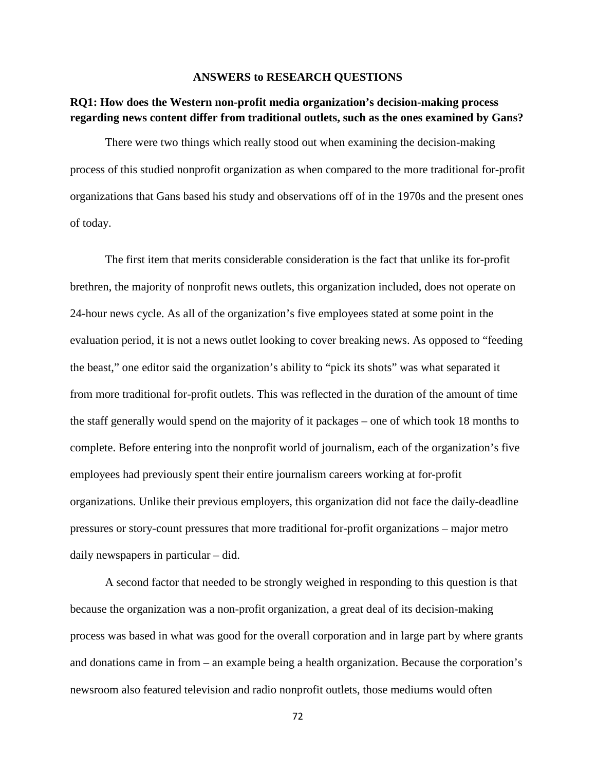#### **ANSWERS to RESEARCH QUESTIONS**

### **RQ1: How does the Western non-profit media organization's decision-making process regarding news content differ from traditional outlets, such as the ones examined by Gans?**

There were two things which really stood out when examining the decision-making process of this studied nonprofit organization as when compared to the more traditional for-profit organizations that Gans based his study and observations off of in the 1970s and the present ones of today.

The first item that merits considerable consideration is the fact that unlike its for-profit brethren, the majority of nonprofit news outlets, this organization included, does not operate on 24-hour news cycle. As all of the organization's five employees stated at some point in the evaluation period, it is not a news outlet looking to cover breaking news. As opposed to "feeding the beast," one editor said the organization's ability to "pick its shots" was what separated it from more traditional for-profit outlets. This was reflected in the duration of the amount of time the staff generally would spend on the majority of it packages – one of which took 18 months to complete. Before entering into the nonprofit world of journalism, each of the organization's five employees had previously spent their entire journalism careers working at for-profit organizations. Unlike their previous employers, this organization did not face the daily-deadline pressures or story-count pressures that more traditional for-profit organizations – major metro daily newspapers in particular – did.

A second factor that needed to be strongly weighed in responding to this question is that because the organization was a non-profit organization, a great deal of its decision-making process was based in what was good for the overall corporation and in large part by where grants and donations came in from – an example being a health organization. Because the corporation's newsroom also featured television and radio nonprofit outlets, those mediums would often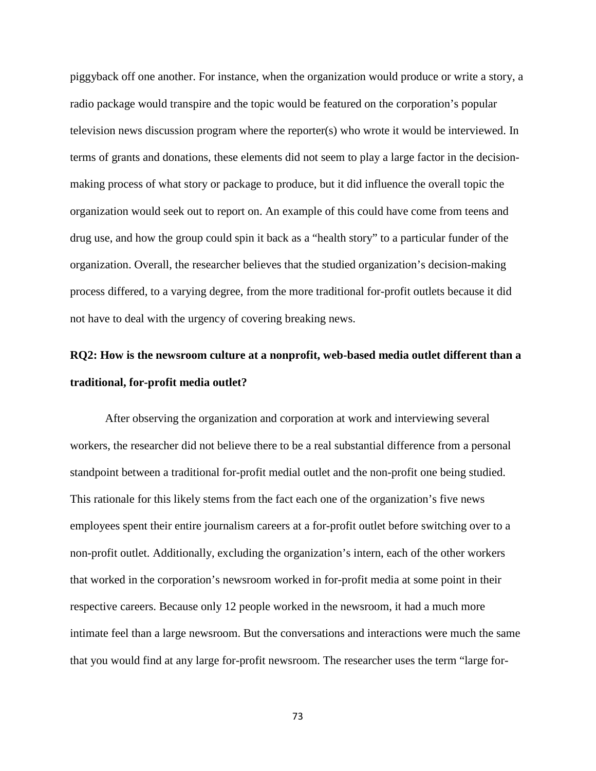piggyback off one another. For instance, when the organization would produce or write a story, a radio package would transpire and the topic would be featured on the corporation's popular television news discussion program where the reporter(s) who wrote it would be interviewed. In terms of grants and donations, these elements did not seem to play a large factor in the decisionmaking process of what story or package to produce, but it did influence the overall topic the organization would seek out to report on. An example of this could have come from teens and drug use, and how the group could spin it back as a "health story" to a particular funder of the organization. Overall, the researcher believes that the studied organization's decision-making process differed, to a varying degree, from the more traditional for-profit outlets because it did not have to deal with the urgency of covering breaking news.

# **RQ2: How is the newsroom culture at a nonprofit, web-based media outlet different than a traditional, for-profit media outlet?**

After observing the organization and corporation at work and interviewing several workers, the researcher did not believe there to be a real substantial difference from a personal standpoint between a traditional for-profit medial outlet and the non-profit one being studied. This rationale for this likely stems from the fact each one of the organization's five news employees spent their entire journalism careers at a for-profit outlet before switching over to a non-profit outlet. Additionally, excluding the organization's intern, each of the other workers that worked in the corporation's newsroom worked in for-profit media at some point in their respective careers. Because only 12 people worked in the newsroom, it had a much more intimate feel than a large newsroom. But the conversations and interactions were much the same that you would find at any large for-profit newsroom. The researcher uses the term "large for-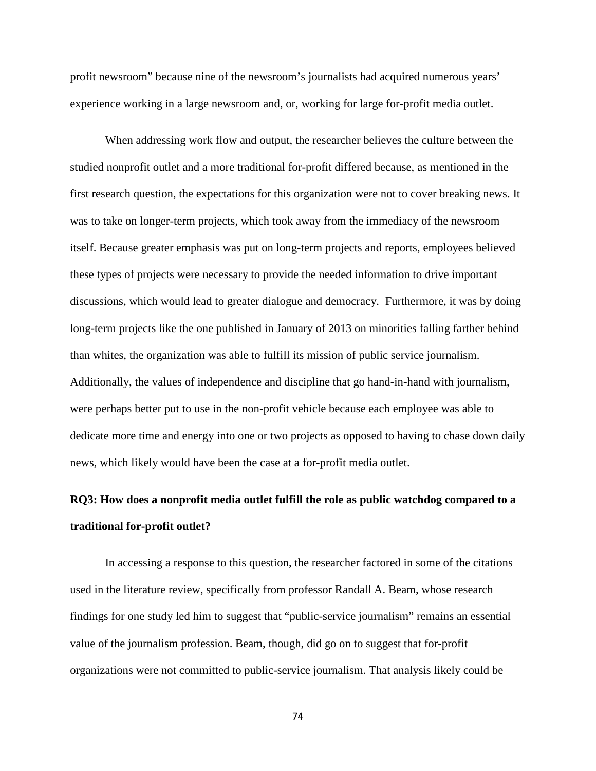profit newsroom" because nine of the newsroom's journalists had acquired numerous years' experience working in a large newsroom and, or, working for large for-profit media outlet.

When addressing work flow and output, the researcher believes the culture between the studied nonprofit outlet and a more traditional for-profit differed because, as mentioned in the first research question, the expectations for this organization were not to cover breaking news. It was to take on longer-term projects, which took away from the immediacy of the newsroom itself. Because greater emphasis was put on long-term projects and reports, employees believed these types of projects were necessary to provide the needed information to drive important discussions, which would lead to greater dialogue and democracy. Furthermore, it was by doing long-term projects like the one published in January of 2013 on minorities falling farther behind than whites, the organization was able to fulfill its mission of public service journalism. Additionally, the values of independence and discipline that go hand-in-hand with journalism, were perhaps better put to use in the non-profit vehicle because each employee was able to dedicate more time and energy into one or two projects as opposed to having to chase down daily news, which likely would have been the case at a for-profit media outlet.

# **RQ3: How does a nonprofit media outlet fulfill the role as public watchdog compared to a traditional for-profit outlet?**

In accessing a response to this question, the researcher factored in some of the citations used in the literature review, specifically from professor Randall A. Beam, whose research findings for one study led him to suggest that "public-service journalism" remains an essential value of the journalism profession. Beam, though, did go on to suggest that for-profit organizations were not committed to public-service journalism. That analysis likely could be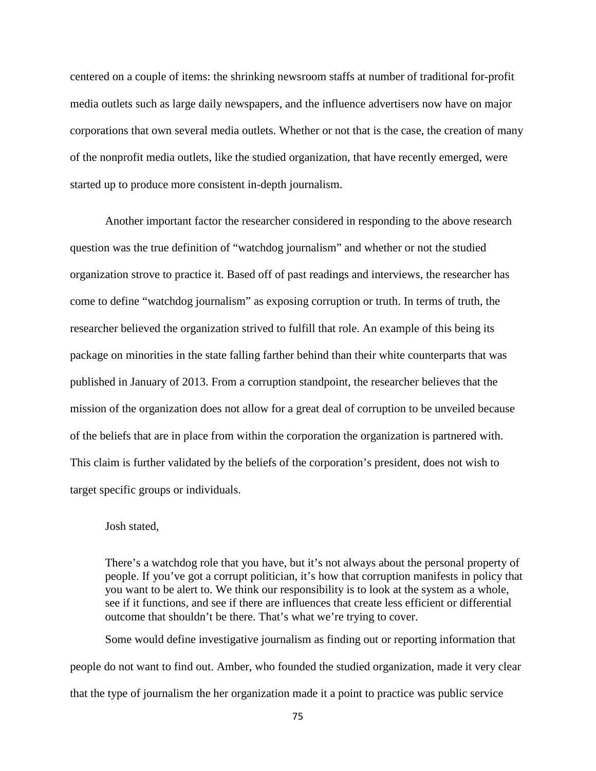centered on a couple of items: the shrinking newsroom staffs at number of traditional for-profit media outlets such as large daily newspapers, and the influence advertisers now have on major corporations that own several media outlets. Whether or not that is the case, the creation of many of the nonprofit media outlets, like the studied organization, that have recently emerged, were started up to produce more consistent in-depth journalism.

Another important factor the researcher considered in responding to the above research question was the true definition of "watchdog journalism" and whether or not the studied organization strove to practice it. Based off of past readings and interviews, the researcher has come to define "watchdog journalism" as exposing corruption or truth. In terms of truth, the researcher believed the organization strived to fulfill that role. An example of this being its package on minorities in the state falling farther behind than their white counterparts that was published in January of 2013. From a corruption standpoint, the researcher believes that the mission of the organization does not allow for a great deal of corruption to be unveiled because of the beliefs that are in place from within the corporation the organization is partnered with. This claim is further validated by the beliefs of the corporation's president, does not wish to target specific groups or individuals.

### Josh stated,

There's a watchdog role that you have, but it's not always about the personal property of people. If you've got a corrupt politician, it's how that corruption manifests in policy that you want to be alert to. We think our responsibility is to look at the system as a whole, see if it functions, and see if there are influences that create less efficient or differential outcome that shouldn't be there. That's what we're trying to cover.

Some would define investigative journalism as finding out or reporting information that people do not want to find out. Amber, who founded the studied organization, made it very clear that the type of journalism the her organization made it a point to practice was public service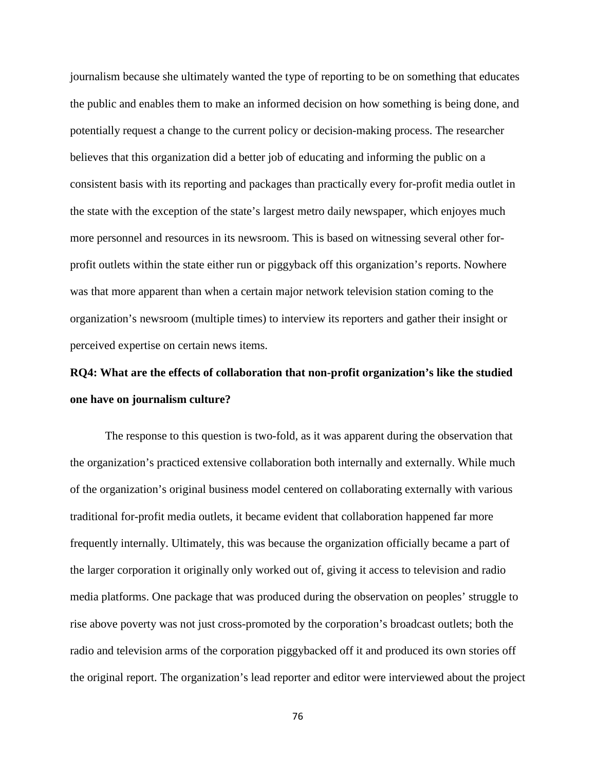journalism because she ultimately wanted the type of reporting to be on something that educates the public and enables them to make an informed decision on how something is being done, and potentially request a change to the current policy or decision-making process. The researcher believes that this organization did a better job of educating and informing the public on a consistent basis with its reporting and packages than practically every for-profit media outlet in the state with the exception of the state's largest metro daily newspaper, which enjoyes much more personnel and resources in its newsroom. This is based on witnessing several other forprofit outlets within the state either run or piggyback off this organization's reports. Nowhere was that more apparent than when a certain major network television station coming to the organization's newsroom (multiple times) to interview its reporters and gather their insight or perceived expertise on certain news items.

## **RQ4: What are the effects of collaboration that non-profit organization's like the studied one have on journalism culture?**

The response to this question is two-fold, as it was apparent during the observation that the organization's practiced extensive collaboration both internally and externally. While much of the organization's original business model centered on collaborating externally with various traditional for-profit media outlets, it became evident that collaboration happened far more frequently internally. Ultimately, this was because the organization officially became a part of the larger corporation it originally only worked out of, giving it access to television and radio media platforms. One package that was produced during the observation on peoples' struggle to rise above poverty was not just cross-promoted by the corporation's broadcast outlets; both the radio and television arms of the corporation piggybacked off it and produced its own stories off the original report. The organization's lead reporter and editor were interviewed about the project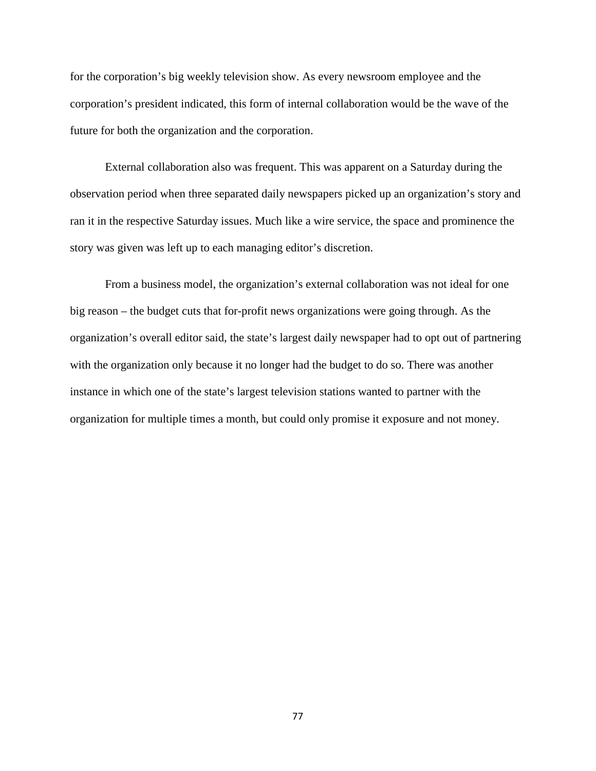for the corporation's big weekly television show. As every newsroom employee and the corporation's president indicated, this form of internal collaboration would be the wave of the future for both the organization and the corporation.

External collaboration also was frequent. This was apparent on a Saturday during the observation period when three separated daily newspapers picked up an organization's story and ran it in the respective Saturday issues. Much like a wire service, the space and prominence the story was given was left up to each managing editor's discretion.

From a business model, the organization's external collaboration was not ideal for one big reason – the budget cuts that for-profit news organizations were going through. As the organization's overall editor said, the state's largest daily newspaper had to opt out of partnering with the organization only because it no longer had the budget to do so. There was another instance in which one of the state's largest television stations wanted to partner with the organization for multiple times a month, but could only promise it exposure and not money.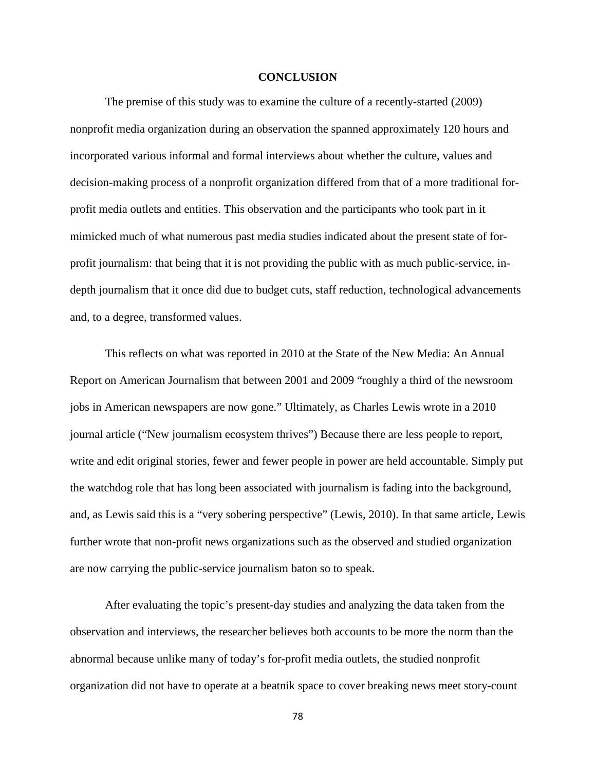### **CONCLUSION**

The premise of this study was to examine the culture of a recently-started (2009) nonprofit media organization during an observation the spanned approximately 120 hours and incorporated various informal and formal interviews about whether the culture, values and decision-making process of a nonprofit organization differed from that of a more traditional forprofit media outlets and entities. This observation and the participants who took part in it mimicked much of what numerous past media studies indicated about the present state of forprofit journalism: that being that it is not providing the public with as much public-service, indepth journalism that it once did due to budget cuts, staff reduction, technological advancements and, to a degree, transformed values.

This reflects on what was reported in 2010 at the State of the New Media: An Annual Report on American Journalism that between 2001 and 2009 "roughly a third of the newsroom jobs in American newspapers are now gone." Ultimately, as Charles Lewis wrote in a 2010 journal article ("New journalism ecosystem thrives") Because there are less people to report, write and edit original stories, fewer and fewer people in power are held accountable. Simply put the watchdog role that has long been associated with journalism is fading into the background, and, as Lewis said this is a "very sobering perspective" (Lewis, 2010). In that same article, Lewis further wrote that non-profit news organizations such as the observed and studied organization are now carrying the public-service journalism baton so to speak.

After evaluating the topic's present-day studies and analyzing the data taken from the observation and interviews, the researcher believes both accounts to be more the norm than the abnormal because unlike many of today's for-profit media outlets, the studied nonprofit organization did not have to operate at a beatnik space to cover breaking news meet story-count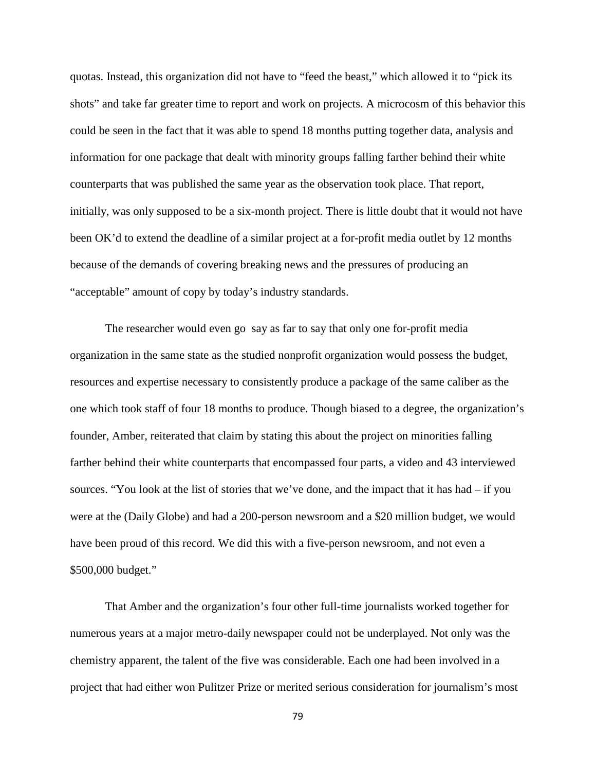quotas. Instead, this organization did not have to "feed the beast," which allowed it to "pick its shots" and take far greater time to report and work on projects. A microcosm of this behavior this could be seen in the fact that it was able to spend 18 months putting together data, analysis and information for one package that dealt with minority groups falling farther behind their white counterparts that was published the same year as the observation took place. That report, initially, was only supposed to be a six-month project. There is little doubt that it would not have been OK'd to extend the deadline of a similar project at a for-profit media outlet by 12 months because of the demands of covering breaking news and the pressures of producing an "acceptable" amount of copy by today's industry standards.

The researcher would even go say as far to say that only one for-profit media organization in the same state as the studied nonprofit organization would possess the budget, resources and expertise necessary to consistently produce a package of the same caliber as the one which took staff of four 18 months to produce. Though biased to a degree, the organization's founder, Amber, reiterated that claim by stating this about the project on minorities falling farther behind their white counterparts that encompassed four parts, a video and 43 interviewed sources. "You look at the list of stories that we've done, and the impact that it has had – if you were at the (Daily Globe) and had a 200-person newsroom and a \$20 million budget, we would have been proud of this record. We did this with a five-person newsroom, and not even a \$500,000 budget."

That Amber and the organization's four other full-time journalists worked together for numerous years at a major metro-daily newspaper could not be underplayed. Not only was the chemistry apparent, the talent of the five was considerable. Each one had been involved in a project that had either won Pulitzer Prize or merited serious consideration for journalism's most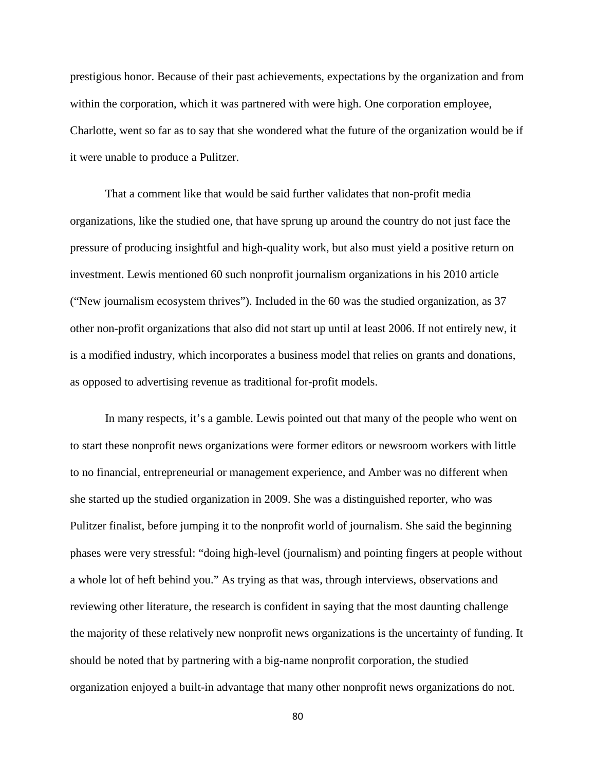prestigious honor. Because of their past achievements, expectations by the organization and from within the corporation, which it was partnered with were high. One corporation employee, Charlotte, went so far as to say that she wondered what the future of the organization would be if it were unable to produce a Pulitzer.

That a comment like that would be said further validates that non-profit media organizations, like the studied one, that have sprung up around the country do not just face the pressure of producing insightful and high-quality work, but also must yield a positive return on investment. Lewis mentioned 60 such nonprofit journalism organizations in his 2010 article ("New journalism ecosystem thrives"). Included in the 60 was the studied organization, as 37 other non-profit organizations that also did not start up until at least 2006. If not entirely new, it is a modified industry, which incorporates a business model that relies on grants and donations, as opposed to advertising revenue as traditional for-profit models.

In many respects, it's a gamble. Lewis pointed out that many of the people who went on to start these nonprofit news organizations were former editors or newsroom workers with little to no financial, entrepreneurial or management experience, and Amber was no different when she started up the studied organization in 2009. She was a distinguished reporter, who was Pulitzer finalist, before jumping it to the nonprofit world of journalism. She said the beginning phases were very stressful: "doing high-level (journalism) and pointing fingers at people without a whole lot of heft behind you." As trying as that was, through interviews, observations and reviewing other literature, the research is confident in saying that the most daunting challenge the majority of these relatively new nonprofit news organizations is the uncertainty of funding. It should be noted that by partnering with a big-name nonprofit corporation, the studied organization enjoyed a built-in advantage that many other nonprofit news organizations do not.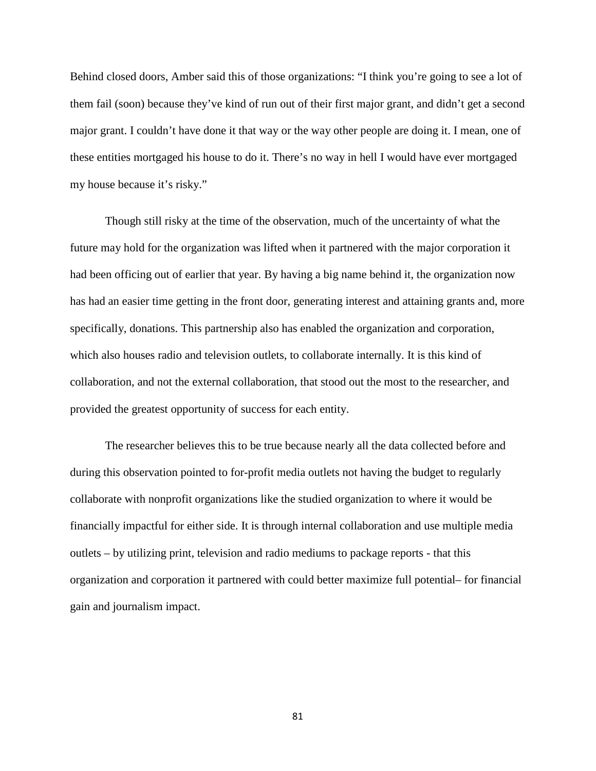Behind closed doors, Amber said this of those organizations: "I think you're going to see a lot of them fail (soon) because they've kind of run out of their first major grant, and didn't get a second major grant. I couldn't have done it that way or the way other people are doing it. I mean, one of these entities mortgaged his house to do it. There's no way in hell I would have ever mortgaged my house because it's risky."

Though still risky at the time of the observation, much of the uncertainty of what the future may hold for the organization was lifted when it partnered with the major corporation it had been officing out of earlier that year. By having a big name behind it, the organization now has had an easier time getting in the front door, generating interest and attaining grants and, more specifically, donations. This partnership also has enabled the organization and corporation, which also houses radio and television outlets, to collaborate internally. It is this kind of collaboration, and not the external collaboration, that stood out the most to the researcher, and provided the greatest opportunity of success for each entity.

The researcher believes this to be true because nearly all the data collected before and during this observation pointed to for-profit media outlets not having the budget to regularly collaborate with nonprofit organizations like the studied organization to where it would be financially impactful for either side. It is through internal collaboration and use multiple media outlets – by utilizing print, television and radio mediums to package reports - that this organization and corporation it partnered with could better maximize full potential– for financial gain and journalism impact.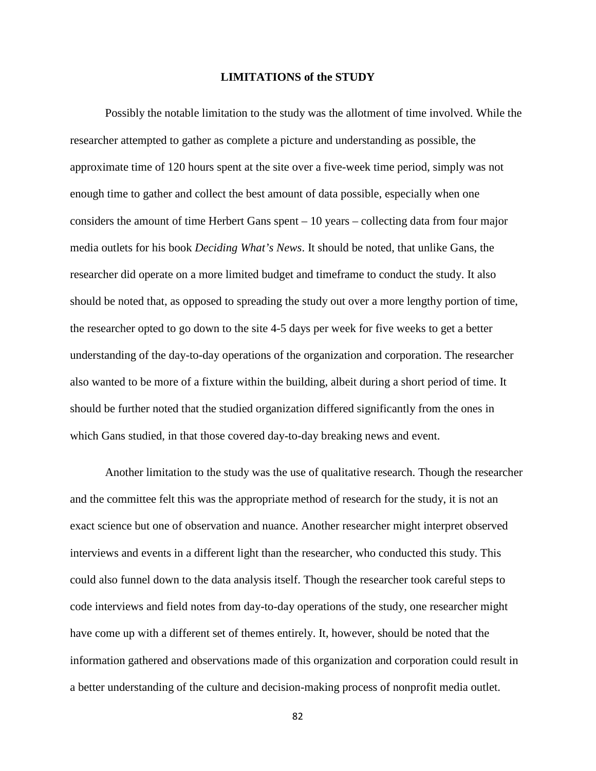#### **LIMITATIONS of the STUDY**

Possibly the notable limitation to the study was the allotment of time involved. While the researcher attempted to gather as complete a picture and understanding as possible, the approximate time of 120 hours spent at the site over a five-week time period, simply was not enough time to gather and collect the best amount of data possible, especially when one considers the amount of time Herbert Gans spent – 10 years – collecting data from four major media outlets for his book *Deciding What's News*. It should be noted, that unlike Gans, the researcher did operate on a more limited budget and timeframe to conduct the study. It also should be noted that, as opposed to spreading the study out over a more lengthy portion of time, the researcher opted to go down to the site 4-5 days per week for five weeks to get a better understanding of the day-to-day operations of the organization and corporation. The researcher also wanted to be more of a fixture within the building, albeit during a short period of time. It should be further noted that the studied organization differed significantly from the ones in which Gans studied, in that those covered day-to-day breaking news and event.

Another limitation to the study was the use of qualitative research. Though the researcher and the committee felt this was the appropriate method of research for the study, it is not an exact science but one of observation and nuance. Another researcher might interpret observed interviews and events in a different light than the researcher, who conducted this study. This could also funnel down to the data analysis itself. Though the researcher took careful steps to code interviews and field notes from day-to-day operations of the study, one researcher might have come up with a different set of themes entirely. It, however, should be noted that the information gathered and observations made of this organization and corporation could result in a better understanding of the culture and decision-making process of nonprofit media outlet.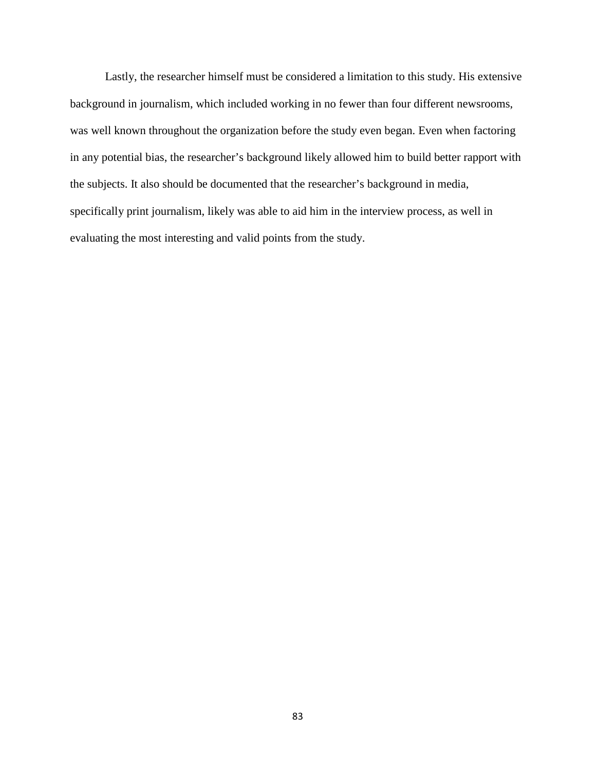Lastly, the researcher himself must be considered a limitation to this study. His extensive background in journalism, which included working in no fewer than four different newsrooms, was well known throughout the organization before the study even began. Even when factoring in any potential bias, the researcher's background likely allowed him to build better rapport with the subjects. It also should be documented that the researcher's background in media, specifically print journalism, likely was able to aid him in the interview process, as well in evaluating the most interesting and valid points from the study.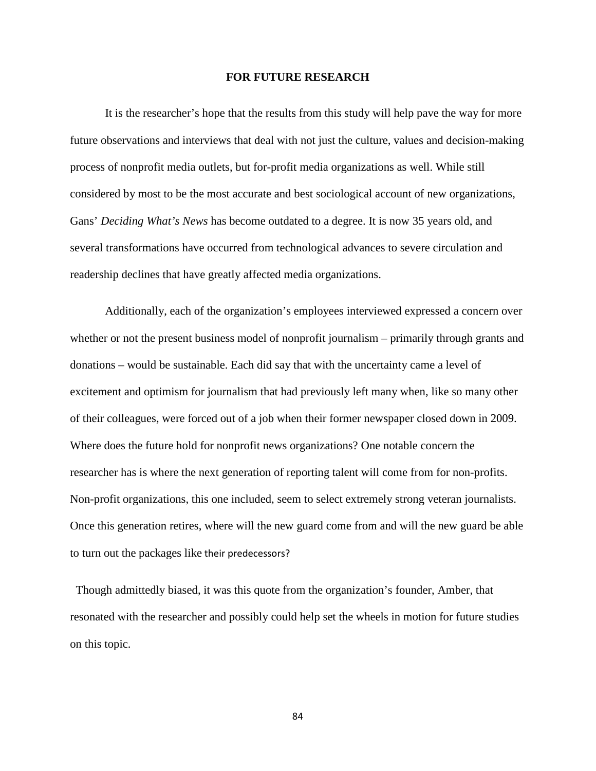#### **FOR FUTURE RESEARCH**

It is the researcher's hope that the results from this study will help pave the way for more future observations and interviews that deal with not just the culture, values and decision-making process of nonprofit media outlets, but for-profit media organizations as well. While still considered by most to be the most accurate and best sociological account of new organizations, Gans' *Deciding What's News* has become outdated to a degree. It is now 35 years old, and several transformations have occurred from technological advances to severe circulation and readership declines that have greatly affected media organizations.

Additionally, each of the organization's employees interviewed expressed a concern over whether or not the present business model of nonprofit journalism – primarily through grants and donations – would be sustainable. Each did say that with the uncertainty came a level of excitement and optimism for journalism that had previously left many when, like so many other of their colleagues, were forced out of a job when their former newspaper closed down in 2009. Where does the future hold for nonprofit news organizations? One notable concern the researcher has is where the next generation of reporting talent will come from for non-profits. Non-profit organizations, this one included, seem to select extremely strong veteran journalists. Once this generation retires, where will the new guard come from and will the new guard be able to turn out the packages like their predecessors?

Though admittedly biased, it was this quote from the organization's founder, Amber, that resonated with the researcher and possibly could help set the wheels in motion for future studies on this topic.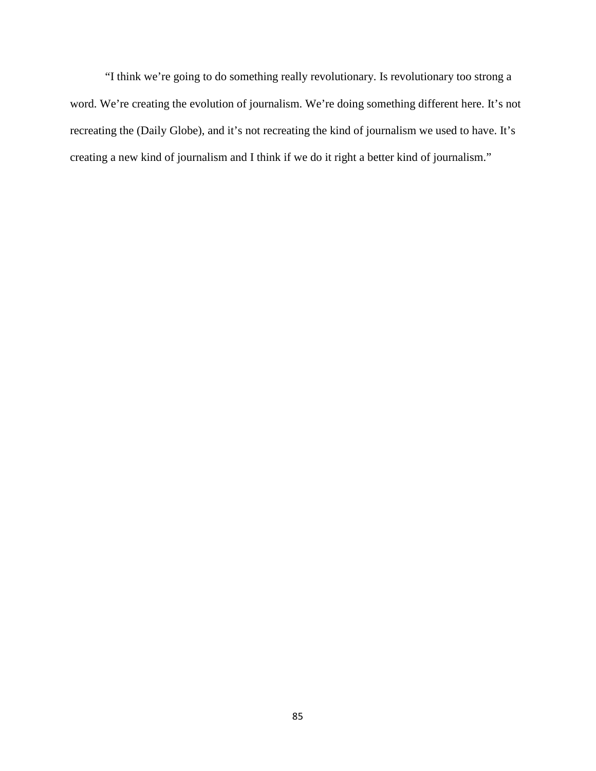"I think we're going to do something really revolutionary. Is revolutionary too strong a word. We're creating the evolution of journalism. We're doing something different here. It's not recreating the (Daily Globe), and it's not recreating the kind of journalism we used to have. It's creating a new kind of journalism and I think if we do it right a better kind of journalism."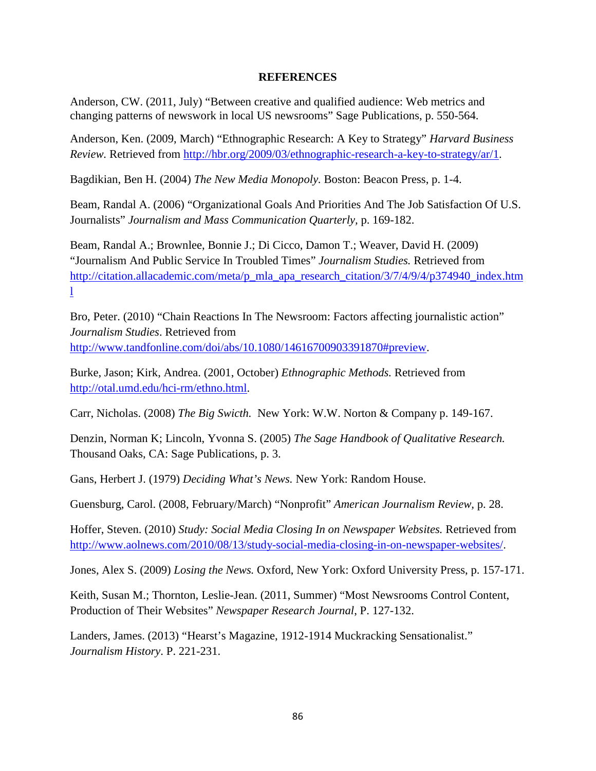### **REFERENCES**

Anderson, CW. (2011, July) "Between creative and qualified audience: Web metrics and changing patterns of newswork in local US newsrooms" Sage Publications, p. 550-564.

Anderson, Ken. (2009, March) "Ethnographic Research: A Key to Strategy" *Harvard Business Review.* Retrieved from [http://hbr.org/2009/03/ethnographic-research-a-key-to-strategy/ar/1.](http://hbr.org/2009/03/ethnographic-research-a-key-to-strategy/ar/1)

Bagdikian, Ben H. (2004) *The New Media Monopoly.* Boston: Beacon Press, p. 1-4.

Beam, Randal A. (2006) "Organizational Goals And Priorities And The Job Satisfaction Of U.S. Journalists" *Journalism and Mass Communication Quarterly,* p. 169-182.

Beam, Randal A.; Brownlee, Bonnie J.; Di Cicco, Damon T.; Weaver, David H. (2009) "Journalism And Public Service In Troubled Times" *Journalism Studies.* Retrieved from [http://citation.allacademic.com/meta/p\\_mla\\_apa\\_research\\_citation/3/7/4/9/4/p374940\\_index.htm](http://citation.allacademic.com/meta/p_mla_apa_research_citation/3/7/4/9/4/p374940_index.html) [l](http://citation.allacademic.com/meta/p_mla_apa_research_citation/3/7/4/9/4/p374940_index.html)

Bro, Peter. (2010) "Chain Reactions In The Newsroom: Factors affecting journalistic action" *Journalism Studies*. Retrieved from [http://www.tandfonline.com/doi/abs/10.1080/14616700903391870#preview.](http://www.tandfonline.com/doi/abs/10.1080/14616700903391870%23preview)

Burke, Jason; Kirk, Andrea. (2001, October) *Ethnographic Methods.* Retrieved from [http://otal.umd.edu/hci-rm/ethno.html.](http://otal.umd.edu/hci-rm/ethno.html)

Carr, Nicholas. (2008) *The Big Swicth.* New York: W.W. Norton & Company p. 149-167.

Denzin, Norman K; Lincoln, Yvonna S. (2005) *The Sage Handbook of Qualitative Research.*  Thousand Oaks, CA: Sage Publications, p. 3.

Gans, Herbert J. (1979) *Deciding What's News.* New York: Random House.

Guensburg, Carol. (2008, February/March) "Nonprofit" *American Journalism Review,* p. 28.

Hoffer, Steven. (2010) *Study: Social Media Closing In on Newspaper Websites.* Retrieved from [http://www.aolnews.com/2010/08/13/study-social-media-closing-in-on-newspaper-websites/.](http://www.aolnews.com/2010/08/13/study-social-media-closing-in-on-newspaper-websites/)

Jones, Alex S. (2009) *Losing the News.* Oxford, New York: Oxford University Press, p. 157-171.

Keith, Susan M.; Thornton, Leslie-Jean. (2011, Summer) "Most Newsrooms Control Content, Production of Their Websites" *Newspaper Research Journal*, P. 127-132.

Landers, James. (2013) "Hearst's Magazine, 1912-1914 Muckracking Sensationalist." *Journalism History*. P. 221-231.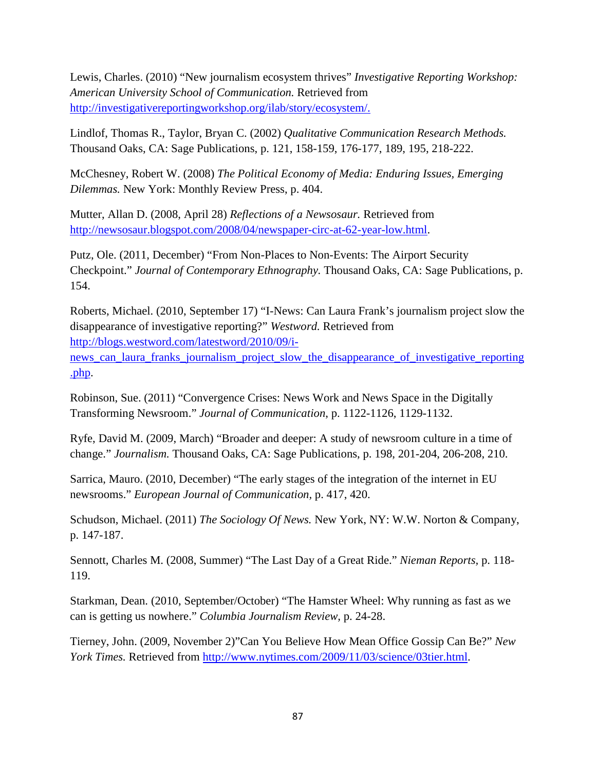Lewis, Charles. (2010) "New journalism ecosystem thrives" *Investigative Reporting Workshop: American University School of Communication.* Retrieved from [http://investigativereportingworkshop.org/ilab/story/ecosystem/.](http://investigativereportingworkshop.org/ilab/story/ecosystem/)

Lindlof, Thomas R., Taylor, Bryan C. (2002) *Qualitative Communication Research Methods.*  Thousand Oaks, CA: Sage Publications, p. 121, 158-159, 176-177, 189, 195, 218-222.

McChesney, Robert W. (2008) *The Political Economy of Media: Enduring Issues, Emerging Dilemmas.* New York: Monthly Review Press, p. 404.

Mutter, Allan D. (2008, April 28) *Reflections of a Newsosaur.* Retrieved from [http://newsosaur.blogspot.com/2008/04/newspaper-circ-at-62-year-low.html.](http://newsosaur.blogspot.com/2008/04/newspaper-circ-at-62-year-low.html)

Putz, Ole. (2011, December) "From Non-Places to Non-Events: The Airport Security Checkpoint." *Journal of Contemporary Ethnography.* Thousand Oaks, CA: Sage Publications, p. 154.

Roberts, Michael. (2010, September 17) "I-News: Can Laura Frank's journalism project slow the disappearance of investigative reporting?" *Westword.* Retrieved from [http://blogs.westword.com/latestword/2010/09/i-](http://blogs.westword.com/latestword/2010/09/i-news_can_laura_franks_journalism_project_slow_the_disappearance_of_investigative_reporting.php)

[news\\_can\\_laura\\_franks\\_journalism\\_project\\_slow\\_the\\_disappearance\\_of\\_investigative\\_reporting](http://blogs.westword.com/latestword/2010/09/i-news_can_laura_franks_journalism_project_slow_the_disappearance_of_investigative_reporting.php) [.php.](http://blogs.westword.com/latestword/2010/09/i-news_can_laura_franks_journalism_project_slow_the_disappearance_of_investigative_reporting.php)

Robinson, Sue. (2011) "Convergence Crises: News Work and News Space in the Digitally Transforming Newsroom." *Journal of Communication*, p. 1122-1126, 1129-1132.

Ryfe, David M. (2009, March) "Broader and deeper: A study of newsroom culture in a time of change." *Journalism.* Thousand Oaks, CA: Sage Publications, p. 198, 201-204, 206-208, 210.

Sarrica, Mauro. (2010, December) "The early stages of the integration of the internet in EU newsrooms." *European Journal of Communication,* p. 417, 420.

Schudson, Michael. (2011) *The Sociology Of News.* New York, NY: W.W. Norton & Company, p. 147-187.

Sennott, Charles M. (2008, Summer) "The Last Day of a Great Ride." *Nieman Reports,* p. 118- 119.

Starkman, Dean. (2010, September/October) "The Hamster Wheel: Why running as fast as we can is getting us nowhere." *Columbia Journalism Review,* p. 24-28.

Tierney, John. (2009, November 2)"Can You Believe How Mean Office Gossip Can Be?" *New York Times.* Retrieved from [http://www.nytimes.com/2009/11/03/science/03tier.html.](http://www.nytimes.com/2009/11/03/science/03tier.html)